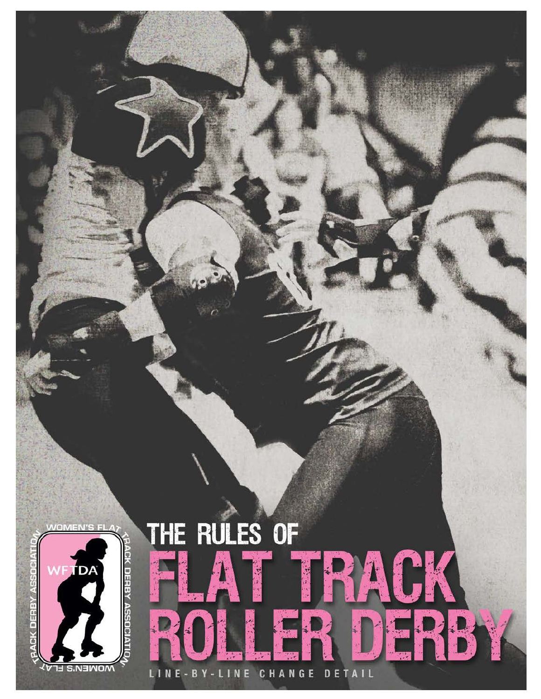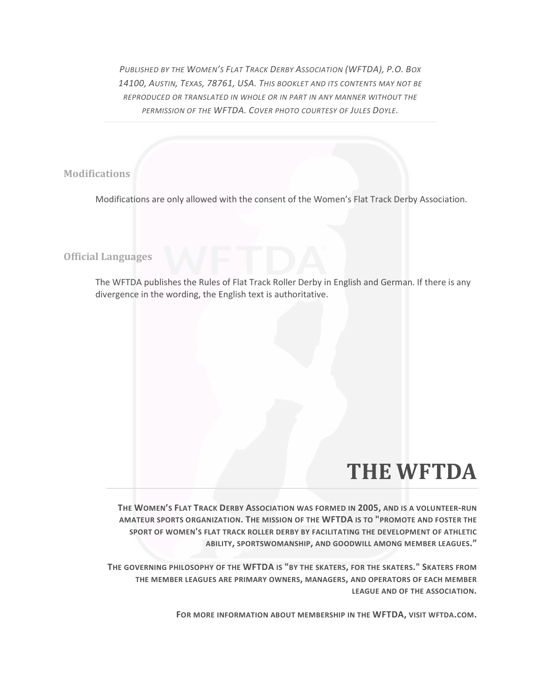*PUBLISHED BY THE WOMEN'S FLAT TRACK DERBY ASSOCIATION (WFTDA), P.O. BOX 14100, AUSTIN, TEXAS, 78761, USA. THIS BOOKLET AND ITS CONTENTS MAY NOT BE REPRODUCED OR TRANSLATED IN WHOLE OR IN PART IN ANY MANNER WITHOUT THE PERMISSION OF THE WFTDA. COVER PHOTO COURTESY OF JULES DOYLE.* 

**Modifications**

Modifications are only allowed with the consent of the Women's Flat Track Derby Association.

**Official Languages**

The WFTDA publishes the Rules of Flat Track Roller Derby in English and German. If there is any divergence in the wording, the English text is authoritative.

# **THE WFTDA**

**THE WOMEN'S FLAT TRACK DERBY ASSOCIATION WAS FORMED IN 2005, AND IS A VOLUNTEER-RUN AMATEUR SPORTS ORGANIZATION. THE MISSION OF THE WFTDA IS TO "PROMOTE AND FOSTER THE SPORT OF WOMEN'S FLAT TRACK ROLLER DERBY BY FACILITATING THE DEVELOPMENT OF ATHLETIC ABILITY, SPORTSWOMANSHIP, AND GOODWILL AMONG MEMBER LEAGUES."**

**THE GOVERNING PHILOSOPHY OF THE WFTDA IS "BY THE SKATERS, FOR THE SKATERS." SKATERS FROM THE MEMBER LEAGUES ARE PRIMARY OWNERS, MANAGERS, AND OPERATORS OF EACH MEMBER LEAGUE AND OF THE ASSOCIATION.** 

**FOR MORE INFORMATION ABOUT MEMBERSHIP IN THE WFTDA, VISIT WFTDA.COM.**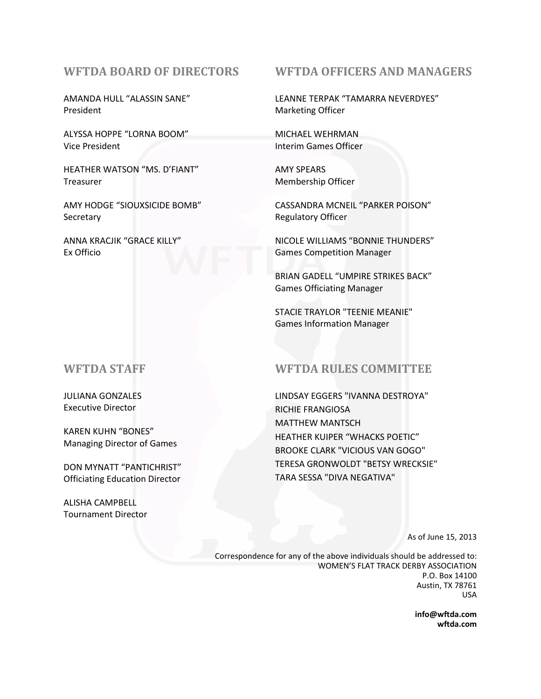# **WFTDA BOARD OF DIRECTORS**

AMANDA HULL "ALASSIN SANE" President

ALYSSA HOPPE "LORNA BOOM" Vice President

HEATHER WATSON "MS. D'FIANT" Treasurer

AMY HODGE "SIOUXSICIDE BOMB" **Secretary** 

ANNA KRACJIK "GRACE KILLY" Ex Officio

# **WFTDA STAFF**

JULIANA GONZALES Executive Director

KAREN KUHN "BONES" Managing Director of Games

DON MYNATT "PANTICHRIST" Officiating Education Director

ALISHA CAMPBELL Tournament Director

# **WFTDA OFFICERS AND MANAGERS**

LEANNE TERPAK "TAMARRA NEVERDYES" Marketing Officer

MICHAEL WEHRMAN Interim Games Officer

AMY SPEARS Membership Officer

CASSANDRA MCNEIL "PARKER POISON" Regulatory Officer

NICOLE WILLIAMS "BONNIE THUNDERS" Games Competition Manager

BRIAN GADELL "UMPIRE STRIKES BACK" Games Officiating Manager

STACIE TRAYLOR "TEENIE MEANIE" Games Information Manager

# **WFTDA RULES COMMITTEE**

LINDSAY EGGERS "IVANNA DESTROYA" RICHIE FRANGIOSA MATTHEW MANTSCH HEATHER KUIPER "WHACKS POETIC" BROOKE CLARK "VICIOUS VAN GOGO" TERESA GRONWOLDT "BETSY WRECKSIE" TARA SESSA "DIVA NEGATIVA"

As of June 15, 2013

Correspondence for any of the above individuals should be addressed to: WOMEN'S FLAT TRACK DERBY ASSOCIATION P.O. Box 14100 Austin, TX 78761 USA

> **info@wftda.com wftda.com**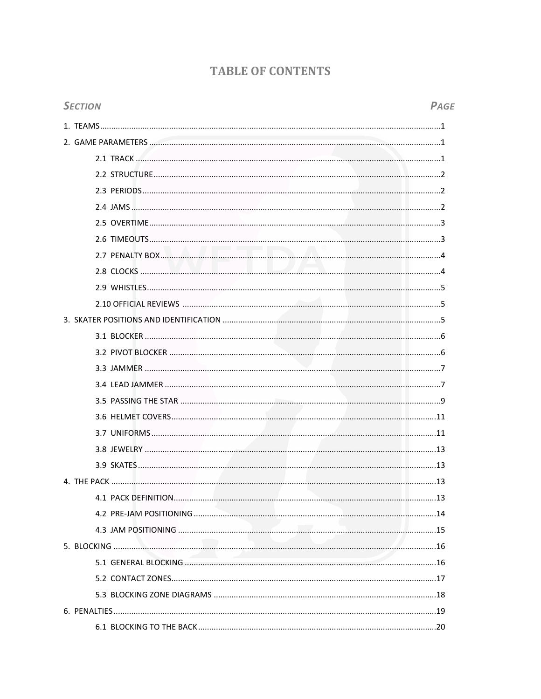# **TABLE OF CONTENTS**

| <b>SECTION</b> | PAGE |
|----------------|------|
|                |      |
|                |      |
|                |      |
|                |      |
|                |      |
|                |      |
|                |      |
|                |      |
|                |      |
|                |      |
|                |      |
|                |      |
|                |      |
|                |      |
|                |      |
|                |      |
|                |      |
|                |      |
|                |      |
|                |      |
|                |      |
|                |      |
|                |      |
|                |      |
|                |      |
|                |      |
|                |      |
|                |      |
|                |      |
|                |      |
|                |      |
|                |      |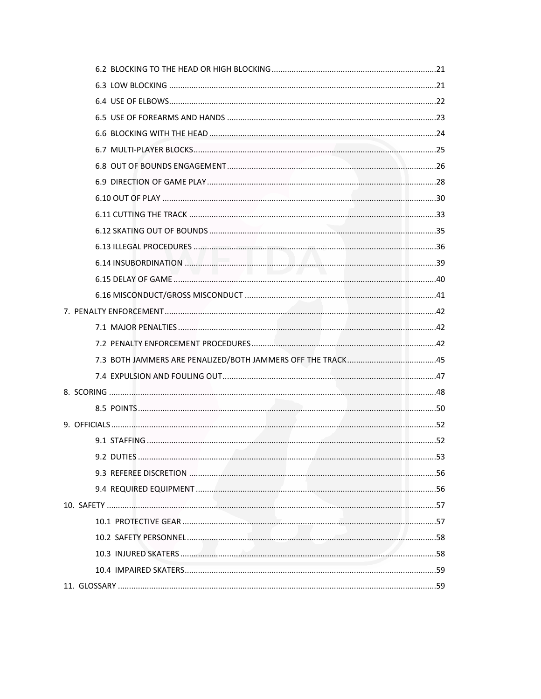| 9.2 DUTIFS | 53 |
|------------|----|
|            |    |
|            |    |
|            |    |
|            |    |
|            |    |
|            |    |
|            |    |
|            |    |
|            |    |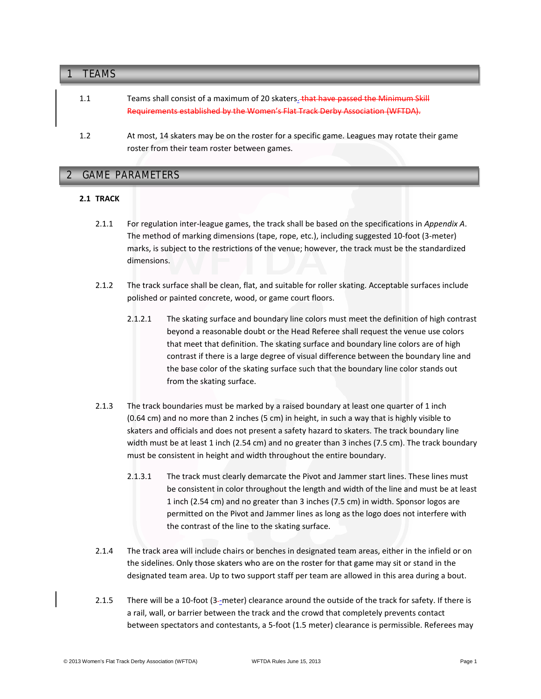| TFAMS |                                                                                                                                                                     |
|-------|---------------------------------------------------------------------------------------------------------------------------------------------------------------------|
| 1.1   | Teams shall consist of a maximum of 20 skaters. that have passed the Minimum Skill<br>Requirements established by the Women's Flat Track Derby Association (WFTDA). |
| 1.2   | At most, 14 skaters may be on the roster for a specific game. Leagues may rotate their game<br>roster from their team roster between games.                         |

# **2 GAME PARAMETERS** 2 GAME PARAMETERS

# **2.1 TRACK**

- 2.1.1 For regulation inter-league games, the track shall be based on the specifications in *Appendix A*. The method of marking dimensions (tape, rope, etc.), including suggested 10-foot (3-meter) marks, is subject to the restrictions of the venue; however, the track must be the standardized dimensions.
- 2.1.2 The track surface shall be clean, flat, and suitable for roller skating. Acceptable surfaces include polished or painted concrete, wood, or game court floors.
	- 2.1.2.1 The skating surface and boundary line colors must meet the definition of high contrast beyond a reasonable doubt or the Head Referee shall request the venue use colors that meet that definition. The skating surface and boundary line colors are of high contrast if there is a large degree of visual difference between the boundary line and the base color of the skating surface such that the boundary line color stands out from the skating surface.
- 2.1.3 The track boundaries must be marked by a raised boundary at least one quarter of 1 inch (0.64 cm) and no more than 2 inches (5 cm) in height, in such a way that is highly visible to skaters and officials and does not present a safety hazard to skaters. The track boundary line width must be at least 1 inch (2.54 cm) and no greater than 3 inches (7.5 cm). The track boundary must be consistent in height and width throughout the entire boundary.
	- 2.1.3.1 The track must clearly demarcate the Pivot and Jammer start lines. These lines must be consistent in color throughout the length and width of the line and must be at least 1 inch (2.54 cm) and no greater than 3 inches (7.5 cm) in width. Sponsor logos are permitted on the Pivot and Jammer lines as long as the logo does not interfere with the contrast of the line to the skating surface.
- 2.1.4 The track area will include chairs or benches in designated team areas, either in the infield or on the sidelines. Only those skaters who are on the roster for that game may sit or stand in the designated team area. Up to two support staff per team are allowed in this area during a bout.
- 2.1.5 There will be a 10-foot (3–meter) clearance around the outside of the track for safety. If there is a rail, wall, or barrier between the track and the crowd that completely prevents contact between spectators and contestants, a 5-foot (1.5 meter) clearance is permissible. Referees may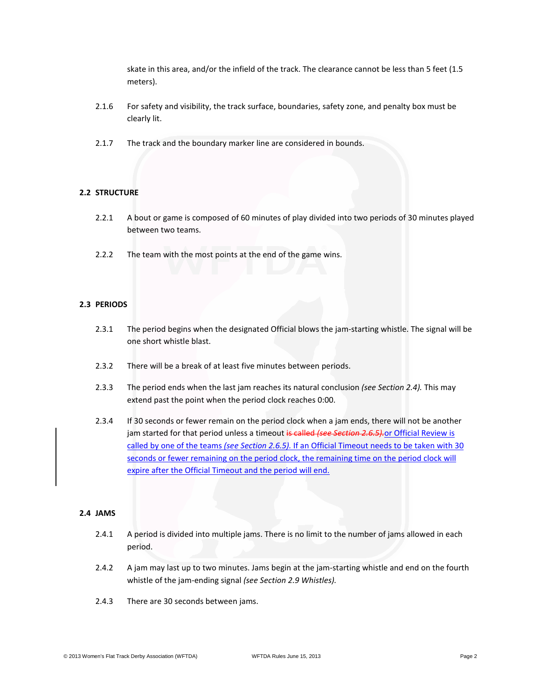skate in this area, and/or the infield of the track. The clearance cannot be less than 5 feet (1.5 meters).

- 2.1.6 For safety and visibility, the track surface, boundaries, safety zone, and penalty box must be clearly lit.
- 2.1.7 The track and the boundary marker line are considered in bounds.

### **2.2 STRUCTURE**

- 2.2.1 A bout or game is composed of 60 minutes of play divided into two periods of 30 minutes played between two teams.
- 2.2.2 The team with the most points at the end of the game wins.

### **2.3 PERIODS**

- 2.3.1 The period begins when the designated Official blows the jam-starting whistle. The signal will be one short whistle blast.
- 2.3.2 There will be a break of at least five minutes between periods.
- 2.3.3 The period ends when the last jam reaches its natural conclusion *(see Section 2.4).* This may extend past the point when the period clock reaches 0:00.
- 2.3.4 If 30 seconds or fewer remain on the period clock when a jam ends, there will not be another jam started for that period unless a timeout is called *(see Section 2.6.5).*or Official Review is called by one of the teams *(see Section 2.6.5).* If an Official Timeout needs to be taken with 30 seconds or fewer remaining on the period clock, the remaining time on the period clock will expire after the Official Timeout and the period will end.

#### **2.4 JAMS**

- 2.4.1 A period is divided into multiple jams. There is no limit to the number of jams allowed in each period.
- 2.4.2 A jam may last up to two minutes. Jams begin at the jam-starting whistle and end on the fourth whistle of the jam-ending signal *(see Section 2.9 Whistles).*
- 2.4.3 There are 30 seconds between jams.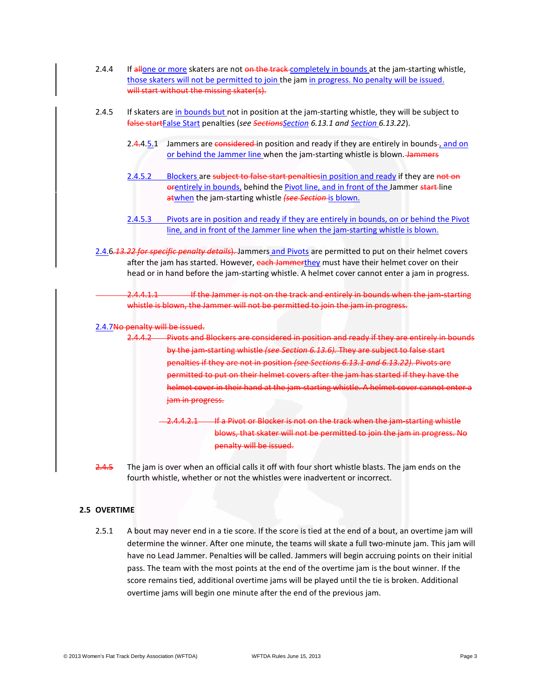- 2.4.4 If allone or more skaters are not on the track completely in bounds at the jam-starting whistle, those skaters will not be permitted to join the jam in progress. No penalty will be issued. will start without the missing skater(s).
- 2.4.5 If skaters are in bounds but not in position at the jam-starting whistle, they will be subject to false startFalse Start penalties (*see SectionsSection 6.13.1 and Section 6.13.22*).
	- 2.4.4.5.1 Jammers are considered in position and ready if they are entirely in bounds-, and on or behind the Jammer line when the jam-starting whistle is blown. Jammers
	- 2.4.5.2 Blockers are subject to false start penaltiesin position and ready if they are not on orentirely in bounds, behind the Pivot line, and in front of the Jammer start-line atwhen the jam-starting whistle *(see Section* is blown.
	- 2.4.5.3 Pivots are in position and ready if they are entirely in bounds, on or behind the Pivot line, and in front of the Jammer line when the jam-starting whistle is blown.
- 2.4.6*.13.22 for specific penalty details*). Jammers and Pivots are permitted to put on their helmet covers after the jam has started. However, each Jammerthey must have their helmet cover on their head or in hand before the jam-starting whistle. A helmet cover cannot enter a jam in progress.

2.4.4.1.1 If the Jammer is not on the track and entirely in bounds when the jam-starting whistle is blown, the Jammer will not be permitted to join the jam in progress.

2.4.7No penalty will be issued.

- 2.4.4.2 Pivots and Blockers are considered in position and ready if they are entirely in bounds by the jam-starting whistle *(see Section 6.13.6).* They are subject to false start penalties if they are not in position *(see Sections 6.13.1 and 6.13.22)*. Pivots are permitted to put on their helmet covers after the jam has started if they have the helmet cover in their hand at the jam-starting whistle. A helmet cover cannot enter a jam in progress.
	- 2.4.4.2.1 If a Pivot or Blocker is not on the track when the jam-starting whistle blows, that skater will not be permitted to join the jam in progress. No penalty will be issued.
- 2.4.5 The jam is over when an official calls it off with four short whistle blasts. The jam ends on the fourth whistle, whether or not the whistles were inadvertent or incorrect.

### **2.5 OVERTIME**

2.5.1 A bout may never end in a tie score. If the score is tied at the end of a bout, an overtime jam will determine the winner. After one minute, the teams will skate a full two-minute jam. This jam will have no Lead Jammer. Penalties will be called. Jammers will begin accruing points on their initial pass. The team with the most points at the end of the overtime jam is the bout winner. If the score remains tied, additional overtime jams will be played until the tie is broken. Additional overtime jams will begin one minute after the end of the previous jam.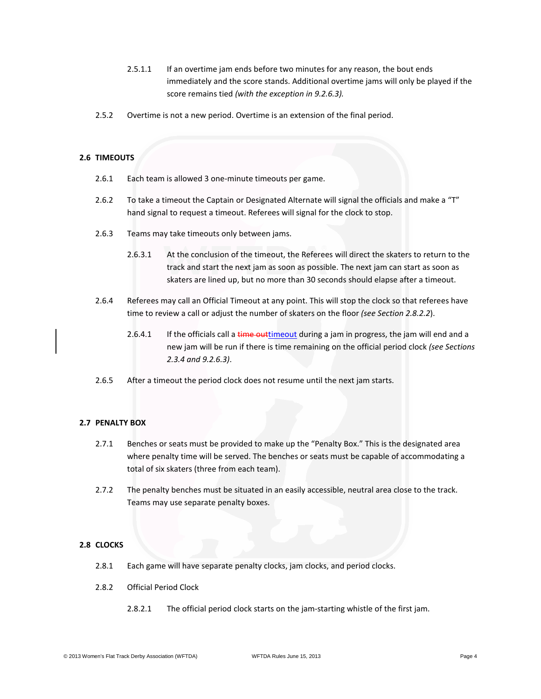- 2.5.1.1 If an overtime jam ends before two minutes for any reason, the bout ends immediately and the score stands. Additional overtime jams will only be played if the score remains tied *(with the exception in 9.2.6.3).*
- 2.5.2 Overtime is not a new period. Overtime is an extension of the final period.

# **2.6 TIMEOUTS**

- 2.6.1 Each team is allowed 3 one-minute timeouts per game.
- 2.6.2 To take a timeout the Captain or Designated Alternate will signal the officials and make a "T" hand signal to request a timeout. Referees will signal for the clock to stop.
- 2.6.3 Teams may take timeouts only between jams.
	- 2.6.3.1 At the conclusion of the timeout, the Referees will direct the skaters to return to the track and start the next jam as soon as possible. The next jam can start as soon as skaters are lined up, but no more than 30 seconds should elapse after a timeout.
- 2.6.4 Referees may call an Official Timeout at any point. This will stop the clock so that referees have time to review a call or adjust the number of skaters on the floor *(see Section 2.8.2.2*).
	- 2.6.4.1 If the officials call a time outtimeout during a jam in progress, the jam will end and a new jam will be run if there is time remaining on the official period clock *(see Sections 2.3.4 and 9.2.6.3)*.
- 2.6.5 After a timeout the period clock does not resume until the next jam starts.

# **2.7 PENALTY BOX**

- 2.7.1 Benches or seats must be provided to make up the "Penalty Box." This is the designated area where penalty time will be served. The benches or seats must be capable of accommodating a total of six skaters (three from each team).
- 2.7.2 The penalty benches must be situated in an easily accessible, neutral area close to the track. Teams may use separate penalty boxes.

# **2.8 CLOCKS**

- 2.8.1 Each game will have separate penalty clocks, jam clocks, and period clocks.
- 2.8.2 Official Period Clock
	- 2.8.2.1 The official period clock starts on the jam-starting whistle of the first jam.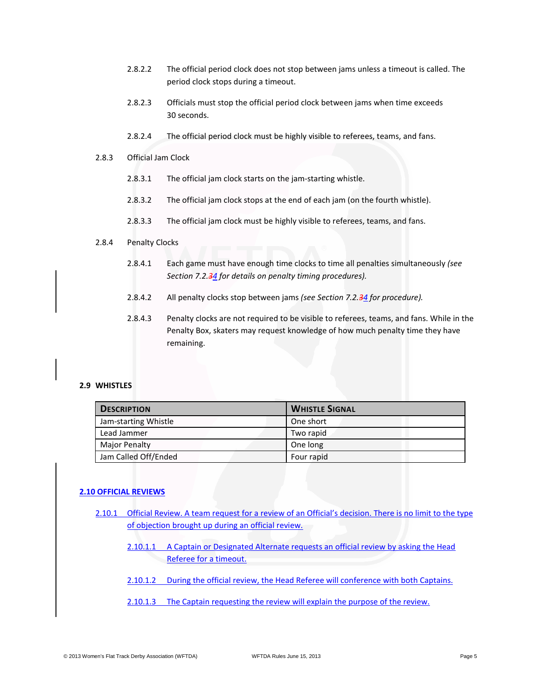- 2.8.2.2 The official period clock does not stop between jams unless a timeout is called. The period clock stops during a timeout.
- 2.8.2.3 Officials must stop the official period clock between jams when time exceeds 30 seconds.
- 2.8.2.4 The official period clock must be highly visible to referees, teams, and fans.
- 2.8.3 Official Jam Clock
	- 2.8.3.1 The official jam clock starts on the jam-starting whistle.
	- 2.8.3.2 The official jam clock stops at the end of each jam (on the fourth whistle).
	- 2.8.3.3 The official jam clock must be highly visible to referees, teams, and fans.

### 2.8.4 Penalty Clocks

- 2.8.4.1 Each game must have enough time clocks to time all penalties simultaneously *(see Section 7.2.34 for details on penalty timing procedures).*
- 2.8.4.2 All penalty clocks stop between jams *(see Section 7.2.34 for procedure).*
- 2.8.4.3 Penalty clocks are not required to be visible to referees, teams, and fans. While in the Penalty Box, skaters may request knowledge of how much penalty time they have remaining.

### **2.9 WHISTLES**

| <b>DESCRIPTION</b>   | <b>WHISTLE SIGNAL</b> |
|----------------------|-----------------------|
| Jam-starting Whistle | One short             |
| Lead Jammer          | Two rapid             |
| <b>Major Penalty</b> | One long              |
| Jam Called Off/Ended | Four rapid            |

# **2.10 OFFICIAL REVIEWS**

- 2.10.1 Official Review. A team request for a review of an Official's decision. There is no limit to the type of objection brought up during an official review.
	- 2.10.1.1 A Captain or Designated Alternate requests an official review by asking the Head Referee for a timeout.
	- 2.10.1.2 During the official review, the Head Referee will conference with both Captains.
	- 2.10.1.3 The Captain requesting the review will explain the purpose of the review.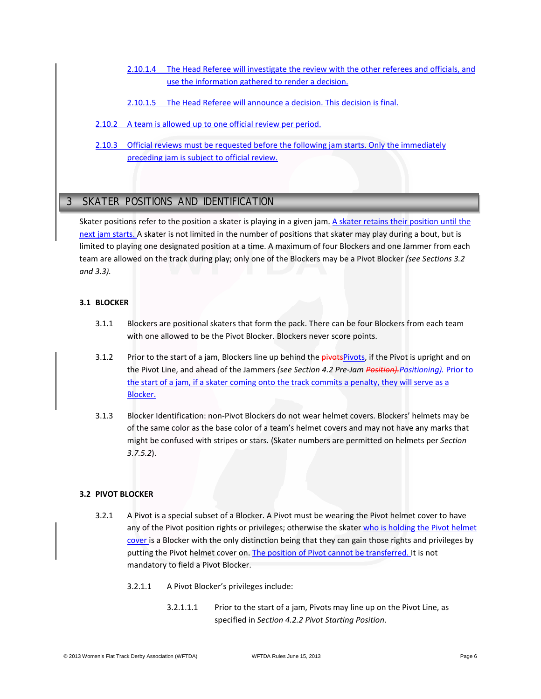- 2.10.1.4 The Head Referee will investigate the review with the other referees and officials, and use the information gathered to render a decision.
- 2.10.1.5 The Head Referee will announce a decision. This decision is final.
- 2.10.2 A team is allowed up to one official review per period.
- 2.10.3 Official reviews must be requested before the following jam starts. Only the immediately preceding jam is subject to official review.

# **3 SKATER POSITIONS AND IDENTIFICATION** 3 SKATER POSITIONS AND IDENTIFICATION

Skater positions refer to the position a skater is playing in a given jam. A skater retains their position until the next jam starts. A skater is not limited in the number of positions that skater may play during a bout, but is limited to playing one designated position at a time. A maximum of four Blockers and one Jammer from each team are allowed on the track during play; only one of the Blockers may be a Pivot Blocker *(see Sections 3.2 and 3.3).*

# **3.1 BLOCKER**

- 3.1.1 Blockers are positional skaters that form the pack. There can be four Blockers from each team with one allowed to be the Pivot Blocker. Blockers never score points.
- 3.1.2 Prior to the start of a jam, Blockers line up behind the pivotsPivots, if the Pivot is upright and on the Pivot Line, and ahead of the Jammers *(see Section 4.2 Pre-Jam Position).Positioning).* Prior to the start of a jam, if a skater coming onto the track commits a penalty, they will serve as a Blocker.
- 3.1.3 Blocker Identification: non-Pivot Blockers do not wear helmet covers. Blockers' helmets may be of the same color as the base color of a team's helmet covers and may not have any marks that might be confused with stripes or stars. (Skater numbers are permitted on helmets per *Section 3.7.5.2*).

### **3.2 PIVOT BLOCKER**

- 3.2.1 A Pivot is a special subset of a Blocker. A Pivot must be wearing the Pivot helmet cover to have any of the Pivot position rights or privileges; otherwise the skater who is holding the Pivot helmet cover is a Blocker with the only distinction being that they can gain those rights and privileges by putting the Pivot helmet cover on. The position of Pivot cannot be transferred. It is not mandatory to field a Pivot Blocker.
	- 3.2.1.1 A Pivot Blocker's privileges include:
		- 3.2.1.1.1 Prior to the start of a jam, Pivots may line up on the Pivot Line, as specified in *Section 4.2.2 Pivot Starting Position*.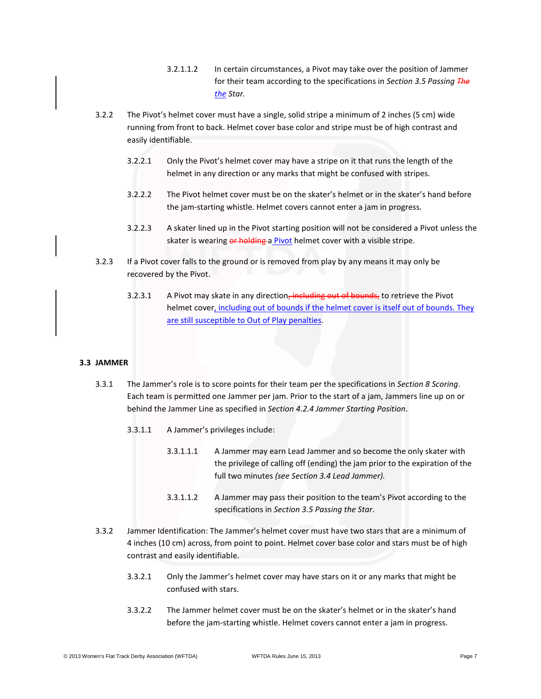- 3.2.1.1.2 In certain circumstances, a Pivot may take over the position of Jammer for their team according to the specifications in *Section 3.5 Passing The the Star.*
- 3.2.2 The Pivot's helmet cover must have a single, solid stripe a minimum of 2 inches (5 cm) wide running from front to back. Helmet cover base color and stripe must be of high contrast and easily identifiable.
	- 3.2.2.1 Only the Pivot's helmet cover may have a stripe on it that runs the length of the helmet in any direction or any marks that might be confused with stripes.
	- 3.2.2.2 The Pivot helmet cover must be on the skater's helmet or in the skater's hand before the jam-starting whistle. Helmet covers cannot enter a jam in progress.
	- 3.2.2.3 A skater lined up in the Pivot starting position will not be considered a Pivot unless the skater is wearing or holding a Pivot helmet cover with a visible stripe.
- 3.2.3 If a Pivot cover falls to the ground or is removed from play by any means it may only be recovered by the Pivot.
	- 3.2.3.1 A Pivot may skate in any direction, including out of bounds, to retrieve the Pivot helmet cover, including out of bounds if the helmet cover is itself out of bounds. They are still susceptible to Out of Play penalties.

### **3.3 JAMMER**

- 3.3.1 The Jammer's role is to score points for their team per the specifications in *Section 8 Scoring*. Each team is permitted one Jammer per jam. Prior to the start of a jam, Jammers line up on or behind the Jammer Line as specified in *Section 4.2.4 Jammer Starting Position*.
	- 3.3.1.1 A Jammer's privileges include:
		- 3.3.1.1.1 A Jammer may earn Lead Jammer and so become the only skater with the privilege of calling off (ending) the jam prior to the expiration of the full two minutes *(see Section 3.4 Lead Jammer).*
		- 3.3.1.1.2 A Jammer may pass their position to the team's Pivot according to the specifications in *Section 3.5 Passing the Star*.
- 3.3.2 Jammer Identification: The Jammer's helmet cover must have two stars that are a minimum of 4 inches (10 cm) across, from point to point. Helmet cover base color and stars must be of high contrast and easily identifiable.
	- 3.3.2.1 Only the Jammer's helmet cover may have stars on it or any marks that might be confused with stars.
	- 3.3.2.2 The Jammer helmet cover must be on the skater's helmet or in the skater's hand before the jam-starting whistle. Helmet covers cannot enter a jam in progress.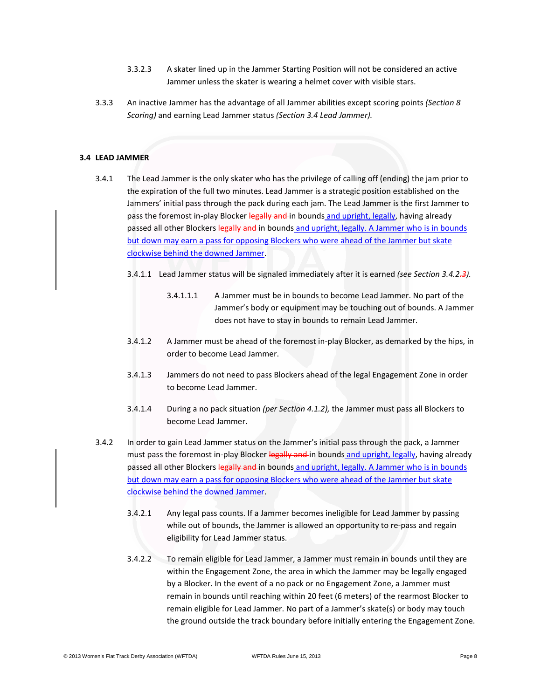- 3.3.2.3 A skater lined up in the Jammer Starting Position will not be considered an active Jammer unless the skater is wearing a helmet cover with visible stars.
- 3.3.3 An inactive Jammer has the advantage of all Jammer abilities except scoring points *(Section 8 Scoring)* and earning Lead Jammer status *(Section 3.4 Lead Jammer).*

#### **3.4 LEAD JAMMER**

- 3.4.1 The Lead Jammer is the only skater who has the privilege of calling off (ending) the jam prior to the expiration of the full two minutes. Lead Jammer is a strategic position established on the Jammers' initial pass through the pack during each jam. The Lead Jammer is the first Jammer to pass the foremost in-play Blocker legally and in bounds and upright, legally, having already passed all other Blockers legally and in bounds and upright, legally. A Jammer who is in bounds but down may earn a pass for opposing Blockers who were ahead of the Jammer but skate clockwise behind the downed Jammer.
	- 3.4.1.1 Lead Jammer status will be signaled immediately after it is earned *(see Section 3.4.2.3).*
		- 3.4.1.1.1 A Jammer must be in bounds to become Lead Jammer. No part of the Jammer's body or equipment may be touching out of bounds. A Jammer does not have to stay in bounds to remain Lead Jammer.
	- 3.4.1.2 A Jammer must be ahead of the foremost in-play Blocker, as demarked by the hips, in order to become Lead Jammer.
	- 3.4.1.3 Jammers do not need to pass Blockers ahead of the legal Engagement Zone in order to become Lead Jammer.
	- 3.4.1.4 During a no pack situation *(per Section 4.1.2),* the Jammer must pass all Blockers to become Lead Jammer.
- 3.4.2 In order to gain Lead Jammer status on the Jammer's initial pass through the pack, a Jammer must pass the foremost in-play Blocker legally and in bounds and upright, legally, having already passed all other Blockers legally and in bounds and upright, legally. A Jammer who is in bounds but down may earn a pass for opposing Blockers who were ahead of the Jammer but skate clockwise behind the downed Jammer.
	- 3.4.2.1 Any legal pass counts. If a Jammer becomes ineligible for Lead Jammer by passing while out of bounds, the Jammer is allowed an opportunity to re-pass and regain eligibility for Lead Jammer status.
	- 3.4.2.2 To remain eligible for Lead Jammer, a Jammer must remain in bounds until they are within the Engagement Zone, the area in which the Jammer may be legally engaged by a Blocker. In the event of a no pack or no Engagement Zone, a Jammer must remain in bounds until reaching within 20 feet (6 meters) of the rearmost Blocker to remain eligible for Lead Jammer. No part of a Jammer's skate(s) or body may touch the ground outside the track boundary before initially entering the Engagement Zone.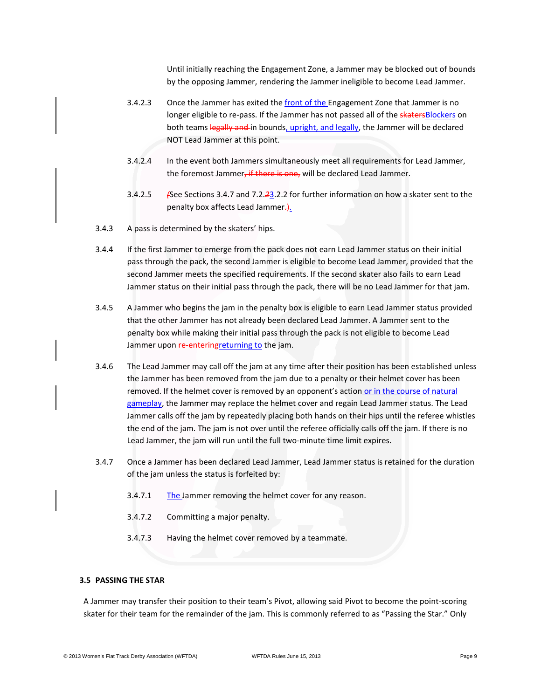Until initially reaching the Engagement Zone, a Jammer may be blocked out of bounds by the opposing Jammer, rendering the Jammer ineligible to become Lead Jammer.

- 3.4.2.3 Once the Jammer has exited the front of the Engagement Zone that Jammer is no longer eligible to re-pass. If the Jammer has not passed all of the skaters Blockers on both teams legally and in bounds, upright, and legally, the Jammer will be declared NOT Lead Jammer at this point.
- 3.4.2.4 In the event both Jammers simultaneously meet all requirements for Lead Jammer, the foremost Jammer, if there is one, will be declared Lead Jammer.
- 3.4.2.5 *(*See Sections 3.4.7 and 7.2.*2*3.2.2 for further information on how a skater sent to the penalty box affects Lead Jammer.
- 3.4.3 A pass is determined by the skaters' hips.
- 3.4.4 If the first Jammer to emerge from the pack does not earn Lead Jammer status on their initial pass through the pack, the second Jammer is eligible to become Lead Jammer, provided that the second Jammer meets the specified requirements. If the second skater also fails to earn Lead Jammer status on their initial pass through the pack, there will be no Lead Jammer for that jam.
- 3.4.5 A Jammer who begins the jam in the penalty box is eligible to earn Lead Jammer status provided that the other Jammer has not already been declared Lead Jammer. A Jammer sent to the penalty box while making their initial pass through the pack is not eligible to become Lead Jammer upon re-entering returning to the jam.
- 3.4.6 The Lead Jammer may call off the jam at any time after their position has been established unless the Jammer has been removed from the jam due to a penalty or their helmet cover has been removed. If the helmet cover is removed by an opponent's action or in the course of natural gameplay, the Jammer may replace the helmet cover and regain Lead Jammer status. The Lead Jammer calls off the jam by repeatedly placing both hands on their hips until the referee whistles the end of the jam. The jam is not over until the referee officially calls off the jam. If there is no Lead Jammer, the jam will run until the full two-minute time limit expires.
- 3.4.7 Once a Jammer has been declared Lead Jammer, Lead Jammer status is retained for the duration of the jam unless the status is forfeited by:
	- 3.4.7.1 The Jammer removing the helmet cover for any reason.
	- 3.4.7.2 Committing a major penalty.
	- 3.4.7.3 Having the helmet cover removed by a teammate.

# **3.5 PASSING THE STAR**

A Jammer may transfer their position to their team's Pivot, allowing said Pivot to become the point-scoring skater for their team for the remainder of the jam. This is commonly referred to as "Passing the Star." Only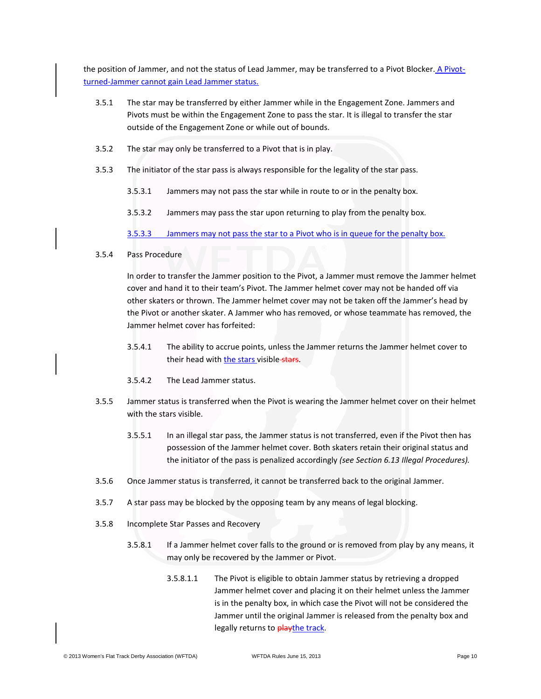the position of Jammer, and not the status of Lead Jammer, may be transferred to a Pivot Blocker. A Pivotturned-Jammer cannot gain Lead Jammer status.

- 3.5.1 The star may be transferred by either Jammer while in the Engagement Zone. Jammers and Pivots must be within the Engagement Zone to pass the star. It is illegal to transfer the star outside of the Engagement Zone or while out of bounds.
- 3.5.2 The star may only be transferred to a Pivot that is in play.
- 3.5.3 The initiator of the star pass is always responsible for the legality of the star pass.
	- 3.5.3.1 Jammers may not pass the star while in route to or in the penalty box.
	- 3.5.3.2 Jammers may pass the star upon returning to play from the penalty box.

3.5.3.3 Jammers may not pass the star to a Pivot who is in queue for the penalty box.

# 3.5.4 Pass Procedure

In order to transfer the Jammer position to the Pivot, a Jammer must remove the Jammer helmet cover and hand it to their team's Pivot. The Jammer helmet cover may not be handed off via other skaters or thrown. The Jammer helmet cover may not be taken off the Jammer's head by the Pivot or another skater. A Jammer who has removed, or whose teammate has removed, the Jammer helmet cover has forfeited:

- 3.5.4.1 The ability to accrue points, unless the Jammer returns the Jammer helmet cover to their head with the stars visible stars.
- 3.5.4.2 The Lead Jammer status.
- 3.5.5 Jammer status is transferred when the Pivot is wearing the Jammer helmet cover on their helmet with the stars visible.
	- 3.5.5.1 In an illegal star pass, the Jammer status is not transferred, even if the Pivot then has possession of the Jammer helmet cover. Both skaters retain their original status and the initiator of the pass is penalized accordingly *(see Section 6.13 Illegal Procedures).*
- 3.5.6 Once Jammer status is transferred, it cannot be transferred back to the original Jammer.
- 3.5.7 A star pass may be blocked by the opposing team by any means of legal blocking.
- 3.5.8 Incomplete Star Passes and Recovery
	- 3.5.8.1 If a Jammer helmet cover falls to the ground or is removed from play by any means, it may only be recovered by the Jammer or Pivot.
		- 3.5.8.1.1 The Pivot is eligible to obtain Jammer status by retrieving a dropped Jammer helmet cover and placing it on their helmet unless the Jammer is in the penalty box, in which case the Pivot will not be considered the Jammer until the original Jammer is released from the penalty box and legally returns to playthe track.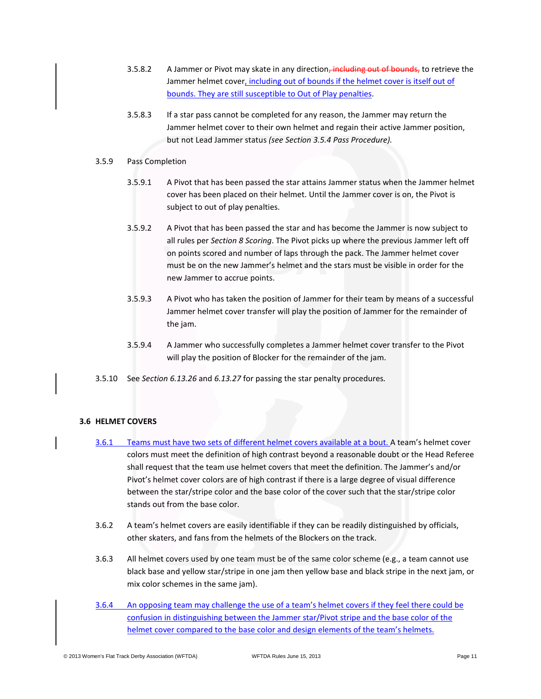- 3.5.8.2 A Jammer or Pivot may skate in any direction, including out of bounds, to retrieve the Jammer helmet cover, including out of bounds if the helmet cover is itself out of bounds. They are still susceptible to Out of Play penalties.
- 3.5.8.3 If a star pass cannot be completed for any reason, the Jammer may return the Jammer helmet cover to their own helmet and regain their active Jammer position, but not Lead Jammer status *(see Section 3.5.4 Pass Procedure).*

### 3.5.9 Pass Completion

- 3.5.9.1 A Pivot that has been passed the star attains Jammer status when the Jammer helmet cover has been placed on their helmet. Until the Jammer cover is on, the Pivot is subject to out of play penalties.
- 3.5.9.2 A Pivot that has been passed the star and has become the Jammer is now subject to all rules per *Section 8 Scoring*. The Pivot picks up where the previous Jammer left off on points scored and number of laps through the pack. The Jammer helmet cover must be on the new Jammer's helmet and the stars must be visible in order for the new Jammer to accrue points.
- 3.5.9.3 A Pivot who has taken the position of Jammer for their team by means of a successful Jammer helmet cover transfer will play the position of Jammer for the remainder of the jam.
- 3.5.9.4 A Jammer who successfully completes a Jammer helmet cover transfer to the Pivot will play the position of Blocker for the remainder of the jam.
- 3.5.10 See *Section 6.13.26* and *6.13.27* for passing the star penalty procedures*.*

# **3.6 HELMET COVERS**

- 3.6.1 Teams must have two sets of different helmet covers available at a bout. A team's helmet cover colors must meet the definition of high contrast beyond a reasonable doubt or the Head Referee shall request that the team use helmet covers that meet the definition. The Jammer's and/or Pivot's helmet cover colors are of high contrast if there is a large degree of visual difference between the star/stripe color and the base color of the cover such that the star/stripe color stands out from the base color.
- 3.6.2 A team's helmet covers are easily identifiable if they can be readily distinguished by officials, other skaters, and fans from the helmets of the Blockers on the track.
- 3.6.3 All helmet covers used by one team must be of the same color scheme (e.g., a team cannot use black base and yellow star/stripe in one jam then yellow base and black stripe in the next jam, or mix color schemes in the same jam).
- 3.6.4 An opposing team may challenge the use of a team's helmet covers if they feel there could be confusion in distinguishing between the Jammer star/Pivot stripe and the base color of the helmet cover compared to the base color and design elements of the team's helmets.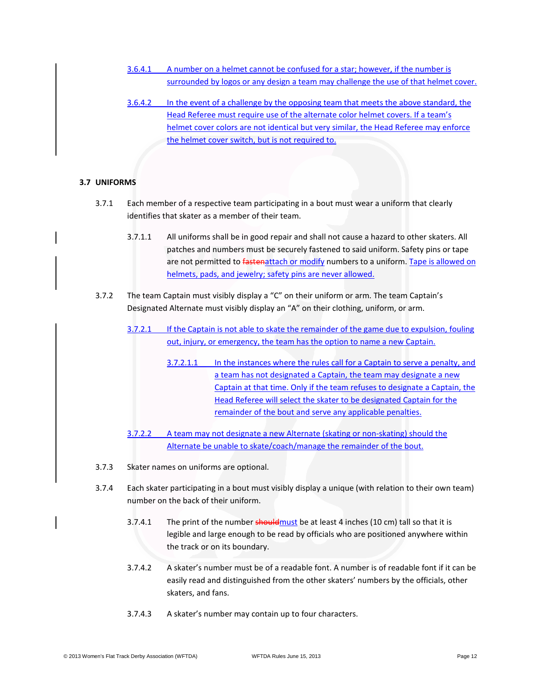- 3.6.4.1 A number on a helmet cannot be confused for a star; however, if the number is surrounded by logos or any design a team may challenge the use of that helmet cover.
- 3.6.4.2 In the event of a challenge by the opposing team that meets the above standard, the Head Referee must require use of the alternate color helmet covers. If a team's helmet cover colors are not identical but very similar, the Head Referee may enforce the helmet cover switch, but is not required to.

# **3.7 UNIFORMS**

- 3.7.1 Each member of a respective team participating in a bout must wear a uniform that clearly identifies that skater as a member of their team.
	- 3.7.1.1 All uniforms shall be in good repair and shall not cause a hazard to other skaters. All patches and numbers must be securely fastened to said uniform. Safety pins or tape are not permitted to fastenattach or modify numbers to a uniform. Tape is allowed on helmets, pads, and jewelry; safety pins are never allowed.
- 3.7.2 The team Captain must visibly display a "C" on their uniform or arm. The team Captain's Designated Alternate must visibly display an "A" on their clothing, uniform, or arm.
	- 3.7.2.1 If the Captain is not able to skate the remainder of the game due to expulsion, fouling out, injury, or emergency, the team has the option to name a new Captain.
		- 3.7.2.1.1 In the instances where the rules call for a Captain to serve a penalty, and a team has not designated a Captain, the team may designate a new Captain at that time. Only if the team refuses to designate a Captain, the Head Referee will select the skater to be designated Captain for the remainder of the bout and serve any applicable penalties.
	- 3.7.2.2 A team may not designate a new Alternate (skating or non-skating) should the Alternate be unable to skate/coach/manage the remainder of the bout.
- 3.7.3 Skater names on uniforms are optional.
- 3.7.4 Each skater participating in a bout must visibly display a unique (with relation to their own team) number on the back of their uniform.
	- 3.7.4.1 The print of the number should must be at least 4 inches (10 cm) tall so that it is legible and large enough to be read by officials who are positioned anywhere within the track or on its boundary.
	- 3.7.4.2 A skater's number must be of a readable font. A number is of readable font if it can be easily read and distinguished from the other skaters' numbers by the officials, other skaters, and fans.
	- 3.7.4.3 A skater's number may contain up to four characters.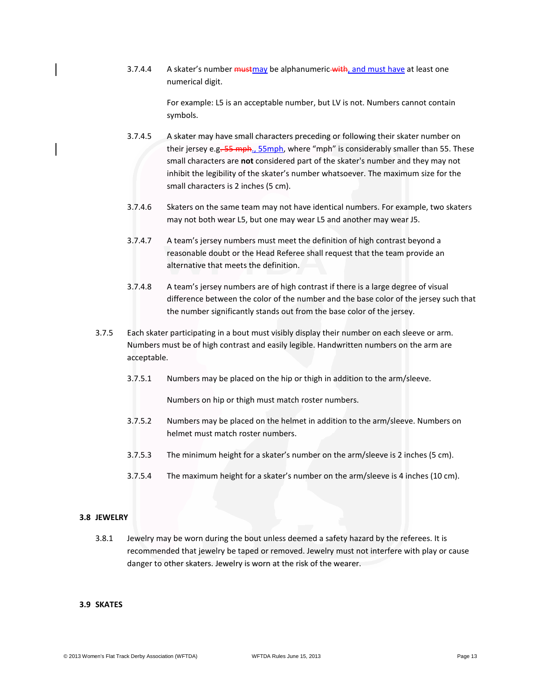3.7.4.4 A skater's number must may be alphanumeric with, and must have at least one numerical digit.

> For example: L5 is an acceptable number, but LV is not. Numbers cannot contain symbols.

- 3.7.4.5 A skater may have small characters preceding or following their skater number on their jersey e.g. 55 mph., 55mph, where "mph" is considerably smaller than 55. These small characters are **not** considered part of the skater's number and they may not inhibit the legibility of the skater's number whatsoever. The maximum size for the small characters is 2 inches (5 cm).
- 3.7.4.6 Skaters on the same team may not have identical numbers. For example, two skaters may not both wear L5, but one may wear L5 and another may wear J5.
- 3.7.4.7 A team's jersey numbers must meet the definition of high contrast beyond a reasonable doubt or the Head Referee shall request that the team provide an alternative that meets the definition.
- 3.7.4.8 A team's jersey numbers are of high contrast if there is a large degree of visual difference between the color of the number and the base color of the jersey such that the number significantly stands out from the base color of the jersey.
- 3.7.5 Each skater participating in a bout must visibly display their number on each sleeve or arm. Numbers must be of high contrast and easily legible. Handwritten numbers on the arm are acceptable.
	- 3.7.5.1 Numbers may be placed on the hip or thigh in addition to the arm/sleeve.

Numbers on hip or thigh must match roster numbers.

- 3.7.5.2 Numbers may be placed on the helmet in addition to the arm/sleeve. Numbers on helmet must match roster numbers.
- 3.7.5.3 The minimum height for a skater's number on the arm/sleeve is 2 inches (5 cm).
- 3.7.5.4 The maximum height for a skater's number on the arm/sleeve is 4 inches (10 cm).

### **3.8 JEWELRY**

3.8.1 Jewelry may be worn during the bout unless deemed a safety hazard by the referees. It is recommended that jewelry be taped or removed. Jewelry must not interfere with play or cause danger to other skaters. Jewelry is worn at the risk of the wearer.

# **3.9 SKATES**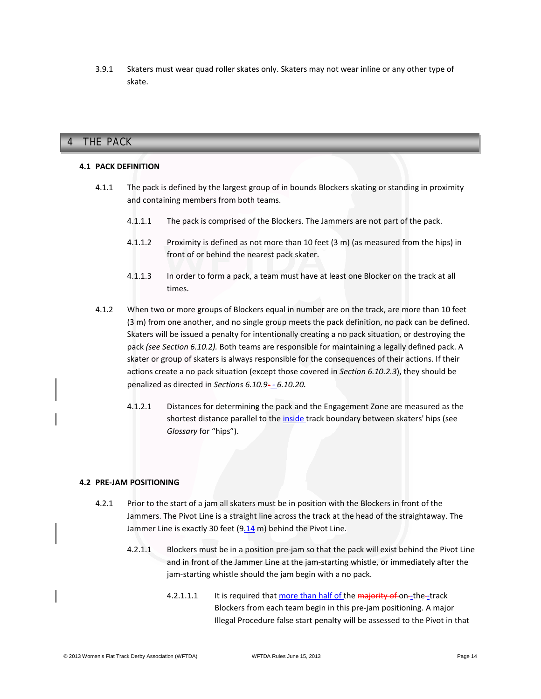3.9.1 Skaters must wear quad roller skates only. Skaters may not wear inline or any other type of skate.

# **4 THE PACK** 4 THE PACK

# **4.1 PACK DEFINITION**

- 4.1.1 The pack is defined by the largest group of in bounds Blockers skating or standing in proximity and containing members from both teams.
	- 4.1.1.1 The pack is comprised of the Blockers. The Jammers are not part of the pack.
	- 4.1.1.2 Proximity is defined as not more than 10 feet (3 m) (as measured from the hips) in front of or behind the nearest pack skater.
	- 4.1.1.3 In order to form a pack, a team must have at least one Blocker on the track at all times.
- 4.1.2 When two or more groups of Blockers equal in number are on the track, are more than 10 feet (3 m) from one another, and no single group meets the pack definition, no pack can be defined. Skaters will be issued a penalty for intentionally creating a no pack situation, or destroying the pack *(see Section 6.10.2).* Both teams are responsible for maintaining a legally defined pack. A skater or group of skaters is always responsible for the consequences of their actions. If their actions create a no pack situation (except those covered in *Section 6.10.2.3*), they should be penalized as directed in *Sections 6.10.9- - 6.10.20.*
	- 4.1.2.1 Distances for determining the pack and the Engagement Zone are measured as the shortest distance parallel to the inside track boundary between skaters' hips (see *Glossary* for "hips").

### **4.2 PRE-JAM POSITIONING**

- 4.2.1 Prior to the start of a jam all skaters must be in position with the Blockers in front of the Jammers. The Pivot Line is a straight line across the track at the head of the straightaway. The Jammer Line is exactly 30 feet (9.14 m) behind the Pivot Line.
	- 4.2.1.1 Blockers must be in a position pre-jam so that the pack will exist behind the Pivot Line and in front of the Jammer Line at the jam-starting whistle, or immediately after the jam-starting whistle should the jam begin with a no pack.
		- 4.2.1.1.1 It is required that more than half of the majority of on-the-track Blockers from each team begin in this pre-jam positioning. A major Illegal Procedure false start penalty will be assessed to the Pivot in that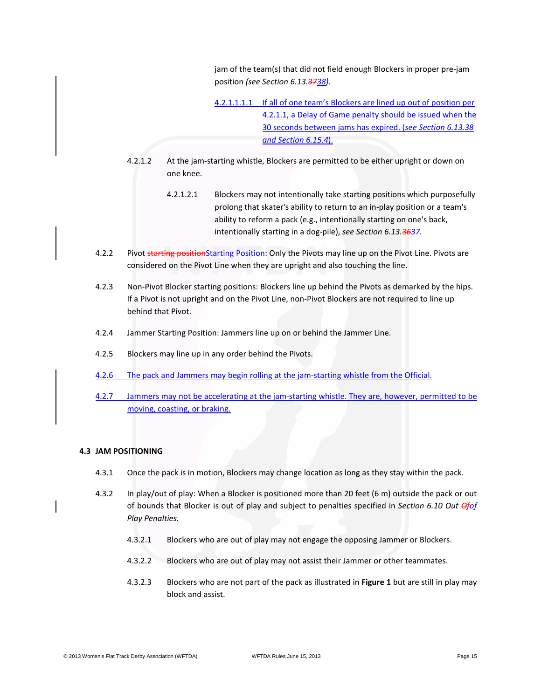jam of the team(s) that did not field enough Blockers in proper pre-jam position *(see Section 6.13.3738)*.

4.2.1.1.1.1 If all of one team's Blockers are lined up out of position per 4.2.1.1, a Delay of Game penalty should be issued when the 30 seconds between jams has expired. (*see Section 6.13.38 and Section 6.15.4*).

- 4.2.1.2 At the jam-starting whistle, Blockers are permitted to be either upright or down on one knee.
	- 4.2.1.2.1 Blockers may not intentionally take starting positions which purposefully prolong that skater's ability to return to an in-play position or a team's ability to reform a pack (e.g., intentionally starting on one's back, intentionally starting in a dog-pile), *see Section 6.13.3637.*
- 4.2.2 Pivot starting positionStarting Position: Only the Pivots may line up on the Pivot Line. Pivots are considered on the Pivot Line when they are upright and also touching the line.
- 4.2.3 Non-Pivot Blocker starting positions: Blockers line up behind the Pivots as demarked by the hips. If a Pivot is not upright and on the Pivot Line, non-Pivot Blockers are not required to line up behind that Pivot.
- 4.2.4 Jammer Starting Position: Jammers line up on or behind the Jammer Line.
- 4.2.5 Blockers may line up in any order behind the Pivots.
- 4.2.6 The pack and Jammers may begin rolling at the jam-starting whistle from the Official.
- 4.2.7 Jammers may not be accelerating at the jam-starting whistle. They are, however, permitted to be moving, coasting, or braking.

# **4.3 JAM POSITIONING**

- 4.3.1 Once the pack is in motion, Blockers may change location as long as they stay within the pack.
- 4.3.2 In play/out of play: When a Blocker is positioned more than 20 feet (6 m) outside the pack or out of bounds that Blocker is out of play and subject to penalties specified in *Section 6.10 Out Ofof Play Penalties.*
	- 4.3.2.1 Blockers who are out of play may not engage the opposing Jammer or Blockers.
	- 4.3.2.2 Blockers who are out of play may not assist their Jammer or other teammates.
	- 4.3.2.3 Blockers who are not part of the pack as illustrated in **Figure 1** but are still in play may block and assist.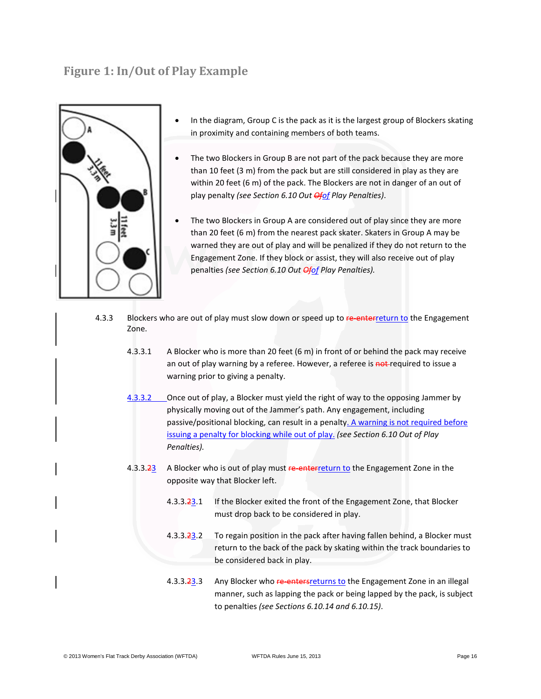# **Figure 1: In/Out of Play Example**



- In the diagram, Group C is the pack as it is the largest group of Blockers skating in proximity and containing members of both teams.
- The two Blockers in Group B are not part of the pack because they are more than 10 feet (3 m) from the pack but are still considered in play as they are within 20 feet (6 m) of the pack. The Blockers are not in danger of an out of play penalty *(see Section 6.10 Out Ofof Play Penalties)*.
- The two Blockers in Group A are considered out of play since they are more than 20 feet (6 m) from the nearest pack skater. Skaters in Group A may be warned they are out of play and will be penalized if they do not return to the Engagement Zone. If they block or assist, they will also receive out of play penalties *(see Section 6.10 Out Ofof Play Penalties).*
- 4.3.3 Blockers who are out of play must slow down or speed up to re-enterreturn to the Engagement Zone.
	- 4.3.3.1 A Blocker who is more than 20 feet (6 m) in front of or behind the pack may receive an out of play warning by a referee. However, a referee is not required to issue a warning prior to giving a penalty.
	- 4.3.3.2 Chice out of play, a Blocker must yield the right of way to the opposing Jammer by physically moving out of the Jammer's path. Any engagement, including passive/positional blocking, can result in a penalty. A warning is not required before issuing a penalty for blocking while out of play. *(see Section 6.10 Out of Play Penalties).*
	- 4.3.3.23 A Blocker who is out of play must re-enters return to the Engagement Zone in the opposite way that Blocker left.
		- 4.3.3.23.1 If the Blocker exited the front of the Engagement Zone, that Blocker must drop back to be considered in play.
		- 4.3.3.23.2 To regain position in the pack after having fallen behind, a Blocker must return to the back of the pack by skating within the track boundaries to be considered back in play.
		- 4.3.3.23.3 Any Blocker who re-enters returns to the Engagement Zone in an illegal manner, such as lapping the pack or being lapped by the pack, is subject to penalties *(see Sections 6.10.14 and 6.10.15)*.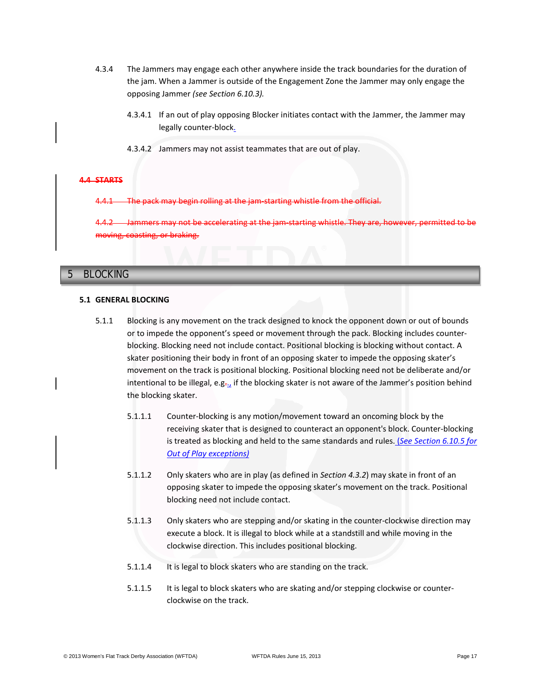- 4.3.4 The Jammers may engage each other anywhere inside the track boundaries for the duration of the jam. When a Jammer is outside of the Engagement Zone the Jammer may only engage the opposing Jammer *(see Section 6.10.3).*
	- 4.3.4.1 If an out of play opposing Blocker initiates contact with the Jammer, the Jammer may legally counter-block.
	- 4.3.4.2 Jammers may not assist teammates that are out of play.

# **4.4 STARTS**

may begin rolling at the jam-starting whistle from

Jammers may not be accelerating at the jam-starting whistle. They are, however, permitted to be moving, coasting, or braking.

# **5 BLOCKING** 5 BLOCKING

#### **5.1 GENERAL BLOCKING**

- 5.1.1 Blocking is any movement on the track designed to knock the opponent down or out of bounds or to impede the opponent's speed or movement through the pack. Blocking includes counterblocking. Blocking need not include contact. Positional blocking is blocking without contact. A skater positioning their body in front of an opposing skater to impede the opposing skater's movement on the track is positional blocking. Positional blocking need not be deliberate and/or intentional to be illegal, e.g. $\frac{1}{2}$  if the blocking skater is not aware of the Jammer's position behind the blocking skater.
	- 5.1.1.1 Counter-blocking is any motion/movement toward an oncoming block by the receiving skater that is designed to counteract an opponent's block. Counter-blocking is treated as blocking and held to the same standards and rules. (*See Section 6.10.5 for Out of Play exceptions)*
	- 5.1.1.2 Only skaters who are in play (as defined in *Section 4.3.2*) may skate in front of an opposing skater to impede the opposing skater's movement on the track. Positional blocking need not include contact.
	- 5.1.1.3 Only skaters who are stepping and/or skating in the counter-clockwise direction may execute a block. It is illegal to block while at a standstill and while moving in the clockwise direction. This includes positional blocking.
	- 5.1.1.4 It is legal to block skaters who are standing on the track.
	- 5.1.1.5 It is legal to block skaters who are skating and/or stepping clockwise or counterclockwise on the track.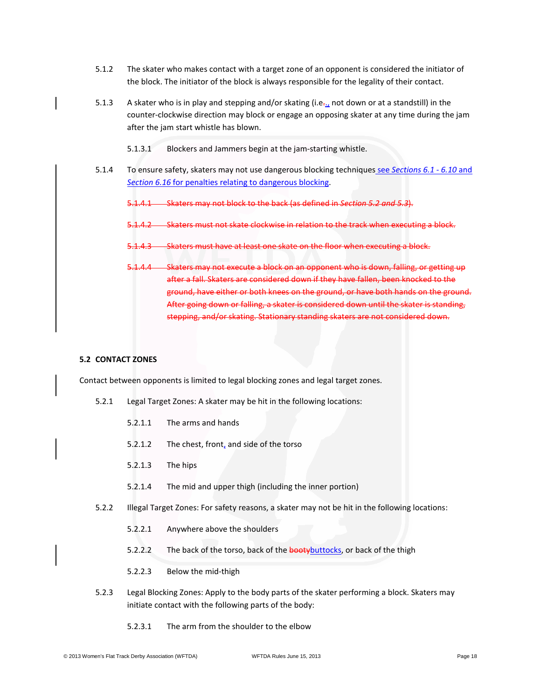- 5.1.2 The skater who makes contact with a target zone of an opponent is considered the initiator of the block. The initiator of the block is always responsible for the legality of their contact.
- 5.1.3 A skater who is in play and stepping and/or skating (i.e.., not down or at a standstill) in the counter-clockwise direction may block or engage an opposing skater at any time during the jam after the jam start whistle has blown.
	- 5.1.3.1 Blockers and Jammers begin at the jam-starting whistle.
- 5.1.4 To ensure safety, skaters may not use dangerous blocking techniques see *Sections 6.1 6.10* and *Section 6.16* for penalties relating to dangerous blocking.
	- 5.1.4.1 Skaters may not block to the back (as defined in *Section 5.2 and 5.3*).
	- 5.1.4.2 Skaters must not skate clockwise in relation to the track when executing a block.
	- 5.1.4.3 Skaters must have at least one skate on the floor when executing a block.
	- 5.1.4.4 Skaters may not execute a block on an opponent who is down, falling, or getting up after a fall. Skaters are considered down if they have fallen, been knocked to the ground, have either or both knees on the ground, or have both hands on the ground. After going down or falling, a skater is considered down until the skater is standing, stepping, and/or skating. Stationary standing skaters are not considered down.

### **5.2 CONTACT ZONES**

Contact between opponents is limited to legal blocking zones and legal target zones.

- 5.2.1 Legal Target Zones: A skater may be hit in the following locations:
	- 5.2.1.1 The arms and hands
	- 5.2.1.2 The chest, front, and side of the torso
	- 5.2.1.3 The hips
	- 5.2.1.4 The mid and upper thigh (including the inner portion)
- 5.2.2 Illegal Target Zones: For safety reasons, a skater may not be hit in the following locations:
	- 5.2.2.1 Anywhere above the shoulders
	- 5.2.2.2 The back of the torso, back of the **booty** buttocks, or back of the thigh
	- 5.2.2.3 Below the mid-thigh
- 5.2.3 Legal Blocking Zones: Apply to the body parts of the skater performing a block. Skaters may initiate contact with the following parts of the body:
	- 5.2.3.1 The arm from the shoulder to the elbow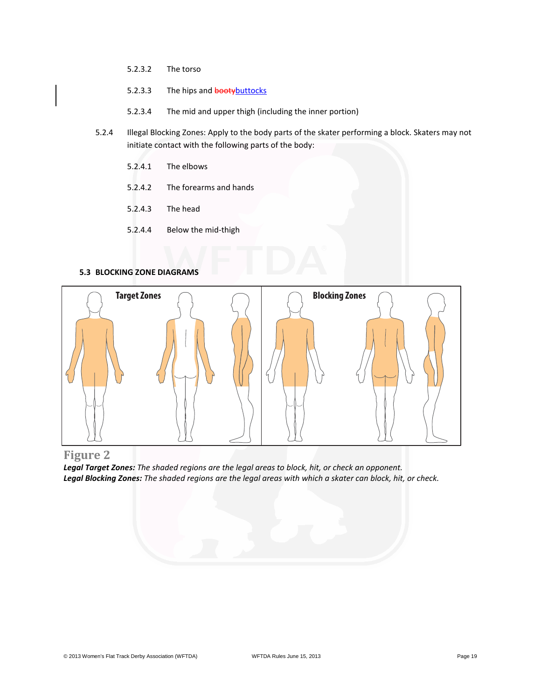- 5.2.3.2 The torso
- 5.2.3.3 The hips and bootybuttocks
- 5.2.3.4 The mid and upper thigh (including the inner portion)
- 5.2.4 Illegal Blocking Zones: Apply to the body parts of the skater performing a block. Skaters may not initiate contact with the following parts of the body:
	- 5.2.4.1 The elbows
	- 5.2.4.2 The forearms and hands
	- 5.2.4.3 The head
	- 5.2.4.4 Below the mid-thigh

#### **5.3 BLOCKING ZONE DIAGRAMS**



**Figure 2**

*Legal Target Zones: The shaded regions are the legal areas to block, hit, or check an opponent. Legal Blocking Zones: The shaded regions are the legal areas with which a skater can block, hit, or check.*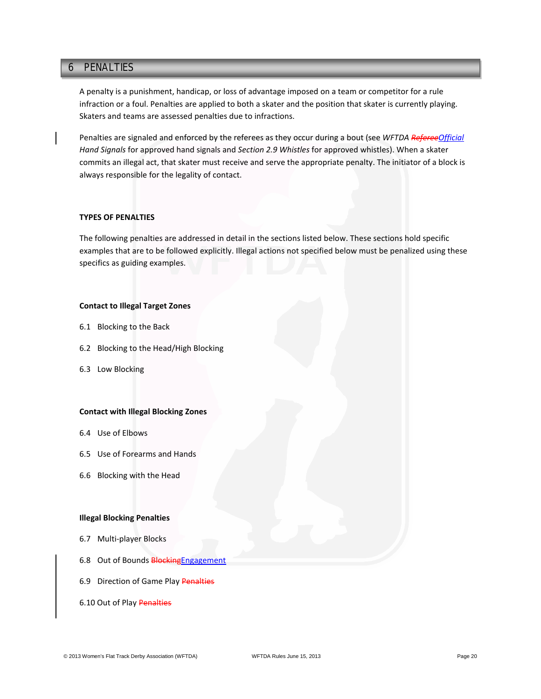# **6 PENALTIES** 6 PENALTIES

A penalty is a punishment, handicap, or loss of advantage imposed on a team or competitor for a rule infraction or a foul. Penalties are applied to both a skater and the position that skater is currently playing. Skaters and teams are assessed penalties due to infractions.

Penalties are signaled and enforced by the referees as they occur during a bout (see *WFTDA RefereeOfficial Hand Signals* for approved hand signals and *Section 2.9 Whistles* for approved whistles). When a skater commits an illegal act, that skater must receive and serve the appropriate penalty. The initiator of a block is always responsible for the legality of contact.

#### **TYPES OF PENALTIES**

The following penalties are addressed in detail in the sections listed below. These sections hold specific examples that are to be followed explicitly. Illegal actions not specified below must be penalized using these specifics as guiding examples.

# **Contact to Illegal Target Zones**

- 6.1 Blocking to the Back
- 6.2 Blocking to the Head/High Blocking
- 6.3 Low Blocking

#### **Contact with Illegal Blocking Zones**

- 6.4 Use of Elbows
- 6.5 Use of Forearms and Hands
- 6.6 Blocking with the Head

#### **Illegal Blocking Penalties**

- 6.7 Multi-player Blocks
- 6.8 Out of Bounds **Blocking Engagement**
- 6.9 Direction of Game Play Penalties
- 6.10 Out of Play Penalties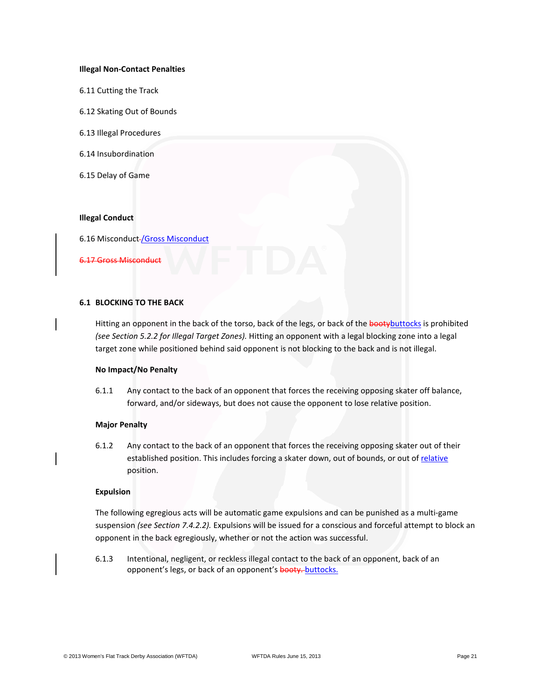#### **Illegal Non-Contact Penalties**

- 6.11 Cutting the Track
- 6.12 Skating Out of Bounds
- 6.13 Illegal Procedures
- 6.14 Insubordination
- 6.15 Delay of Game

## **Illegal Conduct**

6.16 Misconduct /Gross Misconduct

6.17 Gross Misconduct

# **6.1 BLOCKING TO THE BACK**

Hitting an opponent in the back of the torso, back of the legs, or back of the booty buttocks is prohibited *(see Section 5.2.2 for Illegal Target Zones).* Hitting an opponent with a legal blocking zone into a legal target zone while positioned behind said opponent is not blocking to the back and is not illegal.

#### **No Impact/No Penalty**

6.1.1 Any contact to the back of an opponent that forces the receiving opposing skater off balance, forward, and/or sideways, but does not cause the opponent to lose relative position.

### **Major Penalty**

6.1.2 Any contact to the back of an opponent that forces the receiving opposing skater out of their established position. This includes forcing a skater down, out of bounds, or out of relative position.

#### **Expulsion**

The following egregious acts will be automatic game expulsions and can be punished as a multi-game suspension *(see Section 7.4.2.2).* Expulsions will be issued for a conscious and forceful attempt to block an opponent in the back egregiously, whether or not the action was successful.

6.1.3 Intentional, negligent, or reckless illegal contact to the back of an opponent, back of an opponent's legs, or back of an opponent's booty. buttocks.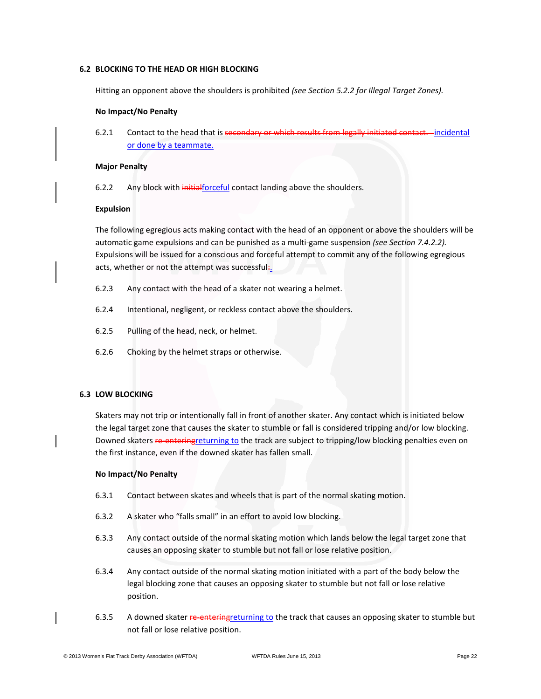# **6.2 BLOCKING TO THE HEAD OR HIGH BLOCKING**

Hitting an opponent above the shoulders is prohibited *(see Section 5.2.2 for Illegal Target Zones).*

### **No Impact/No Penalty**

6.2.1 Contact to the head that is secondary or which results from legally initiated contact. incidental or done by a teammate.

### **Major Penalty**

6.2.2 Any block with *initialforceful* contact landing above the shoulders.

# **Expulsion**

The following egregious acts making contact with the head of an opponent or above the shoulders will be automatic game expulsions and can be punished as a multi-game suspension *(see Section 7.4.2.2).* Expulsions will be issued for a conscious and forceful attempt to commit any of the following egregious acts, whether or not the attempt was successful.

- 6.2.3 Any contact with the head of a skater not wearing a helmet.
- 6.2.4 Intentional, negligent, or reckless contact above the shoulders.
- 6.2.5 Pulling of the head, neck, or helmet.
- 6.2.6 Choking by the helmet straps or otherwise.

# **6.3 LOW BLOCKING**

Skaters may not trip or intentionally fall in front of another skater. Any contact which is initiated below the legal target zone that causes the skater to stumble or fall is considered tripping and/or low blocking. Downed skaters re-enteringreturning to the track are subject to tripping/low blocking penalties even on the first instance, even if the downed skater has fallen small.

### **No Impact/No Penalty**

- 6.3.1 Contact between skates and wheels that is part of the normal skating motion.
- 6.3.2 A skater who "falls small" in an effort to avoid low blocking.
- 6.3.3 Any contact outside of the normal skating motion which lands below the legal target zone that causes an opposing skater to stumble but not fall or lose relative position.
- 6.3.4 Any contact outside of the normal skating motion initiated with a part of the body below the legal blocking zone that causes an opposing skater to stumble but not fall or lose relative position.
- 6.3.5 A downed skater re-entering returning to the track that causes an opposing skater to stumble but not fall or lose relative position.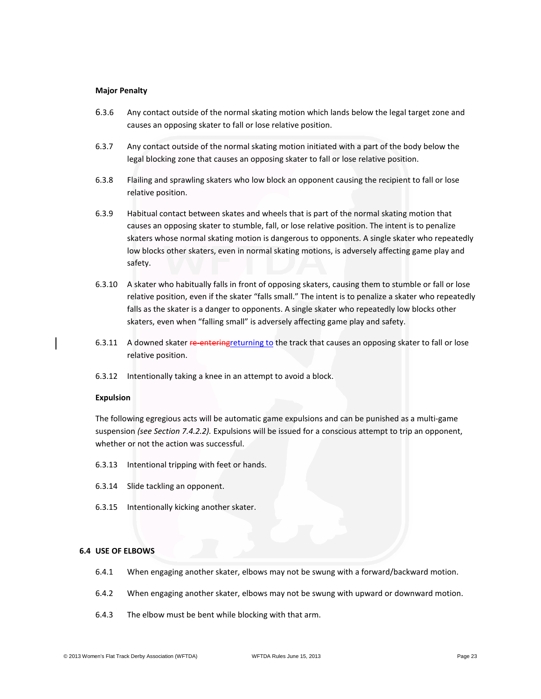#### **Major Penalty**

- 6.3.6 Any contact outside of the normal skating motion which lands below the legal target zone and causes an opposing skater to fall or lose relative position.
- 6.3.7 Any contact outside of the normal skating motion initiated with a part of the body below the legal blocking zone that causes an opposing skater to fall or lose relative position.
- 6.3.8 Flailing and sprawling skaters who low block an opponent causing the recipient to fall or lose relative position.
- 6.3.9 Habitual contact between skates and wheels that is part of the normal skating motion that causes an opposing skater to stumble, fall, or lose relative position. The intent is to penalize skaters whose normal skating motion is dangerous to opponents. A single skater who repeatedly low blocks other skaters, even in normal skating motions, is adversely affecting game play and safety.
- 6.3.10 A skater who habitually falls in front of opposing skaters, causing them to stumble or fall or lose relative position, even if the skater "falls small." The intent is to penalize a skater who repeatedly falls as the skater is a danger to opponents. A single skater who repeatedly low blocks other skaters, even when "falling small" is adversely affecting game play and safety.
- 6.3.11 A downed skater re-entering returning to the track that causes an opposing skater to fall or lose relative position.
- 6.3.12 Intentionally taking a knee in an attempt to avoid a block.

### **Expulsion**

The following egregious acts will be automatic game expulsions and can be punished as a multi-game suspension *(see Section 7.4.2.2).* Expulsions will be issued for a conscious attempt to trip an opponent, whether or not the action was successful.

- 6.3.13 Intentional tripping with feet or hands.
- 6.3.14 Slide tackling an opponent.
- 6.3.15 Intentionally kicking another skater.

# **6.4 USE OF ELBOWS**

- 6.4.1 When engaging another skater, elbows may not be swung with a forward/backward motion.
- 6.4.2 When engaging another skater, elbows may not be swung with upward or downward motion.
- 6.4.3 The elbow must be bent while blocking with that arm.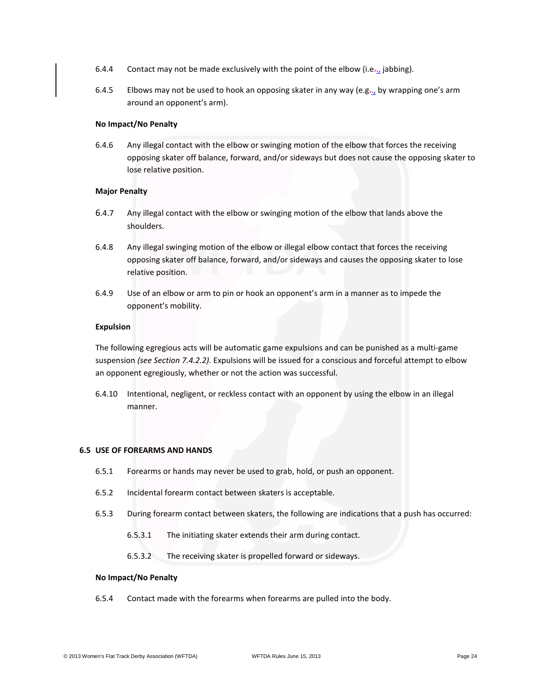- 6.4.4 Contact may not be made exclusively with the point of the elbow (i.e., jabbing).
- 6.4.5 Elbows may not be used to hook an opposing skater in any way (e.g., by wrapping one's arm around an opponent's arm).

# **No Impact/No Penalty**

6.4.6 Any illegal contact with the elbow or swinging motion of the elbow that forces the receiving opposing skater off balance, forward, and/or sideways but does not cause the opposing skater to lose relative position.

### **Major Penalty**

- 6.4.7 Any illegal contact with the elbow or swinging motion of the elbow that lands above the shoulders.
- 6.4.8 Any illegal swinging motion of the elbow or illegal elbow contact that forces the receiving opposing skater off balance, forward, and/or sideways and causes the opposing skater to lose relative position.
- 6.4.9 Use of an elbow or arm to pin or hook an opponent's arm in a manner as to impede the opponent's mobility.

### **Expulsion**

The following egregious acts will be automatic game expulsions and can be punished as a multi-game suspension *(see Section 7.4.2.2).* Expulsions will be issued for a conscious and forceful attempt to elbow an opponent egregiously, whether or not the action was successful.

6.4.10 Intentional, negligent, or reckless contact with an opponent by using the elbow in an illegal manner.

### **6.5 USE OF FOREARMS AND HANDS**

- 6.5.1 Forearms or hands may never be used to grab, hold, or push an opponent.
- 6.5.2 Incidental forearm contact between skaters is acceptable.
- 6.5.3 During forearm contact between skaters, the following are indications that a push has occurred:
	- 6.5.3.1 The initiating skater extends their arm during contact.
	- 6.5.3.2 The receiving skater is propelled forward or sideways.

### **No Impact/No Penalty**

6.5.4 Contact made with the forearms when forearms are pulled into the body.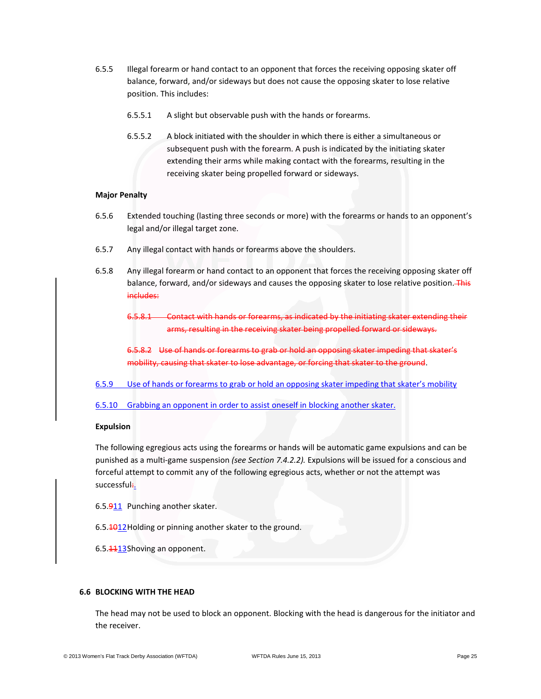- 6.5.5 Illegal forearm or hand contact to an opponent that forces the receiving opposing skater off balance, forward, and/or sideways but does not cause the opposing skater to lose relative position. This includes:
	- 6.5.5.1 A slight but observable push with the hands or forearms.
	- 6.5.5.2 A block initiated with the shoulder in which there is either a simultaneous or subsequent push with the forearm. A push is indicated by the initiating skater extending their arms while making contact with the forearms, resulting in the receiving skater being propelled forward or sideways.

### **Major Penalty**

- 6.5.6 Extended touching (lasting three seconds or more) with the forearms or hands to an opponent's legal and/or illegal target zone.
- 6.5.7 Any illegal contact with hands or forearms above the shoulders.
- 6.5.8 Any illegal forearm or hand contact to an opponent that forces the receiving opposing skater off balance, forward, and/or sideways and causes the opposing skater to lose relative position. This includes:

6.5.8.1 Contact with hands or forearms, as indicated by the initiating skater extending their arms, resulting in the receiving skater being propelled forward or sideways.

6.5.8.2 Use of hands or forearms to grab or hold an opposing skater impeding that skater's mobility, causing that skater to lose advantage, or forcing that skater to the ground.

- 6.5.9 Use of hands or forearms to grab or hold an opposing skater impeding that skater's mobility
- 6.5.10 Grabbing an opponent in order to assist oneself in blocking another skater.

### **Expulsion**

The following egregious acts using the forearms or hands will be automatic game expulsions and can be punished as a multi-game suspension *(see Section 7.4.2.2).* Expulsions will be issued for a conscious and forceful attempt to commit any of the following egregious acts, whether or not the attempt was successful.

6.5.911 Punching another skater.

6.5.1012Holding or pinning another skater to the ground.

6.5.4413Shoving an opponent.

# **6.6 BLOCKING WITH THE HEAD**

The head may not be used to block an opponent. Blocking with the head is dangerous for the initiator and the receiver.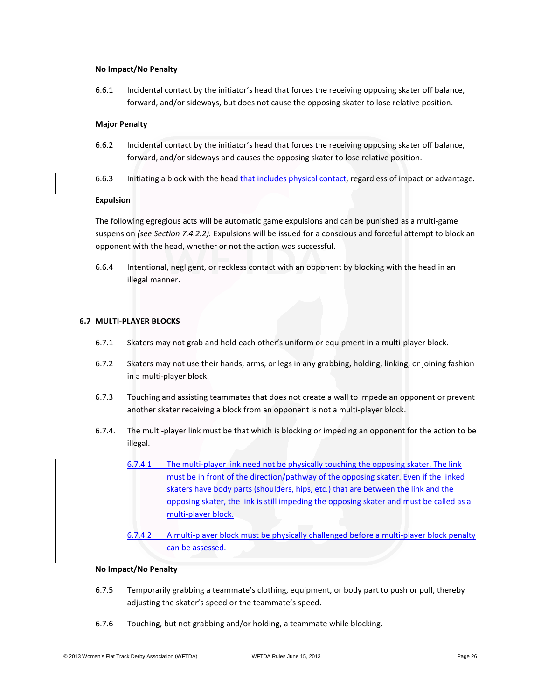#### **No Impact/No Penalty**

6.6.1 Incidental contact by the initiator's head that forces the receiving opposing skater off balance, forward, and/or sideways, but does not cause the opposing skater to lose relative position.

#### **Major Penalty**

- 6.6.2 Incidental contact by the initiator's head that forces the receiving opposing skater off balance, forward, and/or sideways and causes the opposing skater to lose relative position.
- 6.6.3 Initiating a block with the head that includes physical contact, regardless of impact or advantage.

#### **Expulsion**

The following egregious acts will be automatic game expulsions and can be punished as a multi-game suspension *(see Section 7.4.2.2).* Expulsions will be issued for a conscious and forceful attempt to block an opponent with the head, whether or not the action was successful.

6.6.4 Intentional, negligent, or reckless contact with an opponent by blocking with the head in an illegal manner.

# **6.7 MULTI-PLAYER BLOCKS**

- 6.7.1 Skaters may not grab and hold each other's uniform or equipment in a multi-player block.
- 6.7.2 Skaters may not use their hands, arms, or legs in any grabbing, holding, linking, or joining fashion in a multi-player block.
- 6.7.3 Touching and assisting teammates that does not create a wall to impede an opponent or prevent another skater receiving a block from an opponent is not a multi-player block.
- 6.7.4. The multi-player link must be that which is blocking or impeding an opponent for the action to be illegal.
	- 6.7.4.1 The multi-player link need not be physically touching the opposing skater. The link must be in front of the direction/pathway of the opposing skater. Even if the linked skaters have body parts (shoulders, hips, etc.) that are between the link and the opposing skater, the link is still impeding the opposing skater and must be called as a multi-player block.
	- 6.7.4.2 A multi-player block must be physically challenged before a multi-player block penalty can be assessed.

#### **No Impact/No Penalty**

- 6.7.5 Temporarily grabbing a teammate's clothing, equipment, or body part to push or pull, thereby adjusting the skater's speed or the teammate's speed.
- 6.7.6 Touching, but not grabbing and/or holding, a teammate while blocking.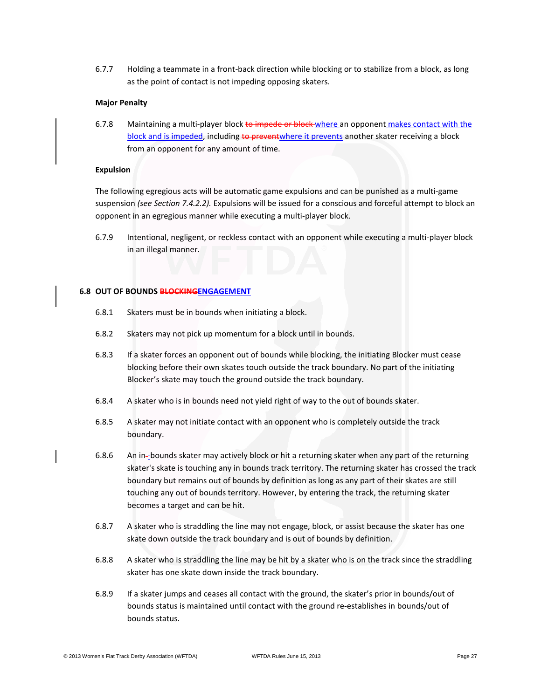6.7.7 Holding a teammate in a front-back direction while blocking or to stabilize from a block, as long as the point of contact is not impeding opposing skaters.

#### **Major Penalty**

6.7.8 Maintaining a multi-player block to impede or block where an opponent makes contact with the block and is impeded, including to preventwhere it prevents another skater receiving a block from an opponent for any amount of time.

#### **Expulsion**

The following egregious acts will be automatic game expulsions and can be punished as a multi-game suspension *(see Section 7.4.2.2).* Expulsions will be issued for a conscious and forceful attempt to block an opponent in an egregious manner while executing a multi-player block.

6.7.9 Intentional, negligent, or reckless contact with an opponent while executing a multi-player block in an illegal manner.

# **6.8 OUT OF BOUNDS BLOCKINGENGAGEMENT**

- 6.8.1 Skaters must be in bounds when initiating a block.
- 6.8.2 Skaters may not pick up momentum for a block until in bounds.
- 6.8.3 If a skater forces an opponent out of bounds while blocking, the initiating Blocker must cease blocking before their own skates touch outside the track boundary. No part of the initiating Blocker's skate may touch the ground outside the track boundary.
- 6.8.4 A skater who is in bounds need not yield right of way to the out of bounds skater.
- 6.8.5 A skater may not initiate contact with an opponent who is completely outside the track boundary.
- 6.8.6 An in-bounds skater may actively block or hit a returning skater when any part of the returning skater's skate is touching any in bounds track territory. The returning skater has crossed the track boundary but remains out of bounds by definition as long as any part of their skates are still touching any out of bounds territory. However, by entering the track, the returning skater becomes a target and can be hit.
- 6.8.7 A skater who is straddling the line may not engage, block, or assist because the skater has one skate down outside the track boundary and is out of bounds by definition.
- 6.8.8 A skater who is straddling the line may be hit by a skater who is on the track since the straddling skater has one skate down inside the track boundary.
- 6.8.9 If a skater jumps and ceases all contact with the ground, the skater's prior in bounds/out of bounds status is maintained until contact with the ground re-establishes in bounds/out of bounds status.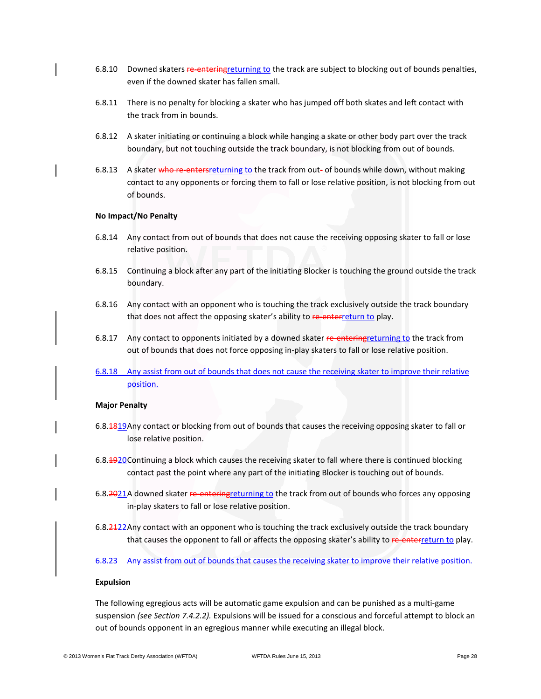- 6.8.10 Downed skaters re-entering returning to the track are subject to blocking out of bounds penalties, even if the downed skater has fallen small.
- 6.8.11 There is no penalty for blocking a skater who has jumped off both skates and left contact with the track from in bounds.
- 6.8.12 A skater initiating or continuing a block while hanging a skate or other body part over the track boundary, but not touching outside the track boundary, is not blocking from out of bounds.
- 6.8.13 A skater who re-enters returning to the track from out- of bounds while down, without making contact to any opponents or forcing them to fall or lose relative position, is not blocking from out of bounds.

#### **No Impact/No Penalty**

- 6.8.14 Any contact from out of bounds that does not cause the receiving opposing skater to fall or lose relative position.
- 6.8.15 Continuing a block after any part of the initiating Blocker is touching the ground outside the track boundary.
- 6.8.16 Any contact with an opponent who is touching the track exclusively outside the track boundary that does not affect the opposing skater's ability to re-enterreturn to play.
- 6.8.17 Any contact to opponents initiated by a downed skater re-entering returning to the track from out of bounds that does not force opposing in-play skaters to fall or lose relative position.
- 6.8.18 Any assist from out of bounds that does not cause the receiving skater to improve their relative position.

#### **Major Penalty**

- 6.8.1819Any contact or blocking from out of bounds that causes the receiving opposing skater to fall or lose relative position.
- 6.8.1920 Continuing a block which causes the receiving skater to fall where there is continued blocking contact past the point where any part of the initiating Blocker is touching out of bounds.
- 6.8.2021A downed skater re-entering returning to the track from out of bounds who forces any opposing in-play skaters to fall or lose relative position.
- 6.8.2422Any contact with an opponent who is touching the track exclusively outside the track boundary that causes the opponent to fall or affects the opposing skater's ability to re-enterreturn to play.

6.8.23 Any assist from out of bounds that causes the receiving skater to improve their relative position.

### **Expulsion**

The following egregious acts will be automatic game expulsion and can be punished as a multi-game suspension *(see Section 7.4.2.2).* Expulsions will be issued for a conscious and forceful attempt to block an out of bounds opponent in an egregious manner while executing an illegal block.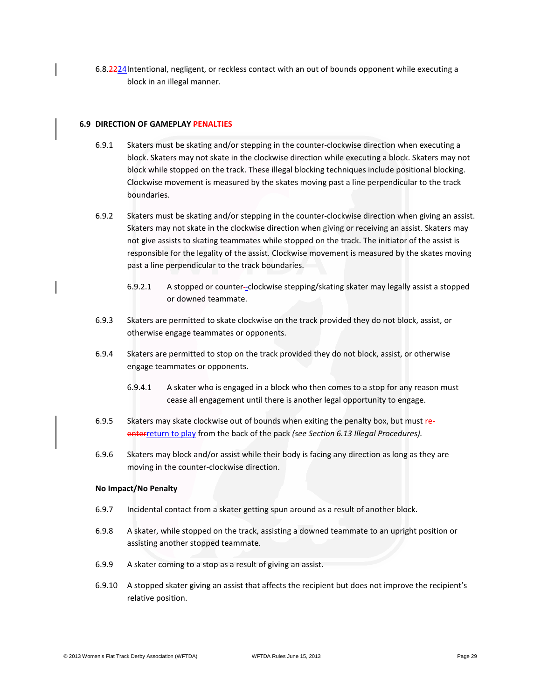6.8.2224Intentional, negligent, or reckless contact with an out of bounds opponent while executing a block in an illegal manner.

# **6.9 DIRECTION OF GAMEPLAY PENALTIES**

- 6.9.1 Skaters must be skating and/or stepping in the counter-clockwise direction when executing a block. Skaters may not skate in the clockwise direction while executing a block. Skaters may not block while stopped on the track. These illegal blocking techniques include positional blocking. Clockwise movement is measured by the skates moving past a line perpendicular to the track boundaries.
- 6.9.2 Skaters must be skating and/or stepping in the counter-clockwise direction when giving an assist. Skaters may not skate in the clockwise direction when giving or receiving an assist. Skaters may not give assists to skating teammates while stopped on the track. The initiator of the assist is responsible for the legality of the assist. Clockwise movement is measured by the skates moving past a line perpendicular to the track boundaries.
	- 6.9.2.1 A stopped or counter-clockwise stepping/skating skater may legally assist a stopped or downed teammate.
- 6.9.3 Skaters are permitted to skate clockwise on the track provided they do not block, assist, or otherwise engage teammates or opponents.
- 6.9.4 Skaters are permitted to stop on the track provided they do not block, assist, or otherwise engage teammates or opponents.
	- 6.9.4.1 A skater who is engaged in a block who then comes to a stop for any reason must cease all engagement until there is another legal opportunity to engage.
- 6.9.5 Skaters may skate clockwise out of bounds when exiting the penalty box, but must reenterreturn to play from the back of the pack *(see Section 6.13 Illegal Procedures).*
- 6.9.6 Skaters may block and/or assist while their body is facing any direction as long as they are moving in the counter-clockwise direction.

#### **No Impact/No Penalty**

- 6.9.7 Incidental contact from a skater getting spun around as a result of another block.
- 6.9.8 A skater, while stopped on the track, assisting a downed teammate to an upright position or assisting another stopped teammate.
- 6.9.9 A skater coming to a stop as a result of giving an assist.
- 6.9.10 A stopped skater giving an assist that affects the recipient but does not improve the recipient's relative position.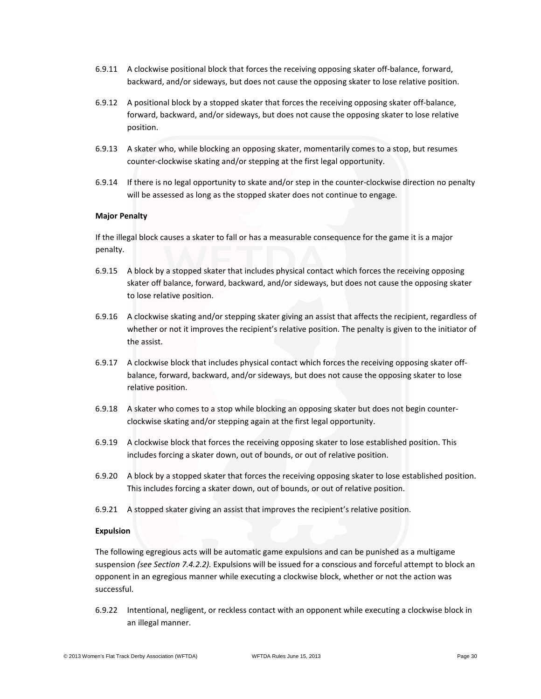- 6.9.11 A clockwise positional block that forces the receiving opposing skater off-balance, forward, backward, and/or sideways, but does not cause the opposing skater to lose relative position.
- 6.9.12 A positional block by a stopped skater that forces the receiving opposing skater off-balance, forward, backward, and/or sideways, but does not cause the opposing skater to lose relative position.
- 6.9.13 A skater who, while blocking an opposing skater, momentarily comes to a stop, but resumes counter-clockwise skating and/or stepping at the first legal opportunity.
- 6.9.14 If there is no legal opportunity to skate and/or step in the counter-clockwise direction no penalty will be assessed as long as the stopped skater does not continue to engage.

#### **Major Penalty**

If the illegal block causes a skater to fall or has a measurable consequence for the game it is a major penalty.

- 6.9.15 A block by a stopped skater that includes physical contact which forces the receiving opposing skater off balance, forward, backward, and/or sideways, but does not cause the opposing skater to lose relative position.
- 6.9.16 A clockwise skating and/or stepping skater giving an assist that affects the recipient, regardless of whether or not it improves the recipient's relative position. The penalty is given to the initiator of the assist.
- 6.9.17 A clockwise block that includes physical contact which forces the receiving opposing skater offbalance, forward, backward, and/or sideways, but does not cause the opposing skater to lose relative position.
- 6.9.18 A skater who comes to a stop while blocking an opposing skater but does not begin counterclockwise skating and/or stepping again at the first legal opportunity.
- 6.9.19 A clockwise block that forces the receiving opposing skater to lose established position. This includes forcing a skater down, out of bounds, or out of relative position.
- 6.9.20 A block by a stopped skater that forces the receiving opposing skater to lose established position. This includes forcing a skater down, out of bounds, or out of relative position.
- 6.9.21 A stopped skater giving an assist that improves the recipient's relative position.

#### **Expulsion**

The following egregious acts will be automatic game expulsions and can be punished as a multigame suspension *(see Section 7.4.2.2).* Expulsions will be issued for a conscious and forceful attempt to block an opponent in an egregious manner while executing a clockwise block, whether or not the action was successful.

6.9.22 Intentional, negligent, or reckless contact with an opponent while executing a clockwise block in an illegal manner.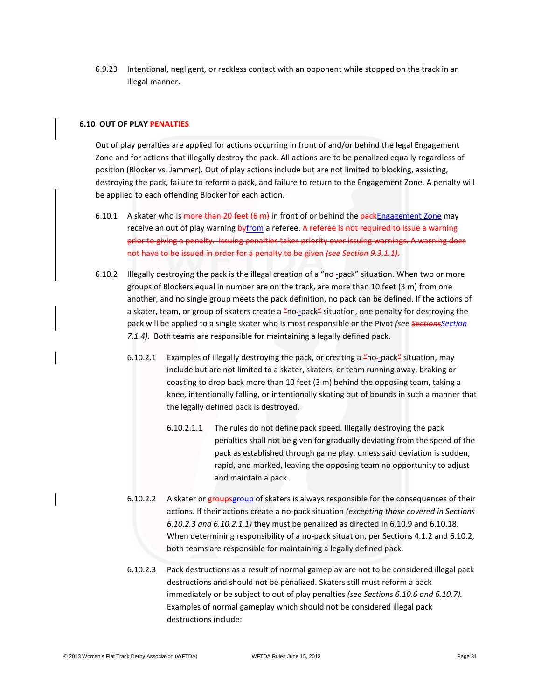6.9.23 Intentional, negligent, or reckless contact with an opponent while stopped on the track in an illegal manner.

### **6.10 OUT OF PLAY PENALTIES**

Out of play penalties are applied for actions occurring in front of and/or behind the legal Engagement Zone and for actions that illegally destroy the pack. All actions are to be penalized equally regardless of position (Blocker vs. Jammer). Out of play actions include but are not limited to blocking, assisting, destroying the pack, failure to reform a pack, and failure to return to the Engagement Zone. A penalty will be applied to each offending Blocker for each action.

- 6.10.1 A skater who is more than 20 feet (6 m) in front of or behind the packEngagement Zone may receive an out of play warning byfrom a referee. A referee is not required to issue a warning prior to giving a penalty. Issuing penalties takes priority over issuing warnings. A warning does not have to be issued in order for a penalty to be given *(see Section 9.3.1.1).*
- 6.10.2 Illegally destroying the pack is the illegal creation of a "no--pack" situation. When two or more groups of Blockers equal in number are on the track, are more than 10 feet (3 m) from one another, and no single group meets the pack definition, no pack can be defined. If the actions of a skater, team, or group of skaters create a "no--pack" situation, one penalty for destroying the pack will be applied to a single skater who is most responsible or the Pivot *(see SectionsSection 7.1.4).* Both teams are responsible for maintaining a legally defined pack.
	- 6.10.2.1 Examples of illegally destroying the pack, or creating a "no-pack" situation, may include but are not limited to a skater, skaters, or team running away, braking or coasting to drop back more than 10 feet (3 m) behind the opposing team, taking a knee, intentionally falling, or intentionally skating out of bounds in such a manner that the legally defined pack is destroyed.
		- 6.10.2.1.1 The rules do not define pack speed. Illegally destroying the pack penalties shall not be given for gradually deviating from the speed of the pack as established through game play, unless said deviation is sudden, rapid, and marked, leaving the opposing team no opportunity to adjust and maintain a pack.
	- 6.10.2.2 A skater or groups group of skaters is always responsible for the consequences of their actions. If their actions create a no-pack situation *(excepting those covered in Sections 6.10.2.3 and 6.10.2.1.1)* they must be penalized as directed in 6.10.9 and 6.10.18. When determining responsibility of a no-pack situation, per Sections 4.1.2 and 6.10.2, both teams are responsible for maintaining a legally defined pack.
	- 6.10.2.3 Pack destructions as a result of normal gameplay are not to be considered illegal pack destructions and should not be penalized. Skaters still must reform a pack immediately or be subject to out of play penalties *(see Sections 6.10.6 and 6.10.7).*  Examples of normal gameplay which should not be considered illegal pack destructions include: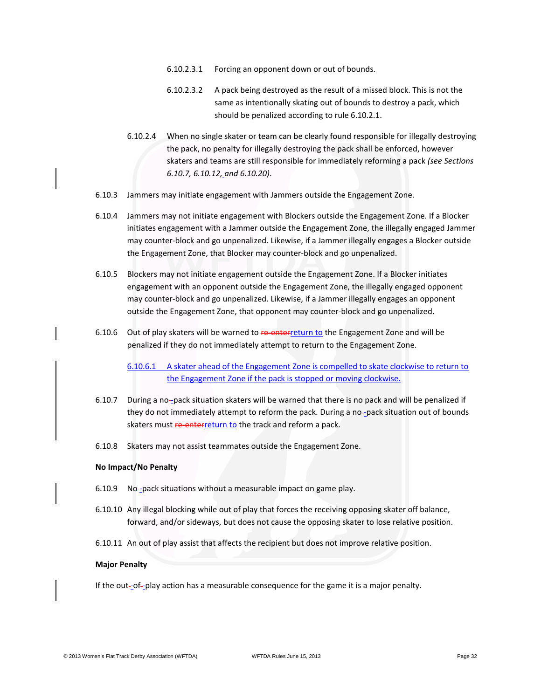- 6.10.2.3.1 Forcing an opponent down or out of bounds.
- 6.10.2.3.2 A pack being destroyed as the result of a missed block. This is not the same as intentionally skating out of bounds to destroy a pack, which should be penalized according to rule 6.10.2.1.
- 6.10.2.4 When no single skater or team can be clearly found responsible for illegally destroying the pack, no penalty for illegally destroying the pack shall be enforced, however skaters and teams are still responsible for immediately reforming a pack *(see Sections 6.10.7, 6.10.12, and 6.10.20)*.
- 6.10.3 Jammers may initiate engagement with Jammers outside the Engagement Zone.
- 6.10.4 Jammers may not initiate engagement with Blockers outside the Engagement Zone. If a Blocker initiates engagement with a Jammer outside the Engagement Zone, the illegally engaged Jammer may counter-block and go unpenalized. Likewise, if a Jammer illegally engages a Blocker outside the Engagement Zone, that Blocker may counter-block and go unpenalized.
- 6.10.5 Blockers may not initiate engagement outside the Engagement Zone. If a Blocker initiates engagement with an opponent outside the Engagement Zone, the illegally engaged opponent may counter-block and go unpenalized. Likewise, if a Jammer illegally engages an opponent outside the Engagement Zone, that opponent may counter-block and go unpenalized.
- 6.10.6 Out of play skaters will be warned to re-enterreturn to the Engagement Zone and will be penalized if they do not immediately attempt to return to the Engagement Zone.

6.10.6.1 A skater ahead of the Engagement Zone is compelled to skate clockwise to return to the Engagement Zone if the pack is stopped or moving clockwise.

- 6.10.7 During a no-pack situation skaters will be warned that there is no pack and will be penalized if they do not immediately attempt to reform the pack. During a no-pack situation out of bounds skaters must **re-enterreturn to** the track and reform a pack.
- 6.10.8 Skaters may not assist teammates outside the Engagement Zone.

#### **No Impact/No Penalty**

- 6.10.9 No-pack situations without a measurable impact on game play.
- 6.10.10 Any illegal blocking while out of play that forces the receiving opposing skater off balance, forward, and/or sideways, but does not cause the opposing skater to lose relative position.
- 6.10.11 An out of play assist that affects the recipient but does not improve relative position.

#### **Major Penalty**

If the out-of--play action has a measurable consequence for the game it is a major penalty.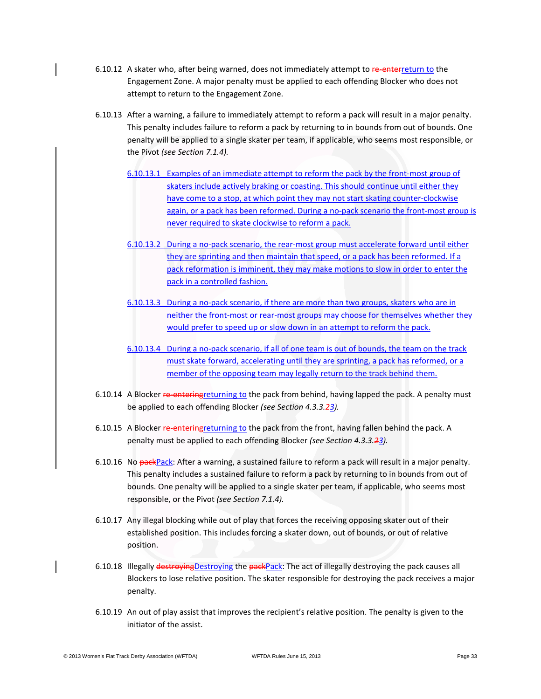- 6.10.12 A skater who, after being warned, does not immediately attempt to re-enterreturn to the Engagement Zone. A major penalty must be applied to each offending Blocker who does not attempt to return to the Engagement Zone.
- 6.10.13 After a warning, a failure to immediately attempt to reform a pack will result in a major penalty. This penalty includes failure to reform a pack by returning to in bounds from out of bounds. One penalty will be applied to a single skater per team, if applicable, who seems most responsible, or the Pivot *(see Section 7.1.4).*
	- 6.10.13.1 Examples of an immediate attempt to reform the pack by the front-most group of skaters include actively braking or coasting. This should continue until either they have come to a stop, at which point they may not start skating counter-clockwise again, or a pack has been reformed. During a no-pack scenario the front-most group is never required to skate clockwise to reform a pack.
	- 6.10.13.2 During a no-pack scenario, the rear-most group must accelerate forward until either they are sprinting and then maintain that speed, or a pack has been reformed. If a pack reformation is imminent, they may make motions to slow in order to enter the pack in a controlled fashion.
	- 6.10.13.3 During a no-pack scenario, if there are more than two groups, skaters who are in neither the front-most or rear-most groups may choose for themselves whether they would prefer to speed up or slow down in an attempt to reform the pack.
	- 6.10.13.4 During a no-pack scenario, if all of one team is out of bounds, the team on the track must skate forward, accelerating until they are sprinting, a pack has reformed, or a member of the opposing team may legally return to the track behind them.
- 6.10.14 A Blocker re-entering returning to the pack from behind, having lapped the pack. A penalty must be applied to each offending Blocker *(see Section 4.3.3.23).*
- 6.10.15 A Blocker re-entering returning to the pack from the front, having fallen behind the pack. A penalty must be applied to each offending Blocker *(see Section 4.3.3.23).*
- 6.10.16 No packPack: After a warning, a sustained failure to reform a pack will result in a major penalty. This penalty includes a sustained failure to reform a pack by returning to in bounds from out of bounds. One penalty will be applied to a single skater per team, if applicable, who seems most responsible, or the Pivot *(see Section 7.1.4).*
- 6.10.17 Any illegal blocking while out of play that forces the receiving opposing skater out of their established position. This includes forcing a skater down, out of bounds, or out of relative position.
- 6.10.18 Illegally destroyingDestroying the packPack: The act of illegally destroying the pack causes all Blockers to lose relative position. The skater responsible for destroying the pack receives a major penalty.
- 6.10.19 An out of play assist that improves the recipient's relative position. The penalty is given to the initiator of the assist.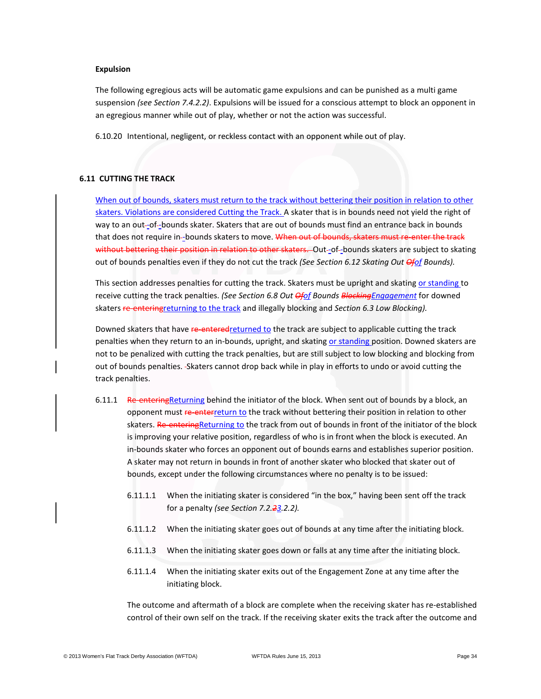#### **Expulsion**

The following egregious acts will be automatic game expulsions and can be punished as a multi game suspension *(see Section 7.4.2.2)*. Expulsions will be issued for a conscious attempt to block an opponent in an egregious manner while out of play, whether or not the action was successful.

6.10.20 Intentional, negligent, or reckless contact with an opponent while out of play.

### **6.11 CUTTING THE TRACK**

When out of bounds, skaters must return to the track without bettering their position in relation to other skaters. Violations are considered Cutting the Track. A skater that is in bounds need not yield the right of way to an out-of-bounds skater. Skaters that are out of bounds must find an entrance back in bounds that does not require in-bounds skaters to move. When out of bounds, skaters must re-enter the track without bettering their position in relation to other skaters. Out-of-bounds skaters are subject to skating out of bounds penalties even if they do not cut the track *(See Section 6.12 Skating Out Ofof Bounds).* 

This section addresses penalties for cutting the track. Skaters must be upright and skating or standing to receive cutting the track penalties. *(See Section 6.8 Out Ofof Bounds BlockingEngagement* for downed skaters re-enteringreturning to the track and illegally blocking and *Section 6.3 Low Blocking).*

Downed skaters that have re-enteredreturned to the track are subject to applicable cutting the track penalties when they return to an in-bounds, upright, and skating or standing position. Downed skaters are not to be penalized with cutting the track penalties, but are still subject to low blocking and blocking from out of bounds penalties. Skaters cannot drop back while in play in efforts to undo or avoid cutting the track penalties.

- 6.11.1 Re-entering Returning behind the initiator of the block. When sent out of bounds by a block, an opponent must re-enterreturn to the track without bettering their position in relation to other skaters. Re-entering Returning to the track from out of bounds in front of the initiator of the block is improving your relative position, regardless of who is in front when the block is executed. An in-bounds skater who forces an opponent out of bounds earns and establishes superior position. A skater may not return in bounds in front of another skater who blocked that skater out of bounds, except under the following circumstances where no penalty is to be issued:
	- 6.11.1.1 When the initiating skater is considered "in the box," having been sent off the track for a penalty *(see Section 7.2.23.2.2).*
	- 6.11.1.2 When the initiating skater goes out of bounds at any time after the initiating block.
	- 6.11.1.3 When the initiating skater goes down or falls at any time after the initiating block.
	- 6.11.1.4 When the initiating skater exits out of the Engagement Zone at any time after the initiating block.

The outcome and aftermath of a block are complete when the receiving skater has re-established control of their own self on the track. If the receiving skater exits the track after the outcome and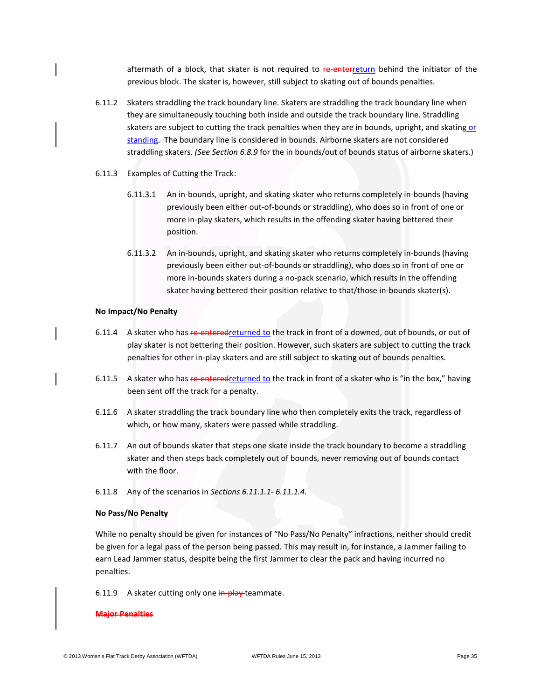aftermath of a block, that skater is not required to re-enterreturn behind the initiator of the previous block. The skater is, however, still subject to skating out of bounds penalties.

- 6.11.2 Skaters straddling the track boundary line. Skaters are straddling the track boundary line when they are simultaneously touching both inside and outside the track boundary line. Straddling skaters are subject to cutting the track penalties when they are in bounds, upright, and skating or standing. The boundary line is considered in bounds. Airborne skaters are not considered straddling skaters. *(See Section 6.8.9* for the in bounds/out of bounds status of airborne skaters.)
- 6.11.3 Examples of Cutting the Track:
	- 6.11.3.1 An in-bounds, upright, and skating skater who returns completely in-bounds (having previously been either out-of-bounds or straddling), who does so in front of one or more in-play skaters, which results in the offending skater having bettered their position.
	- 6.11.3.2 An in-bounds, upright, and skating skater who returns completely in-bounds (having previously been either out-of-bounds or straddling), who does so in front of one or more in-bounds skaters during a no-pack scenario, which results in the offending skater having bettered their position relative to that/those in-bounds skater(s).

#### **No Impact/No Penalty**

- 6.11.4 A skater who has re-enteredreturned to the track in front of a downed, out of bounds, or out of play skater is not bettering their position. However, such skaters are subject to cutting the track penalties for other in-play skaters and are still subject to skating out of bounds penalties.
- 6.11.5 A skater who has re-enteredreturned to the track in front of a skater who is "in the box," having been sent off the track for a penalty.
- 6.11.6 A skater straddling the track boundary line who then completely exits the track, regardless of which, or how many, skaters were passed while straddling.
- 6.11.7 An out of bounds skater that steps one skate inside the track boundary to become a straddling skater and then steps back completely out of bounds, never removing out of bounds contact with the floor.
- 6.11.8 Any of the scenarios in *Sections 6.11.1.1- 6.11.1.4.*

#### **No Pass/No Penalty**

While no penalty should be given for instances of "No Pass/No Penalty" infractions, neither should credit be given for a legal pass of the person being passed. This may result in, for instance, a Jammer failing to earn Lead Jammer status, despite being the first Jammer to clear the pack and having incurred no penalties.

#### 6.11.9 A skater cutting only one in-play-teammate.

#### **Major Penalties**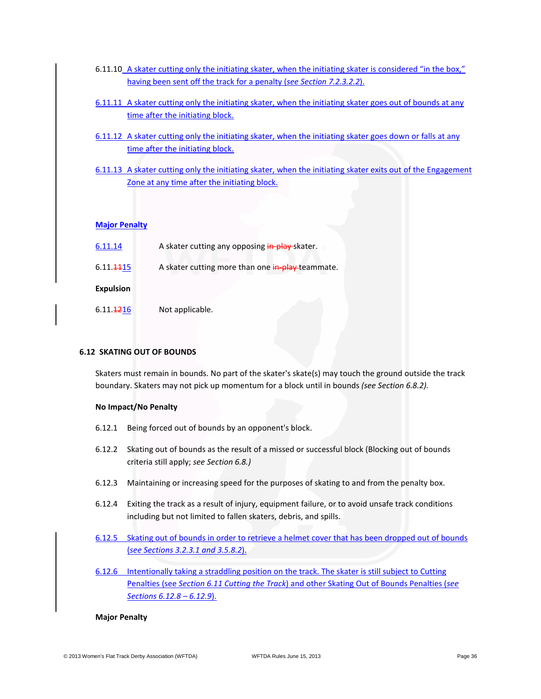- 6.11.10 A skater cutting only the initiating skater, when the initiating skater is considered "in the box," having been sent off the track for a penalty (*see Section 7.2.3.2.2*).
- 6.11.11 A skater cutting only the initiating skater, when the initiating skater goes out of bounds at any time after the initiating block.
- 6.11.12 A skater cutting only the initiating skater, when the initiating skater goes down or falls at any time after the initiating block.
- 6.11.13 A skater cutting only the initiating skater, when the initiating skater exits out of the Engagement Zone at any time after the initiating block.

# **Major Penalty**

| 6.11.14                | A skater cutting any opposing in play-skater.    |
|------------------------|--------------------------------------------------|
| 6.11.4415              | A skater cutting more than one in-play-teammate. |
| <b>Expulsion</b>       |                                                  |
| 6.11. <del>12</del> 16 | Not applicable.                                  |

### **6.12 SKATING OUT OF BOUNDS**

Skaters must remain in bounds. No part of the skater's skate(s) may touch the ground outside the track boundary. Skaters may not pick up momentum for a block until in bounds *(see Section 6.8.2).* 

### **No Impact/No Penalty**

- 6.12.1 Being forced out of bounds by an opponent's block.
- 6.12.2 Skating out of bounds as the result of a missed or successful block (Blocking out of bounds criteria still apply; *see Section 6.8.)*
- 6.12.3 Maintaining or increasing speed for the purposes of skating to and from the penalty box.
- 6.12.4 Exiting the track as a result of injury, equipment failure, or to avoid unsafe track conditions including but not limited to fallen skaters, debris, and spills.
- 6.12.5 Skating out of bounds in order to retrieve a helmet cover that has been dropped out of bounds (*see Sections 3.2.3.1 and 3.5.8.2*).
- 6.12.6 Intentionally taking a straddling position on the track. The skater is still subject to Cutting Penalties (see *Section 6.11 Cutting the Track*) and other Skating Out of Bounds Penalties (*see Sections 6.12.8 – 6.12.9*).

### **Major Penalty**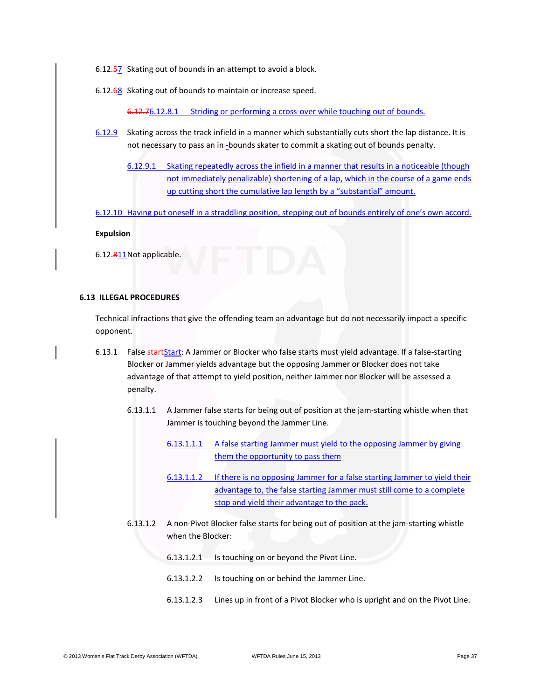- 6.12.57 Skating out of bounds in an attempt to avoid a block.
- 6.12.68 Skating out of bounds to maintain or increase speed.

6.12.76.12.8.1 Striding or performing a cross-over while touching out of bounds.

- 6.12.9 Skating across the track infield in a manner which substantially cuts short the lap distance. It is not necessary to pass an in-bounds skater to commit a skating out of bounds penalty.
	- 6.12.9.1 Skating repeatedly across the infield in a manner that results in a noticeable (though not immediately penalizable) shortening of a lap, which in the course of a game ends up cutting short the cumulative lap length by a "substantial" amount.
- 6.12.10 Having put oneself in a straddling position, stepping out of bounds entirely of one's own accord.

#### **Expulsion**

6.12.811Not applicable.

# **6.13 ILLEGAL PROCEDURES**

Technical infractions that give the offending team an advantage but do not necessarily impact a specific opponent.

- 6.13.1 False startStart: A Jammer or Blocker who false starts must yield advantage. If a false-starting Blocker or Jammer yields advantage but the opposing Jammer or Blocker does not take advantage of that attempt to yield position, neither Jammer nor Blocker will be assessed a penalty.
	- 6.13.1.1 A Jammer false starts for being out of position at the jam-starting whistle when that Jammer is touching beyond the Jammer Line.
		- 6.13.1.1.1 A false starting Jammer must yield to the opposing Jammer by giving them the opportunity to pass them
		- 6.13.1.1.2 If there is no opposing Jammer for a false starting Jammer to yield their advantage to, the false starting Jammer must still come to a complete stop and yield their advantage to the pack.
	- 6.13.1.2 A non-Pivot Blocker false starts for being out of position at the jam-starting whistle when the Blocker:
		- 6.13.1.2.1 Is touching on or beyond the Pivot Line.
		- 6.13.1.2.2 Is touching on or behind the Jammer Line.
		- 6.13.1.2.3 Lines up in front of a Pivot Blocker who is upright and on the Pivot Line.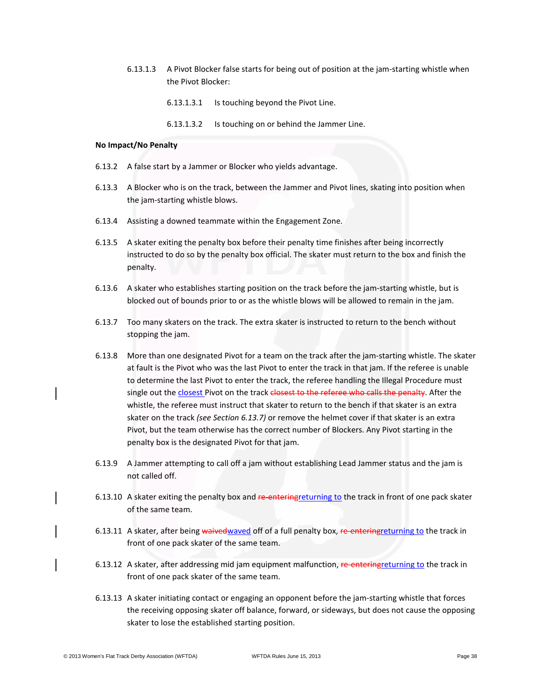- 6.13.1.3 A Pivot Blocker false starts for being out of position at the jam-starting whistle when the Pivot Blocker:
	- 6.13.1.3.1 Is touching beyond the Pivot Line.
	- 6.13.1.3.2 Is touching on or behind the Jammer Line.

### **No Impact/No Penalty**

- 6.13.2 A false start by a Jammer or Blocker who yields advantage.
- 6.13.3 A Blocker who is on the track, between the Jammer and Pivot lines, skating into position when the jam-starting whistle blows.
- 6.13.4 Assisting a downed teammate within the Engagement Zone.
- 6.13.5 A skater exiting the penalty box before their penalty time finishes after being incorrectly instructed to do so by the penalty box official. The skater must return to the box and finish the penalty.
- 6.13.6 A skater who establishes starting position on the track before the jam-starting whistle, but is blocked out of bounds prior to or as the whistle blows will be allowed to remain in the jam.
- 6.13.7 Too many skaters on the track. The extra skater is instructed to return to the bench without stopping the jam.
- 6.13.8 More than one designated Pivot for a team on the track after the jam-starting whistle. The skater at fault is the Pivot who was the last Pivot to enter the track in that jam. If the referee is unable to determine the last Pivot to enter the track, the referee handling the Illegal Procedure must single out the closest Pivot on the track closest to the referee who calls the penalty. After the whistle, the referee must instruct that skater to return to the bench if that skater is an extra skater on the track *(see Section 6.13.7)* or remove the helmet cover if that skater is an extra Pivot, but the team otherwise has the correct number of Blockers. Any Pivot starting in the penalty box is the designated Pivot for that jam.
- 6.13.9 A Jammer attempting to call off a jam without establishing Lead Jammer status and the jam is not called off.
- 6.13.10 A skater exiting the penalty box and re-entering returning to the track in front of one pack skater of the same team.
- 6.13.11 A skater, after being waived waved off of a full penalty box, re-entering returning to the track in front of one pack skater of the same team.
- 6.13.12 A skater, after addressing mid jam equipment malfunction, re-entering returning to the track in front of one pack skater of the same team.
- 6.13.13 A skater initiating contact or engaging an opponent before the jam-starting whistle that forces the receiving opposing skater off balance, forward, or sideways, but does not cause the opposing skater to lose the established starting position.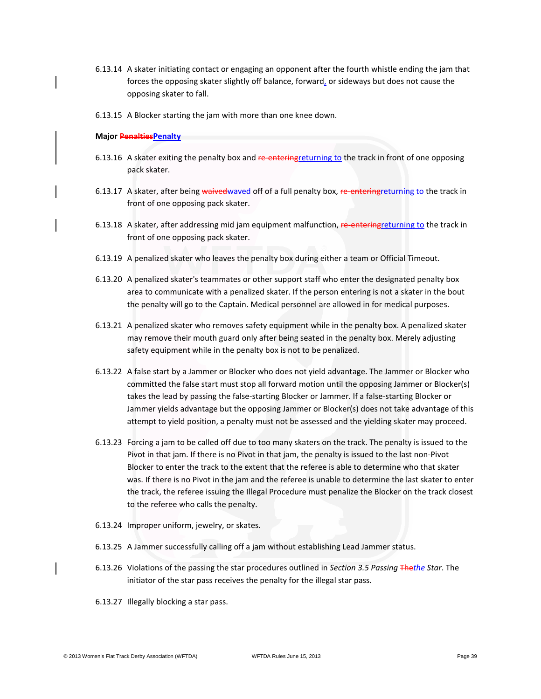- 6.13.14 A skater initiating contact or engaging an opponent after the fourth whistle ending the jam that forces the opposing skater slightly off balance, forward, or sideways but does not cause the opposing skater to fall.
- 6.13.15 A Blocker starting the jam with more than one knee down.

#### **Major PenaltiesPenalty**

- 6.13.16 A skater exiting the penalty box and re-entering returning to the track in front of one opposing pack skater.
- 6.13.17 A skater, after being waived waved off of a full penalty box, re-entering returning to the track in front of one opposing pack skater.
- 6.13.18 A skater, after addressing mid jam equipment malfunction, re-entering returning to the track in front of one opposing pack skater.
- 6.13.19 A penalized skater who leaves the penalty box during either a team or Official Timeout.
- 6.13.20 A penalized skater's teammates or other support staff who enter the designated penalty box area to communicate with a penalized skater. If the person entering is not a skater in the bout the penalty will go to the Captain. Medical personnel are allowed in for medical purposes.
- 6.13.21 A penalized skater who removes safety equipment while in the penalty box. A penalized skater may remove their mouth guard only after being seated in the penalty box. Merely adjusting safety equipment while in the penalty box is not to be penalized.
- 6.13.22 A false start by a Jammer or Blocker who does not yield advantage. The Jammer or Blocker who committed the false start must stop all forward motion until the opposing Jammer or Blocker(s) takes the lead by passing the false-starting Blocker or Jammer. If a false-starting Blocker or Jammer yields advantage but the opposing Jammer or Blocker(s) does not take advantage of this attempt to yield position, a penalty must not be assessed and the yielding skater may proceed.
- 6.13.23 Forcing a jam to be called off due to too many skaters on the track. The penalty is issued to the Pivot in that jam. If there is no Pivot in that jam, the penalty is issued to the last non-Pivot Blocker to enter the track to the extent that the referee is able to determine who that skater was. If there is no Pivot in the jam and the referee is unable to determine the last skater to enter the track, the referee issuing the Illegal Procedure must penalize the Blocker on the track closest to the referee who calls the penalty.
- 6.13.24 Improper uniform, jewelry, or skates.
- 6.13.25 A Jammer successfully calling off a jam without establishing Lead Jammer status.
- 6.13.26 Violations of the passing the star procedures outlined in *Section 3.5 Passing* The*the Star*. The initiator of the star pass receives the penalty for the illegal star pass.
- 6.13.27 Illegally blocking a star pass.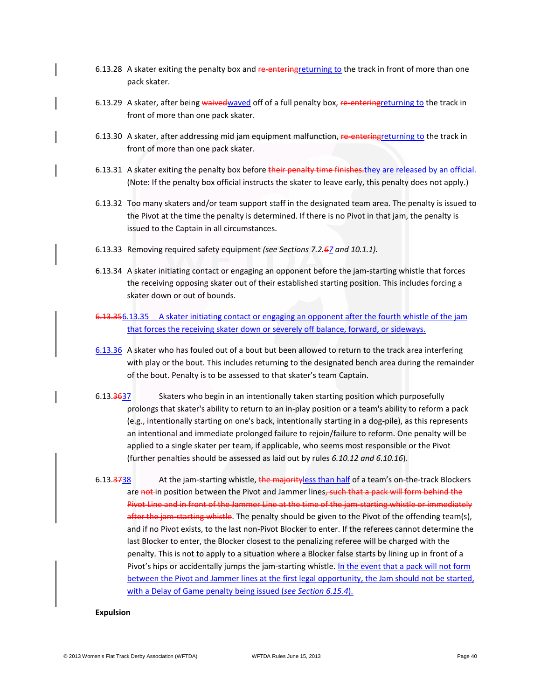- 6.13.28 A skater exiting the penalty box and re-entering returning to the track in front of more than one pack skater.
- 6.13.29 A skater, after being waived waved off of a full penalty box, re-entering returning to the track in front of more than one pack skater.
- 6.13.30 A skater, after addressing mid jam equipment malfunction, re-entering returning to the track in front of more than one pack skater.
- 6.13.31 A skater exiting the penalty box before their penalty time finishes. they are released by an official. (Note: If the penalty box official instructs the skater to leave early, this penalty does not apply.)
- 6.13.32 Too many skaters and/or team support staff in the designated team area. The penalty is issued to the Pivot at the time the penalty is determined. If there is no Pivot in that jam, the penalty is issued to the Captain in all circumstances.
- 6.13.33 Removing required safety equipment *(see Sections 7.2.67 and 10.1.1).*
- 6.13.34 A skater initiating contact or engaging an opponent before the jam-starting whistle that forces the receiving opposing skater out of their established starting position. This includes forcing a skater down or out of bounds.
- 6.13.356.13.35 A skater initiating contact or engaging an opponent after the fourth whistle of the jam that forces the receiving skater down or severely off balance, forward, or sideways.
- 6.13.36 A skater who has fouled out of a bout but been allowed to return to the track area interfering with play or the bout. This includes returning to the designated bench area during the remainder of the bout. Penalty is to be assessed to that skater's team Captain.
- 6.13.3637 Skaters who begin in an intentionally taken starting position which purposefully prolongs that skater's ability to return to an in-play position or a team's ability to reform a pack (e.g., intentionally starting on one's back, intentionally starting in a dog-pile), as this represents an intentional and immediate prolonged failure to rejoin/failure to reform. One penalty will be applied to a single skater per team, if applicable, who seems most responsible or the Pivot (further penalties should be assessed as laid out by rules *6.10.12 and 6.10.16*).
- 6.13.3738 At the jam-starting whistle, the majorityless than half of a team's on-the-track Blockers are not in position between the Pivot and Jammer lines, such that a pack will form behind the Pivot Line and in front of the Jammer Line at the time of the jam-starting whistle or immediately after the jam-starting whistle. The penalty should be given to the Pivot of the offending team(s), and if no Pivot exists, to the last non-Pivot Blocker to enter. If the referees cannot determine the last Blocker to enter, the Blocker closest to the penalizing referee will be charged with the penalty. This is not to apply to a situation where a Blocker false starts by lining up in front of a Pivot's hips or accidentally jumps the jam-starting whistle. In the event that a pack will not form between the Pivot and Jammer lines at the first legal opportunity, the Jam should not be started, with a Delay of Game penalty being issued (*see Section 6.15.4*).

#### **Expulsion**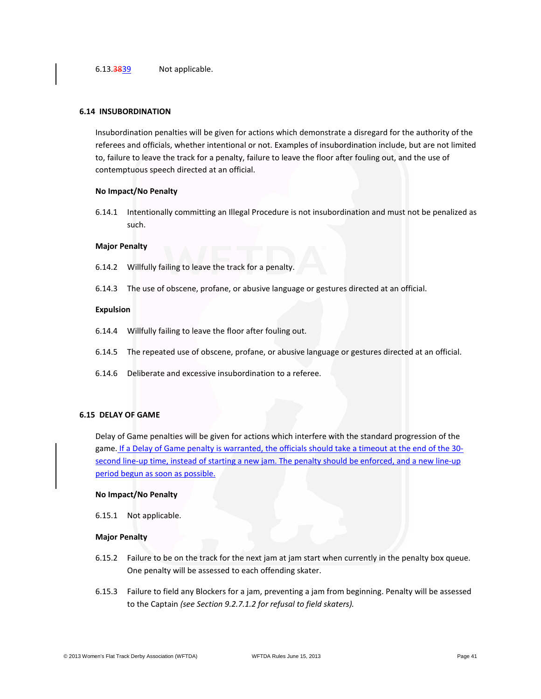#### **6.14 INSUBORDINATION**

Insubordination penalties will be given for actions which demonstrate a disregard for the authority of the referees and officials, whether intentional or not. Examples of insubordination include, but are not limited to, failure to leave the track for a penalty, failure to leave the floor after fouling out, and the use of contemptuous speech directed at an official.

#### **No Impact/No Penalty**

6.14.1 Intentionally committing an Illegal Procedure is not insubordination and must not be penalized as such.

#### **Major Penalty**

- 6.14.2 Willfully failing to leave the track for a penalty.
- 6.14.3 The use of obscene, profane, or abusive language or gestures directed at an official.

#### **Expulsion**

- 6.14.4 Willfully failing to leave the floor after fouling out.
- 6.14.5 The repeated use of obscene, profane, or abusive language or gestures directed at an official.
- 6.14.6 Deliberate and excessive insubordination to a referee.

#### **6.15 DELAY OF GAME**

Delay of Game penalties will be given for actions which interfere with the standard progression of the game. If a Delay of Game penalty is warranted, the officials should take a timeout at the end of the 30second line-up time, instead of starting a new jam. The penalty should be enforced, and a new line-up period begun as soon as possible.

#### **No Impact/No Penalty**

6.15.1 Not applicable.

#### **Major Penalty**

- 6.15.2 Failure to be on the track for the next jam at jam start when currently in the penalty box queue. One penalty will be assessed to each offending skater.
- 6.15.3 Failure to field any Blockers for a jam, preventing a jam from beginning. Penalty will be assessed to the Captain *(see Section 9.2.7.1.2 for refusal to field skaters).*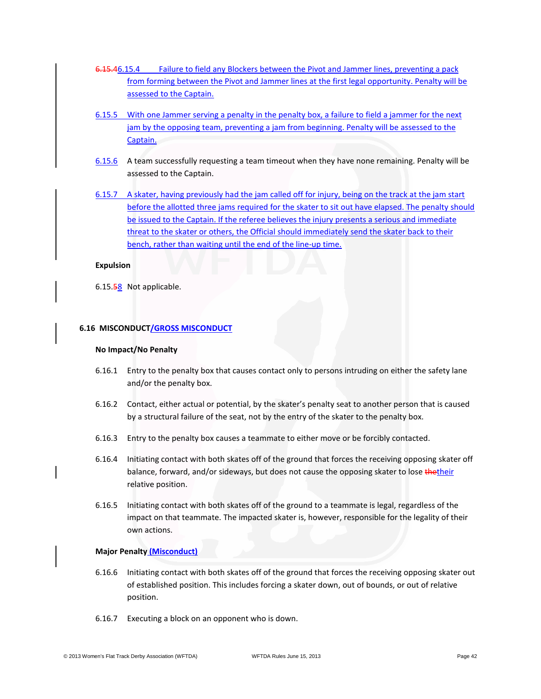- 6.15.46.15.4 Failure to field any Blockers between the Pivot and Jammer lines, preventing a pack from forming between the Pivot and Jammer lines at the first legal opportunity. Penalty will be assessed to the Captain.
- 6.15.5 With one Jammer serving a penalty in the penalty box, a failure to field a jammer for the next jam by the opposing team, preventing a jam from beginning. Penalty will be assessed to the Captain.
- 6.15.6 A team successfully requesting a team timeout when they have none remaining. Penalty will be assessed to the Captain.
- 6.15.7 A skater, having previously had the jam called off for injury, being on the track at the jam start before the allotted three jams required for the skater to sit out have elapsed. The penalty should be issued to the Captain. If the referee believes the injury presents a serious and immediate threat to the skater or others, the Official should immediately send the skater back to their bench, rather than waiting until the end of the line-up time.

#### **Expulsion**

6.15.58 Not applicable.

# **6.16 MISCONDUCT/GROSS MISCONDUCT**

#### **No Impact/No Penalty**

- 6.16.1 Entry to the penalty box that causes contact only to persons intruding on either the safety lane and/or the penalty box.
- 6.16.2 Contact, either actual or potential, by the skater's penalty seat to another person that is caused by a structural failure of the seat, not by the entry of the skater to the penalty box.
- 6.16.3 Entry to the penalty box causes a teammate to either move or be forcibly contacted.
- 6.16.4 Initiating contact with both skates off of the ground that forces the receiving opposing skater off balance, forward, and/or sideways, but does not cause the opposing skater to lose thetheir relative position.
- 6.16.5 Initiating contact with both skates off of the ground to a teammate is legal, regardless of the impact on that teammate. The impacted skater is, however, responsible for the legality of their own actions.

### **Major Penalty (Misconduct)**

- 6.16.6 Initiating contact with both skates off of the ground that forces the receiving opposing skater out of established position. This includes forcing a skater down, out of bounds, or out of relative position.
- 6.16.7 Executing a block on an opponent who is down.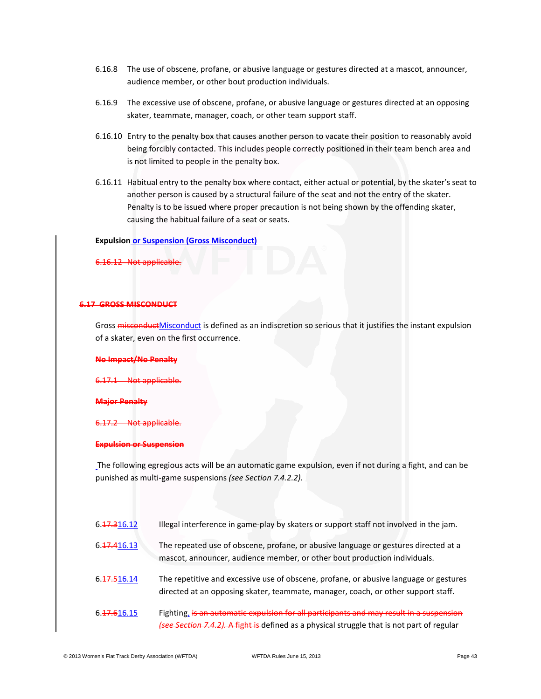- 6.16.8 The use of obscene, profane, or abusive language or gestures directed at a mascot, announcer, audience member, or other bout production individuals.
- 6.16.9 The excessive use of obscene, profane, or abusive language or gestures directed at an opposing skater, teammate, manager, coach, or other team support staff.
- 6.16.10 Entry to the penalty box that causes another person to vacate their position to reasonably avoid being forcibly contacted. This includes people correctly positioned in their team bench area and is not limited to people in the penalty box.
- 6.16.11 Habitual entry to the penalty box where contact, either actual or potential, by the skater's seat to another person is caused by a structural failure of the seat and not the entry of the skater. Penalty is to be issued where proper precaution is not being shown by the offending skater, causing the habitual failure of a seat or seats.

#### **Expulsion or Suspension (Gross Misconduct)**

6.16.12 Not applicable.

# **6.17 GROSS MISCONDUCT**

Gross **misconduct**Misconduct is defined as an indiscretion so serious that it justifies the instant expulsion of a skater, even on the first occurrence.

#### **No Impact/No Penalty**

6.17.1 Not applicable.

#### **Major Penalty**

Not applicable.

#### **Expulsion or Suspension**

The following egregious acts will be an automatic game expulsion, even if not during a fight, and can be punished as multi-game suspensions *(see Section 7.4.2.2).*

| 6. 17. 316. 12 | Illegal interference in game-play by skaters or support staff not involved in the jam. |  |  |  |  |
|----------------|----------------------------------------------------------------------------------------|--|--|--|--|
|----------------|----------------------------------------------------------------------------------------|--|--|--|--|

- 6.17.416.13 The repeated use of obscene, profane, or abusive language or gestures directed at a mascot, announcer, audience member, or other bout production individuals.
- 6.17.516.14 The repetitive and excessive use of obscene, profane, or abusive language or gestures directed at an opposing skater, teammate, manager, coach, or other support staff.
- 6.17.616.15 Fighting, is an automatic expulsion for all participants and may result in a suspension *(see Section 7.4.2).* A fight is defined as a physical struggle that is not part of regular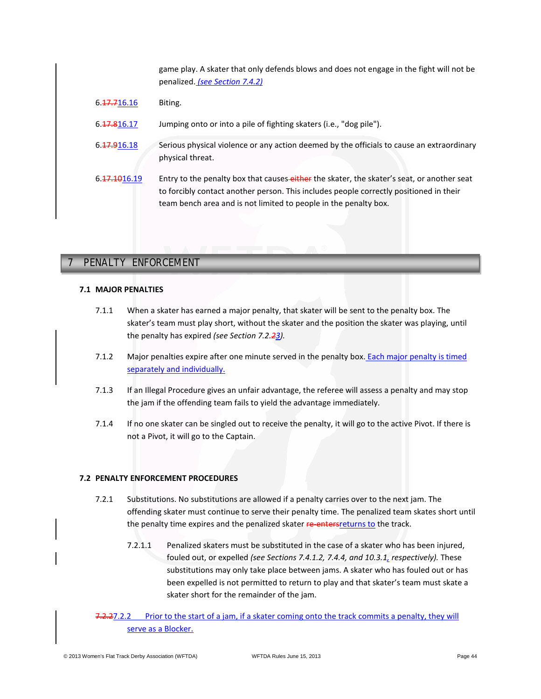game play. A skater that only defends blows and does not engage in the fight will not be penalized. *(see Section 7.4.2)*

| 6.47.716.16               | Biting.                                                                                                                                                                                                                                                  |
|---------------------------|----------------------------------------------------------------------------------------------------------------------------------------------------------------------------------------------------------------------------------------------------------|
| 6. <del>17.8</del> 16.17  | Jumping onto or into a pile of fighting skaters (i.e., "dog pile").                                                                                                                                                                                      |
| 6. <del>17.9</del> 16.18  | Serious physical violence or any action deemed by the officials to cause an extraordinary<br>physical threat.                                                                                                                                            |
| 6. <del>17.10</del> 16.19 | Entry to the penalty box that causes-either the skater, the skater's seat, or another seat<br>to forcibly contact another person. This includes people correctly positioned in their<br>team bench area and is not limited to people in the penalty box. |

# **7 PENALTY ENFORCEMENT** 7 PENALTY ENFORCEMENT

# **7.1 MAJOR PENALTIES**

- 7.1.1 When a skater has earned a major penalty, that skater will be sent to the penalty box. The skater's team must play short, without the skater and the position the skater was playing, until the penalty has expired *(see Section 7.2.23).*
- 7.1.2 Major penalties expire after one minute served in the penalty box. Each major penalty is timed separately and individually.
- 7.1.3 If an Illegal Procedure gives an unfair advantage, the referee will assess a penalty and may stop the jam if the offending team fails to yield the advantage immediately.
- 7.1.4 If no one skater can be singled out to receive the penalty, it will go to the active Pivot. If there is not a Pivot, it will go to the Captain.

# **7.2 PENALTY ENFORCEMENT PROCEDURES**

- 7.2.1 Substitutions. No substitutions are allowed if a penalty carries over to the next jam. The offending skater must continue to serve their penalty time. The penalized team skates short until the penalty time expires and the penalized skater re-entersreturns to the track.
	- 7.2.1.1 Penalized skaters must be substituted in the case of a skater who has been injured, fouled out, or expelled *(see Sections 7.4.1.2, 7.4.4, and 10.3.1, respectively).* These substitutions may only take place between jams. A skater who has fouled out or has been expelled is not permitted to return to play and that skater's team must skate a skater short for the remainder of the jam.
- 7.2.27.2.2 Prior to the start of a jam, if a skater coming onto the track commits a penalty, they will serve as a Blocker.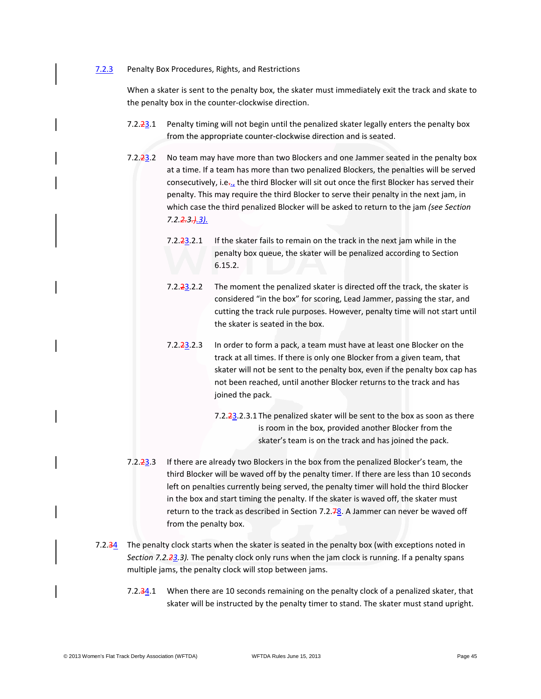#### 7.2.3 Penalty Box Procedures, Rights, and Restrictions

When a skater is sent to the penalty box, the skater must immediately exit the track and skate to the penalty box in the counter-clockwise direction.

- 7.2.23.1 Penalty timing will not begin until the penalized skater legally enters the penalty box from the appropriate counter-clockwise direction and is seated.
- 7.2.23.2 No team may have more than two Blockers and one Jammer seated in the penalty box at a time. If a team has more than two penalized Blockers, the penalties will be served consecutively, i.e.., the third Blocker will sit out once the first Blocker has served their penalty. This may require the third Blocker to serve their penalty in the next jam, in which case the third penalized Blocker will be asked to return to the jam *(see Section 7.2.2.3.).3).*
	- 7.2. $\frac{23.2.1}{1}$  If the skater fails to remain on the track in the next jam while in the penalty box queue, the skater will be penalized according to Section 6.15.2.
	- 7.2.23.2.2 The moment the penalized skater is directed off the track, the skater is considered "in the box" for scoring, Lead Jammer, passing the star, and cutting the track rule purposes. However, penalty time will not start until the skater is seated in the box.
	- 7.2.23.2.3 In order to form a pack, a team must have at least one Blocker on the track at all times. If there is only one Blocker from a given team, that skater will not be sent to the penalty box, even if the penalty box cap has not been reached, until another Blocker returns to the track and has joined the pack.
		- 7.2.23.2.3.1 The penalized skater will be sent to the box as soon as there is room in the box, provided another Blocker from the skater's team is on the track and has joined the pack.
- 7.2.23.3 If there are already two Blockers in the box from the penalized Blocker's team, the third Blocker will be waved off by the penalty timer. If there are less than 10 seconds left on penalties currently being served, the penalty timer will hold the third Blocker in the box and start timing the penalty. If the skater is waved off, the skater must return to the track as described in Section 7.2. $\frac{78}{10}$ . A Jammer can never be waved off from the penalty box.
- 7.2.34 The penalty clock starts when the skater is seated in the penalty box (with exceptions noted in *Section 7.2.23.3).* The penalty clock only runs when the jam clock is running. If a penalty spans multiple jams, the penalty clock will stop between jams.
	- 7.2.34.1 When there are 10 seconds remaining on the penalty clock of a penalized skater, that skater will be instructed by the penalty timer to stand. The skater must stand upright.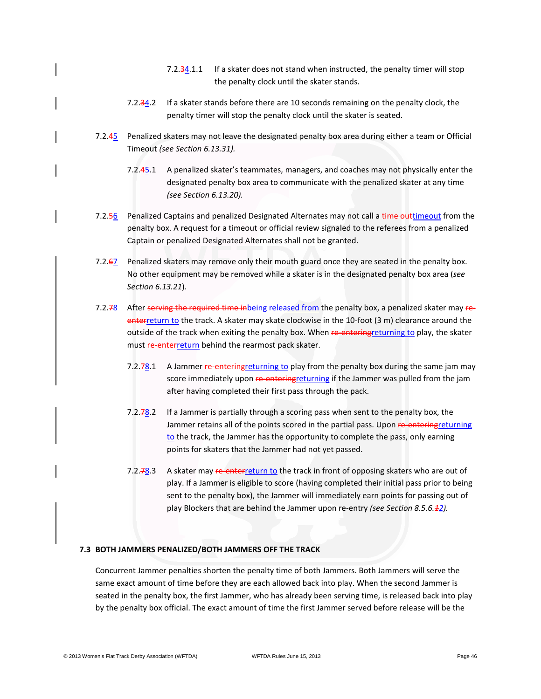- 7.2.34.1.1 If a skater does not stand when instructed, the penalty timer will stop the penalty clock until the skater stands.
- 7.2.34.2 If a skater stands before there are 10 seconds remaining on the penalty clock, the penalty timer will stop the penalty clock until the skater is seated.
- 7.2.45 Penalized skaters may not leave the designated penalty box area during either a team or Official Timeout *(see Section 6.13.31).*
	- 7.2.45.1 A penalized skater's teammates, managers, and coaches may not physically enter the designated penalty box area to communicate with the penalized skater at any time *(see Section 6.13.20).*
- 7.2.56 Penalized Captains and penalized Designated Alternates may not call a time outtimeout from the penalty box. A request for a timeout or official review signaled to the referees from a penalized Captain or penalized Designated Alternates shall not be granted.
- 7.2.67 Penalized skaters may remove only their mouth guard once they are seated in the penalty box. No other equipment may be removed while a skater is in the designated penalty box area (*see Section 6.13.21*).
- 7.2.78 After serving the required time inbeing released from the penalty box, a penalized skater may reenterreturn to the track. A skater may skate clockwise in the 10-foot (3 m) clearance around the outside of the track when exiting the penalty box. When re-entering returning to play, the skater must **re-enterreturn** behind the rearmost pack skater.
	- 7.2.78.1 A Jammer re-entering returning to play from the penalty box during the same jam may score immediately upon re-entering returning if the Jammer was pulled from the jam after having completed their first pass through the pack.
	- 7.2.78.2 If a Jammer is partially through a scoring pass when sent to the penalty box, the Jammer retains all of the points scored in the partial pass. Upon re-entering returning to the track, the Jammer has the opportunity to complete the pass, only earning points for skaters that the Jammer had not yet passed.
	- 7.2.78.3 A skater may re-enterreturn to the track in front of opposing skaters who are out of play. If a Jammer is eligible to score (having completed their initial pass prior to being sent to the penalty box), the Jammer will immediately earn points for passing out of play Blockers that are behind the Jammer upon re-entry *(see Section 8.5.6.12).*

### **7.3 BOTH JAMMERS PENALIZED/BOTH JAMMERS OFF THE TRACK**

Concurrent Jammer penalties shorten the penalty time of both Jammers. Both Jammers will serve the same exact amount of time before they are each allowed back into play. When the second Jammer is seated in the penalty box, the first Jammer, who has already been serving time, is released back into play by the penalty box official. The exact amount of time the first Jammer served before release will be the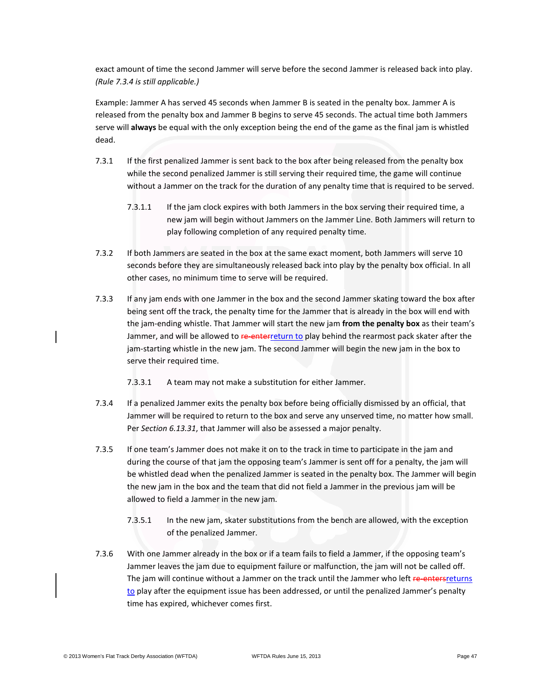exact amount of time the second Jammer will serve before the second Jammer is released back into play. *(Rule 7.3.4 is still applicable.)*

Example: Jammer A has served 45 seconds when Jammer B is seated in the penalty box. Jammer A is released from the penalty box and Jammer B begins to serve 45 seconds. The actual time both Jammers serve will **always** be equal with the only exception being the end of the game as the final jam is whistled dead.

- 7.3.1 If the first penalized Jammer is sent back to the box after being released from the penalty box while the second penalized Jammer is still serving their required time, the game will continue without a Jammer on the track for the duration of any penalty time that is required to be served.
	- 7.3.1.1 If the jam clock expires with both Jammers in the box serving their required time, a new jam will begin without Jammers on the Jammer Line. Both Jammers will return to play following completion of any required penalty time.
- 7.3.2 If both Jammers are seated in the box at the same exact moment, both Jammers will serve 10 seconds before they are simultaneously released back into play by the penalty box official. In all other cases, no minimum time to serve will be required.
- 7.3.3 If any jam ends with one Jammer in the box and the second Jammer skating toward the box after being sent off the track, the penalty time for the Jammer that is already in the box will end with the jam-ending whistle. That Jammer will start the new jam **from the penalty box** as their team's Jammer, and will be allowed to re-enterreturn to play behind the rearmost pack skater after the jam-starting whistle in the new jam. The second Jammer will begin the new jam in the box to serve their required time.
	- 7.3.3.1 A team may not make a substitution for either Jammer.
- 7.3.4 If a penalized Jammer exits the penalty box before being officially dismissed by an official, that Jammer will be required to return to the box and serve any unserved time, no matter how small. Per *Section 6.13.31*, that Jammer will also be assessed a major penalty.
- 7.3.5 If one team's Jammer does not make it on to the track in time to participate in the jam and during the course of that jam the opposing team's Jammer is sent off for a penalty, the jam will be whistled dead when the penalized Jammer is seated in the penalty box. The Jammer will begin the new jam in the box and the team that did not field a Jammer in the previous jam will be allowed to field a Jammer in the new jam.
	- 7.3.5.1 In the new jam, skater substitutions from the bench are allowed, with the exception of the penalized Jammer.
- 7.3.6 With one Jammer already in the box or if a team fails to field a Jammer, if the opposing team's Jammer leaves the jam due to equipment failure or malfunction, the jam will not be called off. The jam will continue without a Jammer on the track until the Jammer who left re-entersreturns to play after the equipment issue has been addressed, or until the penalized Jammer's penalty time has expired, whichever comes first.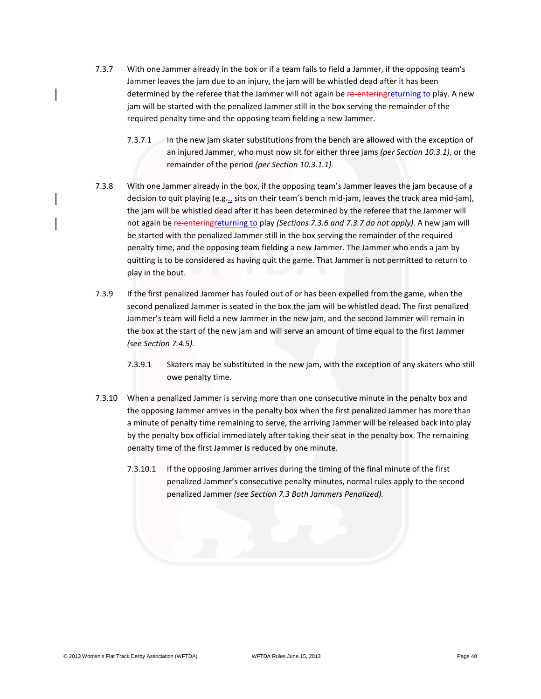- 7.3.7 With one Jammer already in the box or if a team fails to field a Jammer, if the opposing team's Jammer leaves the jam due to an injury, the jam will be whistled dead after it has been determined by the referee that the Jammer will not again be re-entering returning to play. A new jam will be started with the penalized Jammer still in the box serving the remainder of the required penalty time and the opposing team fielding a new Jammer.
	- 7.3.7.1 In the new jam skater substitutions from the bench are allowed with the exception of an injured Jammer, who must now sit for either three jams *(per Section 10.3.1)*, or the remainder of the period *(per Section 10.3.1.1).*
- 7.3.8 With one Jammer already in the box, if the opposing team's Jammer leaves the jam because of a decision to quit playing (e.g.., sits on their team's bench mid-jam, leaves the track area mid-jam), the jam will be whistled dead after it has been determined by the referee that the Jammer will not again be re-enteringreturning to play *(Sections 7.3.6 and 7.3.7 do not apply).* A new jam will be started with the penalized Jammer still in the box serving the remainder of the required penalty time, and the opposing team fielding a new Jammer. The Jammer who ends a jam by quitting is to be considered as having quit the game. That Jammer is not permitted to return to play in the bout.
- 7.3.9 If the first penalized Jammer has fouled out of or has been expelled from the game, when the second penalized Jammer is seated in the box the jam will be whistled dead. The first penalized Jammer's team will field a new Jammer in the new jam, and the second Jammer will remain in the box at the start of the new jam and will serve an amount of time equal to the first Jammer *(see Section 7.4.5).*
	- 7.3.9.1 Skaters may be substituted in the new jam, with the exception of any skaters who still owe penalty time.
- 7.3.10 When a penalized Jammer is serving more than one consecutive minute in the penalty box and the opposing Jammer arrives in the penalty box when the first penalized Jammer has more than a minute of penalty time remaining to serve, the arriving Jammer will be released back into play by the penalty box official immediately after taking their seat in the penalty box. The remaining penalty time of the first Jammer is reduced by one minute.
	- 7.3.10.1 If the opposing Jammer arrives during the timing of the final minute of the first penalized Jammer's consecutive penalty minutes, normal rules apply to the second penalized Jammer *(see Section 7.3 Both Jammers Penalized).*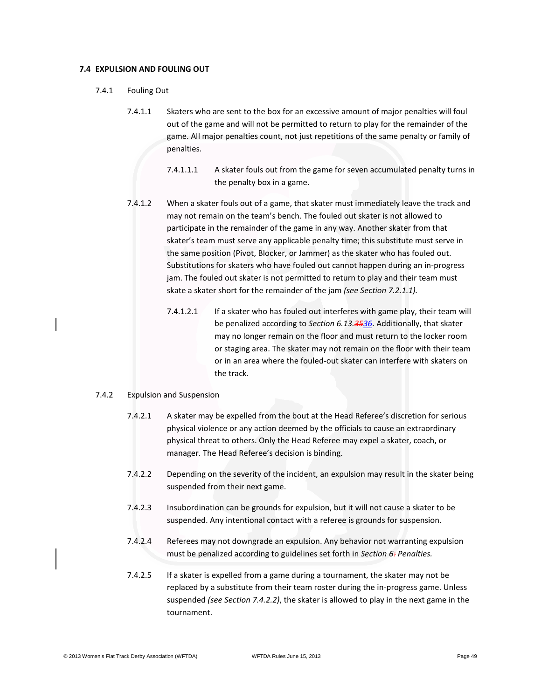### **7.4 EXPULSION AND FOULING OUT**

- 7.4.1 Fouling Out
	- 7.4.1.1 Skaters who are sent to the box for an excessive amount of major penalties will foul out of the game and will not be permitted to return to play for the remainder of the game. All major penalties count, not just repetitions of the same penalty or family of penalties.
		- 7.4.1.1.1 A skater fouls out from the game for seven accumulated penalty turns in the penalty box in a game.
	- 7.4.1.2 When a skater fouls out of a game, that skater must immediately leave the track and may not remain on the team's bench. The fouled out skater is not allowed to participate in the remainder of the game in any way. Another skater from that skater's team must serve any applicable penalty time; this substitute must serve in the same position (Pivot, Blocker, or Jammer) as the skater who has fouled out. Substitutions for skaters who have fouled out cannot happen during an in-progress jam. The fouled out skater is not permitted to return to play and their team must skate a skater short for the remainder of the jam *(see Section 7.2.1.1).*
		- 7.4.1.2.1 If a skater who has fouled out interferes with game play, their team will be penalized according to *Section 6.13.3536*. Additionally, that skater may no longer remain on the floor and must return to the locker room or staging area. The skater may not remain on the floor with their team or in an area where the fouled-out skater can interfere with skaters on the track.

### 7.4.2 Expulsion and Suspension

- 7.4.2.1 A skater may be expelled from the bout at the Head Referee's discretion for serious physical violence or any action deemed by the officials to cause an extraordinary physical threat to others. Only the Head Referee may expel a skater, coach, or manager. The Head Referee's decision is binding.
- 7.4.2.2 Depending on the severity of the incident, an expulsion may result in the skater being suspended from their next game.
- 7.4.2.3 Insubordination can be grounds for expulsion, but it will not cause a skater to be suspended. Any intentional contact with a referee is grounds for suspension.
- 7.4.2.4 Referees may not downgrade an expulsion. Any behavior not warranting expulsion must be penalized according to guidelines set forth in *Section 6: Penalties.*
- 7.4.2.5 If a skater is expelled from a game during a tournament, the skater may not be replaced by a substitute from their team roster during the in-progress game. Unless suspended *(see Section 7.4.2.2)*, the skater is allowed to play in the next game in the tournament.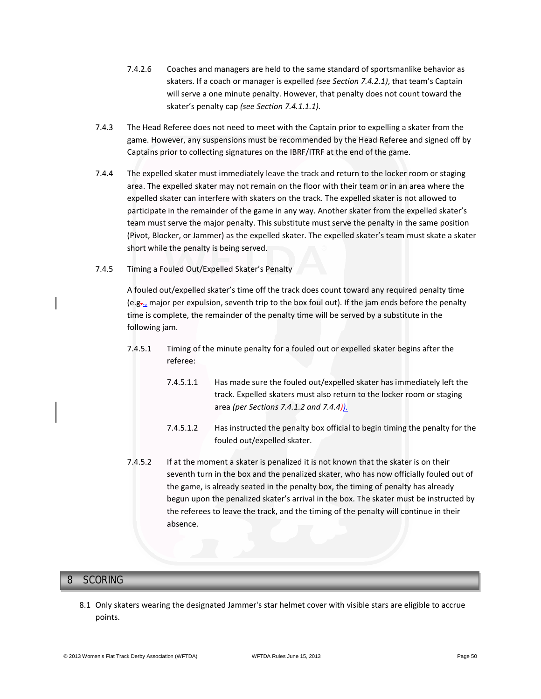- 7.4.2.6 Coaches and managers are held to the same standard of sportsmanlike behavior as skaters. If a coach or manager is expelled *(see Section 7.4.2.1)*, that team's Captain will serve a one minute penalty. However, that penalty does not count toward the skater's penalty cap *(see Section 7.4.1.1.1).*
- 7.4.3 The Head Referee does not need to meet with the Captain prior to expelling a skater from the game. However, any suspensions must be recommended by the Head Referee and signed off by Captains prior to collecting signatures on the IBRF/ITRF at the end of the game.
- 7.4.4 The expelled skater must immediately leave the track and return to the locker room or staging area. The expelled skater may not remain on the floor with their team or in an area where the expelled skater can interfere with skaters on the track. The expelled skater is not allowed to participate in the remainder of the game in any way. Another skater from the expelled skater's team must serve the major penalty. This substitute must serve the penalty in the same position (Pivot, Blocker, or Jammer) as the expelled skater. The expelled skater's team must skate a skater short while the penalty is being served.
- 7.4.5 Timing a Fouled Out/Expelled Skater's Penalty

A fouled out/expelled skater's time off the track does count toward any required penalty time (e.g.., major per expulsion, seventh trip to the box foul out). If the jam ends before the penalty time is complete, the remainder of the penalty time will be served by a substitute in the following jam.

- 7.4.5.1 Timing of the minute penalty for a fouled out or expelled skater begins after the referee:
	- 7.4.5.1.1 Has made sure the fouled out/expelled skater has immediately left the track. Expelled skaters must also return to the locker room or staging area *(per Sections 7.4.1.2 and 7.4.4)).*
	- 7.4.5.1.2 Has instructed the penalty box official to begin timing the penalty for the fouled out/expelled skater.
- 7.4.5.2 If at the moment a skater is penalized it is not known that the skater is on their seventh turn in the box and the penalized skater, who has now officially fouled out of the game, is already seated in the penalty box, the timing of penalty has already begun upon the penalized skater's arrival in the box. The skater must be instructed by the referees to leave the track, and the timing of the penalty will continue in their absence.

# **8 SCORING** 8 SCORING

8.1 Only skaters wearing the designated Jammer's star helmet cover with visible stars are eligible to accrue points.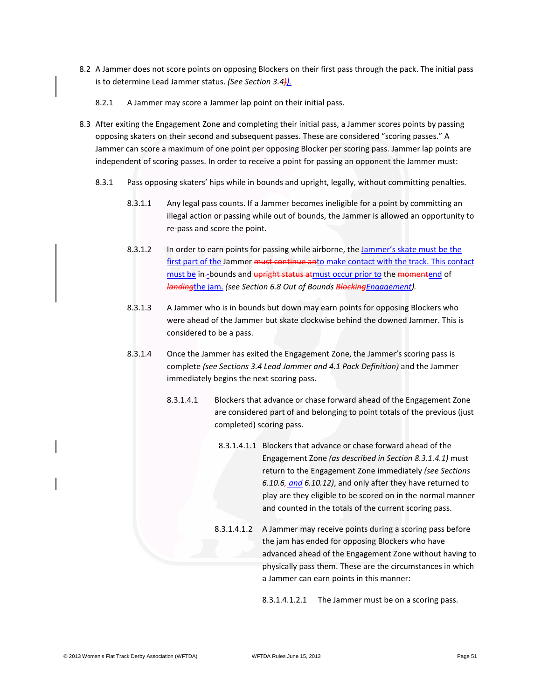- 8.2 A Jammer does not score points on opposing Blockers on their first pass through the pack. The initial pass is to determine Lead Jammer status. *(See Section 3.4)).*
	- 8.2.1 A Jammer may score a Jammer lap point on their initial pass.
- 8.3 After exiting the Engagement Zone and completing their initial pass, a Jammer scores points by passing opposing skaters on their second and subsequent passes. These are considered "scoring passes." A Jammer can score a maximum of one point per opposing Blocker per scoring pass. Jammer lap points are independent of scoring passes. In order to receive a point for passing an opponent the Jammer must:
	- 8.3.1 Pass opposing skaters' hips while in bounds and upright, legally, without committing penalties.
		- 8.3.1.1 Any legal pass counts. If a Jammer becomes ineligible for a point by committing an illegal action or passing while out of bounds, the Jammer is allowed an opportunity to re-pass and score the point.
		- 8.3.1.2 In order to earn points for passing while airborne, the Jammer's skate must be the first part of the Jammer must continue anto make contact with the track. This contact must be in--bounds and upright status atmust occur prior to the momentend of *landing*the jam. *(see Section 6.8 Out of Bounds BlockingEngagement).*
		- 8.3.1.3 A Jammer who is in bounds but down may earn points for opposing Blockers who were ahead of the Jammer but skate clockwise behind the downed Jammer. This is considered to be a pass.
		- 8.3.1.4 Once the Jammer has exited the Engagement Zone, the Jammer's scoring pass is complete *(see Sections 3.4 Lead Jammer and 4.1 Pack Definition)* and the Jammer immediately begins the next scoring pass.
			- 8.3.1.4.1 Blockers that advance or chase forward ahead of the Engagement Zone are considered part of and belonging to point totals of the previous (just completed) scoring pass.
				- 8.3.1.4.1.1 Blockers that advance or chase forward ahead of the Engagement Zone *(as described in Section 8.3.1.4.1)* must return to the Engagement Zone immediately *(see Sections 6.10.6, and 6.10.12)*, and only after they have returned to play are they eligible to be scored on in the normal manner and counted in the totals of the current scoring pass.
				- 8.3.1.4.1.2 A Jammer may receive points during a scoring pass before the jam has ended for opposing Blockers who have advanced ahead of the Engagement Zone without having to physically pass them. These are the circumstances in which a Jammer can earn points in this manner:

8.3.1.4.1.2.1 The Jammer must be on a scoring pass.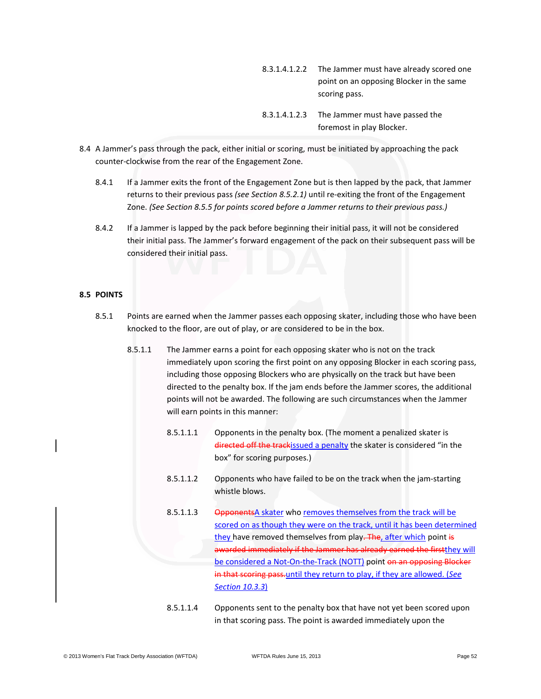- 8.3.1.4.1.2.2 The Jammer must have already scored one point on an opposing Blocker in the same scoring pass.
- 8.3.1.4.1.2.3 The Jammer must have passed the foremost in play Blocker.
- 8.4 A Jammer's pass through the pack, either initial or scoring, must be initiated by approaching the pack counter-clockwise from the rear of the Engagement Zone.
	- 8.4.1 If a Jammer exits the front of the Engagement Zone but is then lapped by the pack, that Jammer returns to their previous pass *(see Section 8.5.2.1)* until re-exiting the front of the Engagement Zone. *(See Section 8.5.5 for points scored before a Jammer returns to their previous pass.)*
	- 8.4.2 If a Jammer is lapped by the pack before beginning their initial pass, it will not be considered their initial pass. The Jammer's forward engagement of the pack on their subsequent pass will be considered their initial pass.

# **8.5 POINTS**

- 8.5.1 Points are earned when the Jammer passes each opposing skater, including those who have been knocked to the floor, are out of play, or are considered to be in the box.
	- 8.5.1.1 The Jammer earns a point for each opposing skater who is not on the track immediately upon scoring the first point on any opposing Blocker in each scoring pass, including those opposing Blockers who are physically on the track but have been directed to the penalty box. If the jam ends before the Jammer scores, the additional points will not be awarded. The following are such circumstances when the Jammer will earn points in this manner:
		- 8.5.1.1.1 Opponents in the penalty box. (The moment a penalized skater is directed off the trackissued a penalty the skater is considered "in the box" for scoring purposes.)
		- 8.5.1.1.2 Opponents who have failed to be on the track when the jam-starting whistle blows.
		- 8.5.1.1.3 OpponentsA skater who removes themselves from the track will be scored on as though they were on the track, until it has been determined they have removed themselves from play. The, after which point is awarded immediately if the Jammer has already earned the firstthey will be considered a Not-On-the-Track (NOTT) point on an opposing Blocker in that scoring pass.until they return to play, if they are allowed. (*See Section 10.3.3*)

8.5.1.1.4 Opponents sent to the penalty box that have not yet been scored upon in that scoring pass. The point is awarded immediately upon the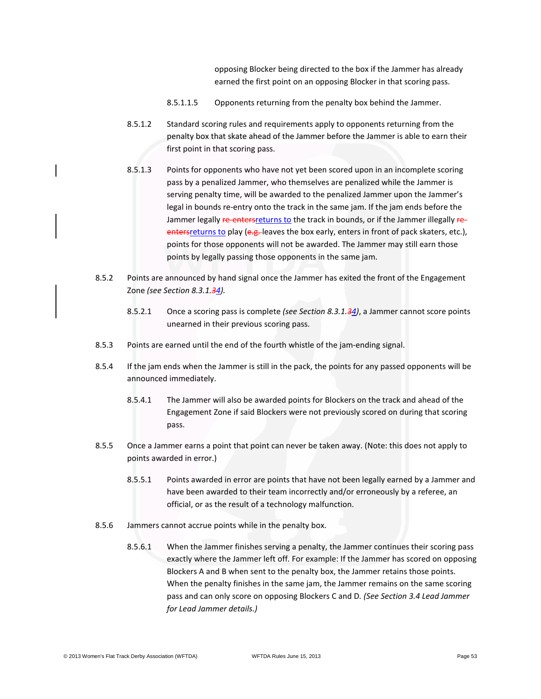opposing Blocker being directed to the box if the Jammer has already earned the first point on an opposing Blocker in that scoring pass.

- 8.5.1.1.5 Opponents returning from the penalty box behind the Jammer.
- 8.5.1.2 Standard scoring rules and requirements apply to opponents returning from the penalty box that skate ahead of the Jammer before the Jammer is able to earn their first point in that scoring pass.
- 8.5.1.3 Points for opponents who have not yet been scored upon in an incomplete scoring pass by a penalized Jammer, who themselves are penalized while the Jammer is serving penalty time, will be awarded to the penalized Jammer upon the Jammer's legal in bounds re-entry onto the track in the same jam. If the jam ends before the Jammer legally re-entersreturns to the track in bounds, or if the Jammer illegally reenters returns to play (e.g. leaves the box early, enters in front of pack skaters, etc.), points for those opponents will not be awarded. The Jammer may still earn those points by legally passing those opponents in the same jam.
- 8.5.2 Points are announced by hand signal once the Jammer has exited the front of the Engagement Zone *(see Section 8.3.1.34).*
	- 8.5.2.1 Once a scoring pass is complete *(see Section 8.3.1.34)*, a Jammer cannot score points unearned in their previous scoring pass.
- 8.5.3 Points are earned until the end of the fourth whistle of the jam-ending signal.
- 8.5.4 If the jam ends when the Jammer is still in the pack, the points for any passed opponents will be announced immediately.
	- 8.5.4.1 The Jammer will also be awarded points for Blockers on the track and ahead of the Engagement Zone if said Blockers were not previously scored on during that scoring pass.
- 8.5.5 Once a Jammer earns a point that point can never be taken away. (Note: this does not apply to points awarded in error.)
	- 8.5.5.1 Points awarded in error are points that have not been legally earned by a Jammer and have been awarded to their team incorrectly and/or erroneously by a referee, an official, or as the result of a technology malfunction.
- 8.5.6 Jammers cannot accrue points while in the penalty box.
	- 8.5.6.1 When the Jammer finishes serving a penalty, the Jammer continues their scoring pass exactly where the Jammer left off. For example: If the Jammer has scored on opposing Blockers A and B when sent to the penalty box, the Jammer retains those points. When the penalty finishes in the same jam, the Jammer remains on the same scoring pass and can only score on opposing Blockers C and D*. (See Section 3.4 Lead Jammer for Lead Jammer details.)*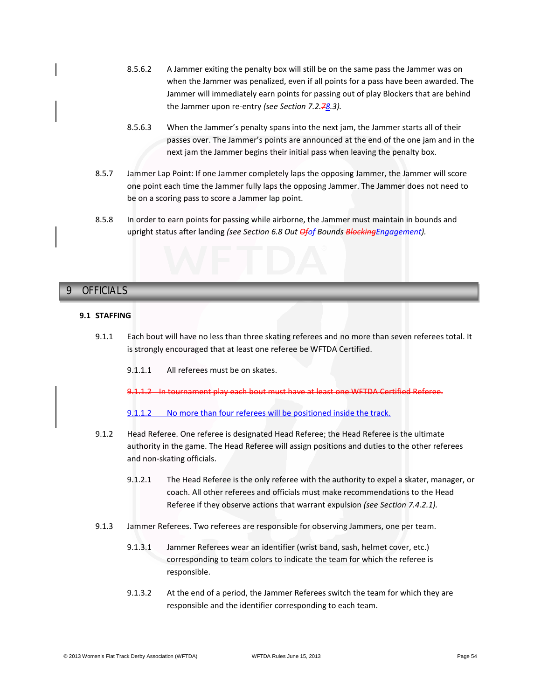- 8.5.6.2 A Jammer exiting the penalty box will still be on the same pass the Jammer was on when the Jammer was penalized, even if all points for a pass have been awarded. The Jammer will immediately earn points for passing out of play Blockers that are behind the Jammer upon re-entry *(see Section 7.2.78.3).*
- 8.5.6.3 When the Jammer's penalty spans into the next jam, the Jammer starts all of their passes over. The Jammer's points are announced at the end of the one jam and in the next jam the Jammer begins their initial pass when leaving the penalty box.
- 8.5.7 Jammer Lap Point: If one Jammer completely laps the opposing Jammer, the Jammer will score one point each time the Jammer fully laps the opposing Jammer. The Jammer does not need to be on a scoring pass to score a Jammer lap point.
- 8.5.8 In order to earn points for passing while airborne, the Jammer must maintain in bounds and upright status after landing *(see Section 6.8 Out Ofof Bounds BlockingEngagement).*

# **9 OFFICIALS** 9 OFFICIALS

# **9.1 STAFFING**

- 9.1.1 Each bout will have no less than three skating referees and no more than seven referees total. It is strongly encouraged that at least one referee be WFTDA Certified.
	- 9.1.1.1 All referees must be on skates.

9.1.1.2 In tournament play each bout must have at least one WFTDA Certified Referee.

9.1.1.2 No more than four referees will be positioned inside the track.

- 9.1.2 Head Referee. One referee is designated Head Referee; the Head Referee is the ultimate authority in the game. The Head Referee will assign positions and duties to the other referees and non-skating officials.
	- 9.1.2.1 The Head Referee is the only referee with the authority to expel a skater, manager, or coach. All other referees and officials must make recommendations to the Head Referee if they observe actions that warrant expulsion *(see Section 7.4.2.1).*
- 9.1.3 Jammer Referees. Two referees are responsible for observing Jammers, one per team.
	- 9.1.3.1 Jammer Referees wear an identifier (wrist band, sash, helmet cover, etc.) corresponding to team colors to indicate the team for which the referee is responsible.
	- 9.1.3.2 At the end of a period, the Jammer Referees switch the team for which they are responsible and the identifier corresponding to each team.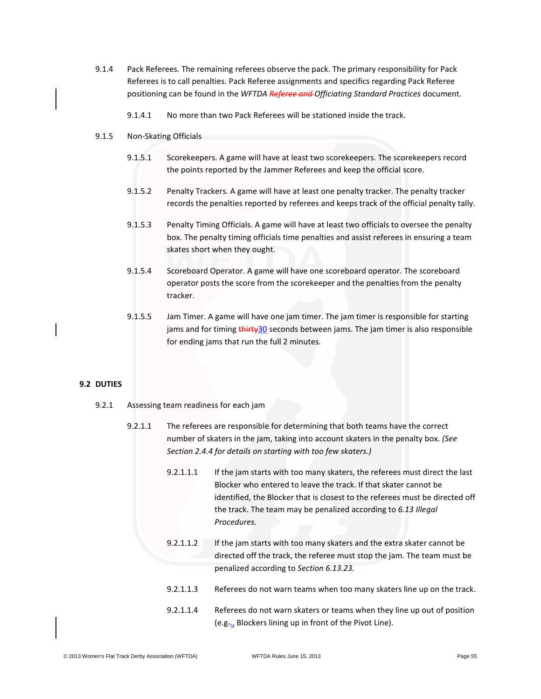- 9.1.4 Pack Referees. The remaining referees observe the pack. The primary responsibility for Pack Referees is to call penalties. Pack Referee assignments and specifics regarding Pack Referee positioning can be found in the *WFTDA Referee and Officiating Standard Practices* document.
	- 9.1.4.1 No more than two Pack Referees will be stationed inside the track.
- 9.1.5 Non-Skating Officials
	- 9.1.5.1 Scorekeepers. A game will have at least two scorekeepers. The scorekeepers record the points reported by the Jammer Referees and keep the official score.
	- 9.1.5.2 Penalty Trackers. A game will have at least one penalty tracker. The penalty tracker records the penalties reported by referees and keeps track of the official penalty tally.
	- 9.1.5.3 Penalty Timing Officials. A game will have at least two officials to oversee the penalty box. The penalty timing officials time penalties and assist referees in ensuring a team skates short when they ought.
	- 9.1.5.4 Scoreboard Operator. A game will have one scoreboard operator. The scoreboard operator posts the score from the scorekeeper and the penalties from the penalty tracker.
	- 9.1.5.5 Jam Timer. A game will have one jam timer. The jam timer is responsible for starting jams and for timing thirty30 seconds between jams. The jam timer is also responsible for ending jams that run the full 2 minutes.

# **9.2 DUTIES**

- 9.2.1 Assessing team readiness for each jam
	- 9.2.1.1 The referees are responsible for determining that both teams have the correct number of skaters in the jam, taking into account skaters in the penalty box. *(See Section 2.4.4 for details on starting with too few skaters.)*
		- 9.2.1.1.1 If the jam starts with too many skaters, the referees must direct the last Blocker who entered to leave the track. If that skater cannot be identified, the Blocker that is closest to the referees must be directed off the track. The team may be penalized according to *6.13 Illegal Procedures.*
		- 9.2.1.1.2 If the jam starts with too many skaters and the extra skater cannot be directed off the track, the referee must stop the jam. The team must be penalized according to *Section 6.13.23.*
		- 9.2.1.1.3 Referees do not warn teams when too many skaters line up on the track.
		- 9.2.1.1.4 Referees do not warn skaters or teams when they line up out of position  $(e.g_{\tau_{12}}$  Blockers lining up in front of the Pivot Line).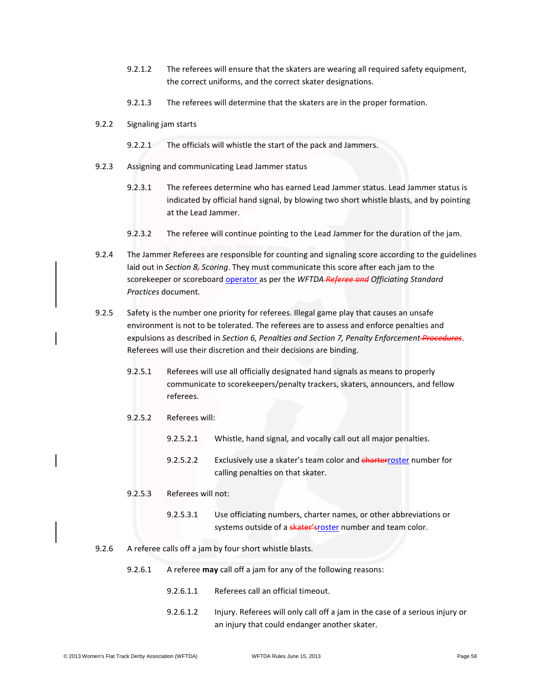- 9.2.1.2 The referees will ensure that the skaters are wearing all required safety equipment, the correct uniforms, and the correct skater designations.
- 9.2.1.3 The referees will determine that the skaters are in the proper formation.
- 9.2.2 Signaling jam starts
	- 9.2.2.1 The officials will whistle the start of the pack and Jammers.
- 9.2.3 Assigning and communicating Lead Jammer status
	- 9.2.3.1 The referees determine who has earned Lead Jammer status. Lead Jammer status is indicated by official hand signal, by blowing two short whistle blasts, and by pointing at the Lead Jammer.
	- 9.2.3.2 The referee will continue pointing to the Lead Jammer for the duration of the jam.
- 9.2.4 The Jammer Referees are responsible for counting and signaling score according to the guidelines laid out in *Section 8, Scoring*. They must communicate this score after each jam to the scorekeeper or scoreboard operator as per the *WFTDA Referee and Officiating Standard Practices* document*.*
- 9.2.5 Safety is the number one priority for referees. Illegal game play that causes an unsafe environment is not to be tolerated. The referees are to assess and enforce penalties and expulsions as described in *Section 6, Penalties and Section 7, Penalty Enforcement Procedures*. Referees will use their discretion and their decisions are binding.
	- 9.2.5.1 Referees will use all officially designated hand signals as means to properly communicate to scorekeepers/penalty trackers, skaters, announcers, and fellow referees.
	- 9.2.5.2 Referees will:
		- 9.2.5.2.1 Whistle, hand signal, and vocally call out all major penalties.
		- 9.2.5.2.2 Exclusively use a skater's team color and charterroster number for calling penalties on that skater.
	- 9.2.5.3 Referees will not:
		- 9.2.5.3.1 Use officiating numbers, charter names, or other abbreviations or systems outside of a skater'sroster number and team color.
- 9.2.6 A referee calls off a jam by four short whistle blasts.
	- 9.2.6.1 A referee **may** call off a jam for any of the following reasons:
		- 9.2.6.1.1 Referees call an official timeout.
		- 9.2.6.1.2 Injury. Referees will only call off a jam in the case of a serious injury or an injury that could endanger another skater.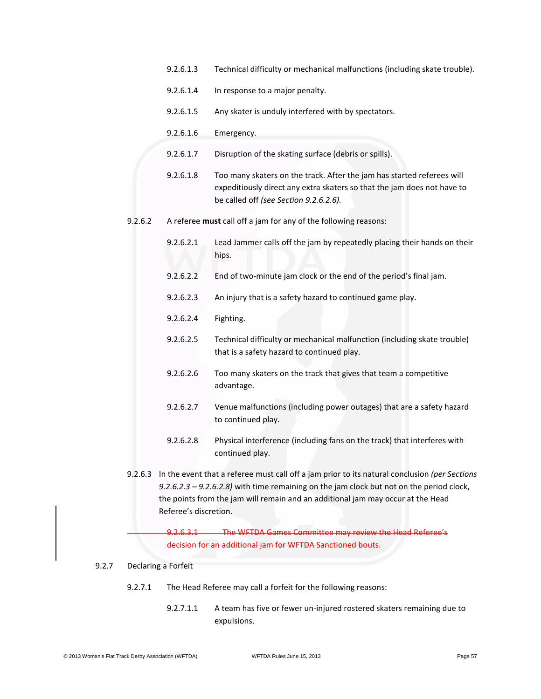- 9.2.6.1.3 Technical difficulty or mechanical malfunctions (including skate trouble).
- 9.2.6.1.4 In response to a major penalty.
- 9.2.6.1.5 Any skater is unduly interfered with by spectators.
- 9.2.6.1.6 Emergency.
- 9.2.6.1.7 Disruption of the skating surface (debris or spills).
- 9.2.6.1.8 Too many skaters on the track. After the jam has started referees will expeditiously direct any extra skaters so that the jam does not have to be called off *(see Section 9.2.6.2.6).*
- 9.2.6.2 A referee **must** call off a jam for any of the following reasons:
	- 9.2.6.2.1 Lead Jammer calls off the jam by repeatedly placing their hands on their hips.
	- 9.2.6.2.2 End of two-minute jam clock or the end of the period's final jam.
	- 9.2.6.2.3 An injury that is a safety hazard to continued game play.
	- 9.2.6.2.4 Fighting.
	- 9.2.6.2.5 Technical difficulty or mechanical malfunction (including skate trouble) that is a safety hazard to continued play.
	- 9.2.6.2.6 Too many skaters on the track that gives that team a competitive advantage.
	- 9.2.6.2.7 Venue malfunctions (including power outages) that are a safety hazard to continued play.
	- 9.2.6.2.8 Physical interference (including fans on the track) that interferes with continued play.
- 9.2.6.3 In the event that a referee must call off a jam prior to its natural conclusion *(per Sections 9.2.6.2.3 – 9.2.6.2.8)* with time remaining on the jam clock but not on the period clock, the points from the jam will remain and an additional jam may occur at the Head Referee's discretion.

9.2.6.3.1 The WFTDA Games Committee may review the Head Referee's decision for an additional jam for WFTDA Sanctioned bouts.

#### 9.2.7 Declaring a Forfeit

- 9.2.7.1 The Head Referee may call a forfeit for the following reasons:
	- 9.2.7.1.1 A team has five or fewer un-injured rostered skaters remaining due to expulsions.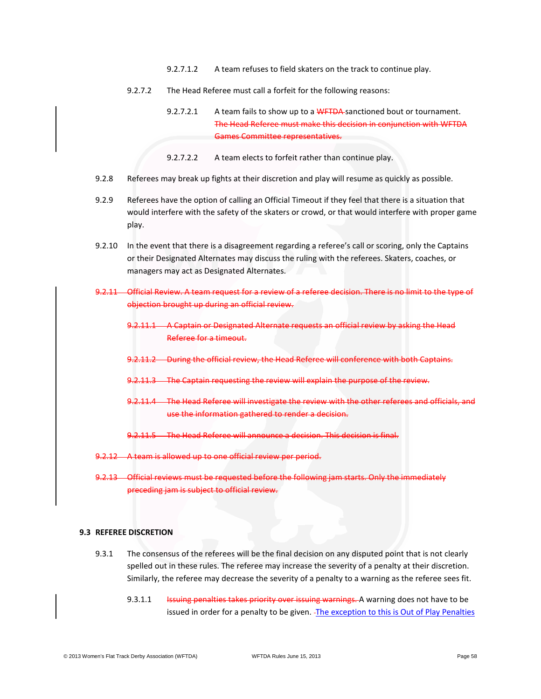- 9.2.7.1.2 A team refuses to field skaters on the track to continue play.
- 9.2.7.2 The Head Referee must call a forfeit for the following reasons:
	- 9.2.7.2.1 A team fails to show up to a WFTDA sanctioned bout or tournament. The Head Referee must make this decision in conjunction with WFTDA Games Committee representatives.
	- 9.2.7.2.2 A team elects to forfeit rather than continue play.
- 9.2.8 Referees may break up fights at their discretion and play will resume as quickly as possible.
- 9.2.9 Referees have the option of calling an Official Timeout if they feel that there is a situation that would interfere with the safety of the skaters or crowd, or that would interfere with proper game play.
- 9.2.10 In the event that there is a disagreement regarding a referee's call or scoring, only the Captains or their Designated Alternates may discuss the ruling with the referees. Skaters, coaches, or managers may act as Designated Alternates.
- 9.2.11 Official Review. A team request for a review of a referee decision. There is no limit to the type of objection brought up during an official review.
	- 9.2.11.1 A Captain or Designated Alternate requests an official review by asking the Head Referee for a timeout.
	- 9.2.11.2 During the official review, the Head Referee will conference with both Captains.
	- 9.2.11.3 The Captain requesting the review will explain the purpose of the review.
	- 9.2.11.4 The Head Referee will investigate the review with the other referees and officials, and use the information gathered to render a decision.
	- 9.2.11.5 The Head Referee will announce a decision. This decision is final.
- 9.2.12 A team is allowed up to one official review per period.
- 9.2.13 Official reviews must be requested before the following jam starts. Only the immediately preceding jam is subject to official review.

### **9.3 REFEREE DISCRETION**

- 9.3.1 The consensus of the referees will be the final decision on any disputed point that is not clearly spelled out in these rules. The referee may increase the severity of a penalty at their discretion. Similarly, the referee may decrease the severity of a penalty to a warning as the referee sees fit.
	- 9.3.1.1 **Issuing penalties takes priority over issuing warnings.** A warning does not have to be issued in order for a penalty to be given. - The exception to this is Out of Play Penalties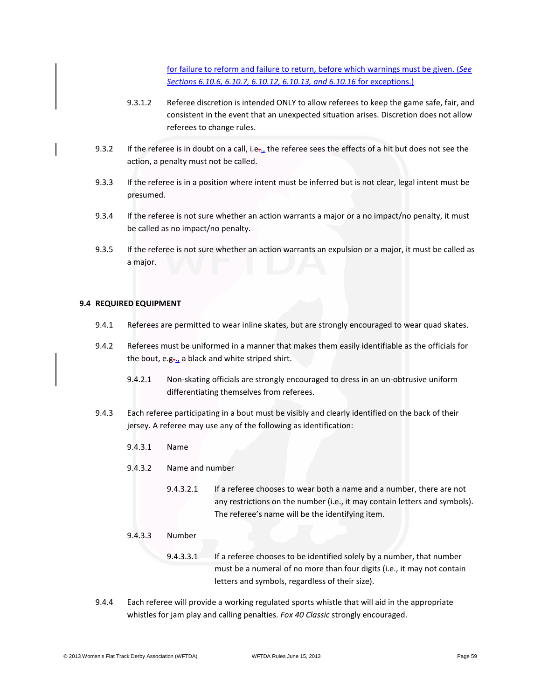for failure to reform and failure to return, before which warnings must be given. (*See Sections 6.10.6, 6.10.7, 6.10.12, 6.10.13, and 6.10.16* for exceptions.)

- 9.3.1.2 Referee discretion is intended ONLY to allow referees to keep the game safe, fair, and consistent in the event that an unexpected situation arises. Discretion does not allow referees to change rules.
- 9.3.2 If the referee is in doubt on a call, i.e. $\mu$  the referee sees the effects of a hit but does not see the action, a penalty must not be called.
- 9.3.3 If the referee is in a position where intent must be inferred but is not clear, legal intent must be presumed.
- 9.3.4 If the referee is not sure whether an action warrants a major or a no impact/no penalty, it must be called as no impact/no penalty.
- 9.3.5 If the referee is not sure whether an action warrants an expulsion or a major, it must be called as a major.

### **9.4 REQUIRED EQUIPMENT**

- 9.4.1 Referees are permitted to wear inline skates, but are strongly encouraged to wear quad skates.
- 9.4.2 Referees must be uniformed in a manner that makes them easily identifiable as the officials for the bout, e.g. a black and white striped shirt.
	- 9.4.2.1 Non-skating officials are strongly encouraged to dress in an un-obtrusive uniform differentiating themselves from referees.
- 9.4.3 Each referee participating in a bout must be visibly and clearly identified on the back of their jersey. A referee may use any of the following as identification:
	- 9.4.3.1 Name
	- 9.4.3.2 Name and number
		- 9.4.3.2.1 If a referee chooses to wear both a name and a number, there are not any restrictions on the number (i.e., it may contain letters and symbols). The referee's name will be the identifying item.
	- 9.4.3.3 Number
		- 9.4.3.3.1 If a referee chooses to be identified solely by a number, that number must be a numeral of no more than four digits (i.e., it may not contain letters and symbols, regardless of their size).
- 9.4.4 Each referee will provide a working regulated sports whistle that will aid in the appropriate whistles for jam play and calling penalties. *Fox 40 Classic* strongly encouraged.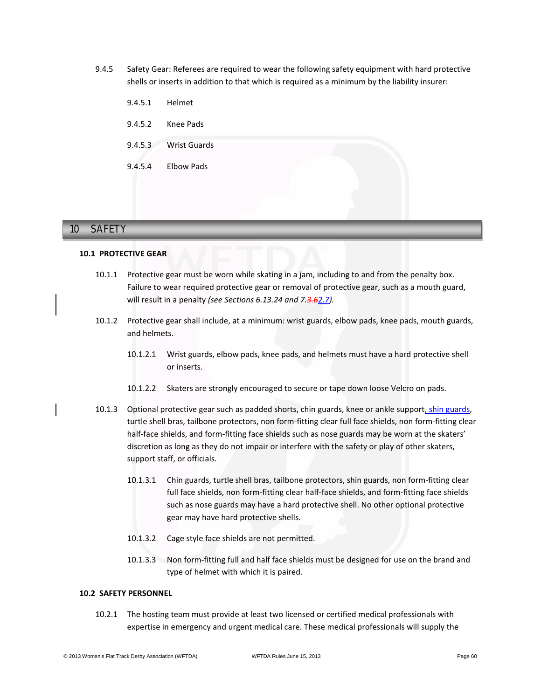9.4.5 Safety Gear: Referees are required to wear the following safety equipment with hard protective shells or inserts in addition to that which is required as a minimum by the liability insurer:

| 9.4.5.1 | Helmet              |  |
|---------|---------------------|--|
| 9.4.5.2 | Knee Pads           |  |
| 9.4.5.3 | <b>Wrist Guards</b> |  |
| 9.4.5.4 | <b>Elbow Pads</b>   |  |
|         |                     |  |

# **10 SAFETY** 10 SAFETY

### **10.1 PROTECTIVE GEAR**

- 10.1.1 Protective gear must be worn while skating in a jam, including to and from the penalty box. Failure to wear required protective gear or removal of protective gear, such as a mouth guard, will result in a penalty *(see Sections 6.13.24 and 7.3.62.7)*.
- 10.1.2 Protective gear shall include, at a minimum: wrist guards, elbow pads, knee pads, mouth guards, and helmets.
	- 10.1.2.1 Wrist guards, elbow pads, knee pads, and helmets must have a hard protective shell or inserts.
	- 10.1.2.2 Skaters are strongly encouraged to secure or tape down loose Velcro on pads.
- 10.1.3 Optional protective gear such as padded shorts, chin guards, knee or ankle support, shin guards, turtle shell bras, tailbone protectors, non form-fitting clear full face shields, non form-fitting clear half-face shields, and form-fitting face shields such as nose guards may be worn at the skaters' discretion as long as they do not impair or interfere with the safety or play of other skaters, support staff, or officials.
	- 10.1.3.1 Chin guards, turtle shell bras, tailbone protectors, shin guards, non form-fitting clear full face shields, non form-fitting clear half-face shields, and form-fitting face shields such as nose guards may have a hard protective shell. No other optional protective gear may have hard protective shells.
	- 10.1.3.2 Cage style face shields are not permitted.
	- 10.1.3.3 Non form-fitting full and half face shields must be designed for use on the brand and type of helmet with which it is paired.

# **10.2 SAFETY PERSONNEL**

10.2.1 The hosting team must provide at least two licensed or certified medical professionals with expertise in emergency and urgent medical care. These medical professionals will supply the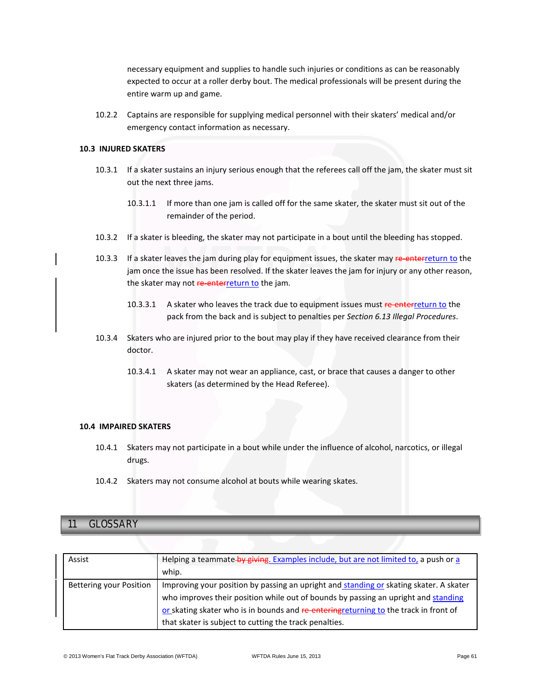necessary equipment and supplies to handle such injuries or conditions as can be reasonably expected to occur at a roller derby bout. The medical professionals will be present during the entire warm up and game.

10.2.2 Captains are responsible for supplying medical personnel with their skaters' medical and/or emergency contact information as necessary.

### **10.3 INJURED SKATERS**

- 10.3.1 If a skater sustains an injury serious enough that the referees call off the jam, the skater must sit out the next three jams.
	- 10.3.1.1 If more than one jam is called off for the same skater, the skater must sit out of the remainder of the period.
- 10.3.2 If a skater is bleeding, the skater may not participate in a bout until the bleeding has stopped.
- 10.3.3 If a skater leaves the jam during play for equipment issues, the skater may re-enterreturn to the jam once the issue has been resolved. If the skater leaves the jam for injury or any other reason, the skater may not re-enterreturn to the jam.
	- 10.3.3.1 A skater who leaves the track due to equipment issues must re-enterreturn to the pack from the back and is subject to penalties per *Section 6.13 Illegal Procedures*.
- 10.3.4 Skaters who are injured prior to the bout may play if they have received clearance from their doctor.
	- 10.3.4.1 A skater may not wear an appliance, cast, or brace that causes a danger to other skaters (as determined by the Head Referee).

### **10.4 IMPAIRED SKATERS**

- 10.4.1 Skaters may not participate in a bout while under the influence of alcohol, narcotics, or illegal drugs.
- 10.4.2 Skaters may not consume alcohol at bouts while wearing skates.

# **11 GLOSSARY** 11 GLOSSARY

| Assist                  | Helping a teammate by giving. Examples include, but are not limited to, a push or a<br>whip.                                                                                 |
|-------------------------|------------------------------------------------------------------------------------------------------------------------------------------------------------------------------|
|                         |                                                                                                                                                                              |
| Bettering your Position | Improving your position by passing an upright and standing or skating skater. A skater<br>who improves their position while out of bounds by passing an upright and standing |
|                         | or skating skater who is in bounds and re-entering returning to the track in front of                                                                                        |
|                         | that skater is subject to cutting the track penalties.                                                                                                                       |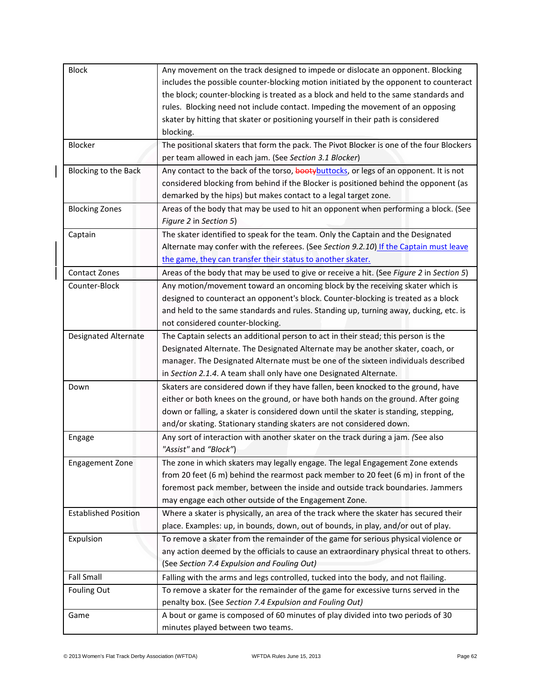| <b>Block</b>                | Any movement on the track designed to impede or dislocate an opponent. Blocking          |
|-----------------------------|------------------------------------------------------------------------------------------|
|                             | includes the possible counter-blocking motion initiated by the opponent to counteract    |
|                             | the block; counter-blocking is treated as a block and held to the same standards and     |
|                             | rules. Blocking need not include contact. Impeding the movement of an opposing           |
|                             | skater by hitting that skater or positioning yourself in their path is considered        |
|                             | blocking.                                                                                |
| Blocker                     | The positional skaters that form the pack. The Pivot Blocker is one of the four Blockers |
|                             | per team allowed in each jam. (See Section 3.1 Blocker)                                  |
| Blocking to the Back        | Any contact to the back of the torso, bootybuttocks, or legs of an opponent. It is not   |
|                             | considered blocking from behind if the Blocker is positioned behind the opponent (as     |
|                             | demarked by the hips) but makes contact to a legal target zone.                          |
| <b>Blocking Zones</b>       | Areas of the body that may be used to hit an opponent when performing a block. (See      |
|                             | Figure 2 in Section 5)                                                                   |
| Captain                     | The skater identified to speak for the team. Only the Captain and the Designated         |
|                             | Alternate may confer with the referees. (See Section 9.2.10) If the Captain must leave   |
|                             | the game, they can transfer their status to another skater.                              |
| <b>Contact Zones</b>        | Areas of the body that may be used to give or receive a hit. (See Figure 2 in Section 5) |
| Counter-Block               | Any motion/movement toward an oncoming block by the receiving skater which is            |
|                             | designed to counteract an opponent's block. Counter-blocking is treated as a block       |
|                             | and held to the same standards and rules. Standing up, turning away, ducking, etc. is    |
|                             | not considered counter-blocking.                                                         |
| <b>Designated Alternate</b> | The Captain selects an additional person to act in their stead; this person is the       |
|                             | Designated Alternate. The Designated Alternate may be another skater, coach, or          |
|                             | manager. The Designated Alternate must be one of the sixteen individuals described       |
|                             | in Section 2.1.4. A team shall only have one Designated Alternate.                       |
| Down                        | Skaters are considered down if they have fallen, been knocked to the ground, have        |
|                             | either or both knees on the ground, or have both hands on the ground. After going        |
|                             | down or falling, a skater is considered down until the skater is standing, stepping,     |
|                             | and/or skating. Stationary standing skaters are not considered down.                     |
| Engage                      | Any sort of interaction with another skater on the track during a jam. (See also         |
|                             | "Assist" and "Block")                                                                    |
| <b>Engagement Zone</b>      | The zone in which skaters may legally engage. The legal Engagement Zone extends          |
|                             | from 20 feet (6 m) behind the rearmost pack member to 20 feet (6 m) in front of the      |
|                             | foremost pack member, between the inside and outside track boundaries. Jammers           |
|                             | may engage each other outside of the Engagement Zone.                                    |
| <b>Established Position</b> | Where a skater is physically, an area of the track where the skater has secured their    |
|                             | place. Examples: up, in bounds, down, out of bounds, in play, and/or out of play.        |
| Expulsion                   | To remove a skater from the remainder of the game for serious physical violence or       |
|                             | any action deemed by the officials to cause an extraordinary physical threat to others.  |
|                             | (See Section 7.4 Expulsion and Fouling Out)                                              |
| <b>Fall Small</b>           | Falling with the arms and legs controlled, tucked into the body, and not flailing.       |
| Fouling Out                 | To remove a skater for the remainder of the game for excessive turns served in the       |
|                             | penalty box. (See Section 7.4 Expulsion and Fouling Out)                                 |
| Game                        | A bout or game is composed of 60 minutes of play divided into two periods of 30          |
|                             | minutes played between two teams.                                                        |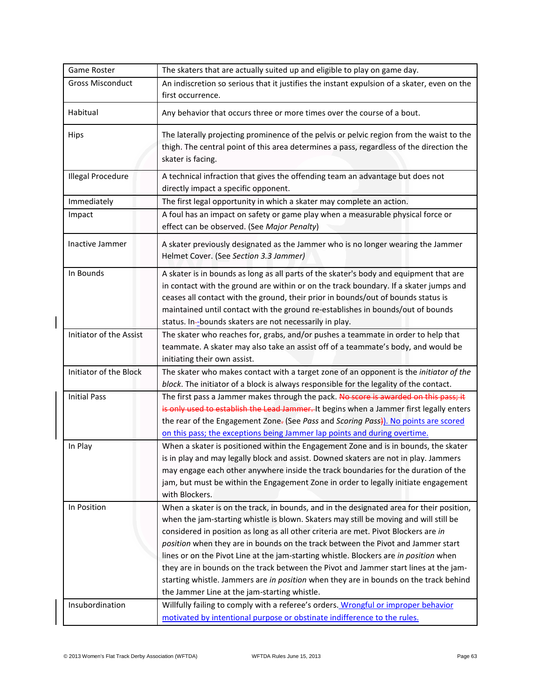| Game Roster              | The skaters that are actually suited up and eligible to play on game day.                                                                                                                                                                                                                                                                                                                                                                                                                                                                                                                                                                                                              |
|--------------------------|----------------------------------------------------------------------------------------------------------------------------------------------------------------------------------------------------------------------------------------------------------------------------------------------------------------------------------------------------------------------------------------------------------------------------------------------------------------------------------------------------------------------------------------------------------------------------------------------------------------------------------------------------------------------------------------|
| <b>Gross Misconduct</b>  | An indiscretion so serious that it justifies the instant expulsion of a skater, even on the<br>first occurrence.                                                                                                                                                                                                                                                                                                                                                                                                                                                                                                                                                                       |
| Habitual                 | Any behavior that occurs three or more times over the course of a bout.                                                                                                                                                                                                                                                                                                                                                                                                                                                                                                                                                                                                                |
| Hips                     | The laterally projecting prominence of the pelvis or pelvic region from the waist to the<br>thigh. The central point of this area determines a pass, regardless of the direction the<br>skater is facing.                                                                                                                                                                                                                                                                                                                                                                                                                                                                              |
| <b>Illegal Procedure</b> | A technical infraction that gives the offending team an advantage but does not<br>directly impact a specific opponent.                                                                                                                                                                                                                                                                                                                                                                                                                                                                                                                                                                 |
| Immediately              | The first legal opportunity in which a skater may complete an action.                                                                                                                                                                                                                                                                                                                                                                                                                                                                                                                                                                                                                  |
| Impact                   | A foul has an impact on safety or game play when a measurable physical force or<br>effect can be observed. (See Major Penalty)                                                                                                                                                                                                                                                                                                                                                                                                                                                                                                                                                         |
| Inactive Jammer          | A skater previously designated as the Jammer who is no longer wearing the Jammer<br>Helmet Cover. (See Section 3.3 Jammer)                                                                                                                                                                                                                                                                                                                                                                                                                                                                                                                                                             |
| In Bounds                | A skater is in bounds as long as all parts of the skater's body and equipment that are<br>in contact with the ground are within or on the track boundary. If a skater jumps and<br>ceases all contact with the ground, their prior in bounds/out of bounds status is<br>maintained until contact with the ground re-establishes in bounds/out of bounds<br>status. In-bounds skaters are not necessarily in play.                                                                                                                                                                                                                                                                      |
| Initiator of the Assist  | The skater who reaches for, grabs, and/or pushes a teammate in order to help that<br>teammate. A skater may also take an assist off of a teammate's body, and would be<br>initiating their own assist.                                                                                                                                                                                                                                                                                                                                                                                                                                                                                 |
| Initiator of the Block   | The skater who makes contact with a target zone of an opponent is the initiator of the<br>block. The initiator of a block is always responsible for the legality of the contact.                                                                                                                                                                                                                                                                                                                                                                                                                                                                                                       |
| <b>Initial Pass</b>      | The first pass a Jammer makes through the pack. No score is awarded on this pass; it<br>is only used to establish the Lead Jammer. It begins when a Jammer first legally enters<br>the rear of the Engagement Zone- (See Pass and Scoring Pass). No points are scored<br>on this pass; the exceptions being Jammer lap points and during overtime.                                                                                                                                                                                                                                                                                                                                     |
| In Play                  | When a skater is positioned within the Engagement Zone and is in bounds, the skater<br>is in play and may legally block and assist. Downed skaters are not in play. Jammers<br>may engage each other anywhere inside the track boundaries for the duration of the<br>jam, but must be within the Engagement Zone in order to legally initiate engagement<br>with Blockers.                                                                                                                                                                                                                                                                                                             |
| In Position              | When a skater is on the track, in bounds, and in the designated area for their position,<br>when the jam-starting whistle is blown. Skaters may still be moving and will still be<br>considered in position as long as all other criteria are met. Pivot Blockers are in<br>position when they are in bounds on the track between the Pivot and Jammer start<br>lines or on the Pivot Line at the jam-starting whistle. Blockers are in position when<br>they are in bounds on the track between the Pivot and Jammer start lines at the jam-<br>starting whistle. Jammers are in position when they are in bounds on the track behind<br>the Jammer Line at the jam-starting whistle. |
| Insubordination          | Willfully failing to comply with a referee's orders. Wrongful or improper behavior<br>motivated by intentional purpose or obstinate indifference to the rules.                                                                                                                                                                                                                                                                                                                                                                                                                                                                                                                         |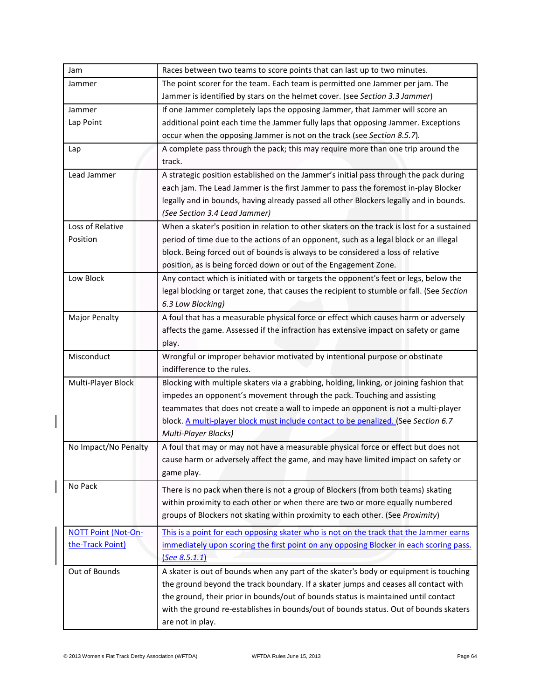| Jam                        | Races between two teams to score points that can last up to two minutes.                   |
|----------------------------|--------------------------------------------------------------------------------------------|
| Jammer                     | The point scorer for the team. Each team is permitted one Jammer per jam. The              |
|                            | Jammer is identified by stars on the helmet cover. (see Section 3.3 Jammer)                |
| Jammer                     | If one Jammer completely laps the opposing Jammer, that Jammer will score an               |
| Lap Point                  | additional point each time the Jammer fully laps that opposing Jammer. Exceptions          |
|                            | occur when the opposing Jammer is not on the track (see Section 8.5.7).                    |
| Lap                        | A complete pass through the pack; this may require more than one trip around the           |
|                            | track.                                                                                     |
| Lead Jammer                | A strategic position established on the Jammer's initial pass through the pack during      |
|                            | each jam. The Lead Jammer is the first Jammer to pass the foremost in-play Blocker         |
|                            | legally and in bounds, having already passed all other Blockers legally and in bounds.     |
|                            | (See Section 3.4 Lead Jammer)                                                              |
| Loss of Relative           | When a skater's position in relation to other skaters on the track is lost for a sustained |
| Position                   | period of time due to the actions of an opponent, such as a legal block or an illegal      |
|                            | block. Being forced out of bounds is always to be considered a loss of relative            |
|                            | position, as is being forced down or out of the Engagement Zone.                           |
| Low Block                  | Any contact which is initiated with or targets the opponent's feet or legs, below the      |
|                            | legal blocking or target zone, that causes the recipient to stumble or fall. (See Section  |
|                            | 6.3 Low Blocking)                                                                          |
| Major Penalty              | A foul that has a measurable physical force or effect which causes harm or adversely       |
|                            | affects the game. Assessed if the infraction has extensive impact on safety or game        |
|                            | play.                                                                                      |
| Misconduct                 | Wrongful or improper behavior motivated by intentional purpose or obstinate                |
|                            | indifference to the rules.                                                                 |
| Multi-Player Block         | Blocking with multiple skaters via a grabbing, holding, linking, or joining fashion that   |
|                            | impedes an opponent's movement through the pack. Touching and assisting                    |
|                            | teammates that does not create a wall to impede an opponent is not a multi-player          |
|                            | block. A multi-player block must include contact to be penalized. (See Section 6.7         |
|                            | Multi-Player Blocks)                                                                       |
| No Impact/No Penalty       | A foul that may or may not have a measurable physical force or effect but does not         |
|                            | cause harm or adversely affect the game, and may have limited impact on safety or          |
|                            | game play.                                                                                 |
| No Pack                    | There is no pack when there is not a group of Blockers (from both teams) skating           |
|                            | within proximity to each other or when there are two or more equally numbered              |
|                            | groups of Blockers not skating within proximity to each other. (See Proximity)             |
| <b>NOTT Point (Not-On-</b> | This is a point for each opposing skater who is not on the track that the Jammer earns     |
| the-Track Point)           | immediately upon scoring the first point on any opposing Blocker in each scoring pass.     |
|                            | See 8.5.1.1)                                                                               |
| Out of Bounds              | A skater is out of bounds when any part of the skater's body or equipment is touching      |
|                            | the ground beyond the track boundary. If a skater jumps and ceases all contact with        |
|                            | the ground, their prior in bounds/out of bounds status is maintained until contact         |
|                            | with the ground re-establishes in bounds/out of bounds status. Out of bounds skaters       |
|                            | are not in play.                                                                           |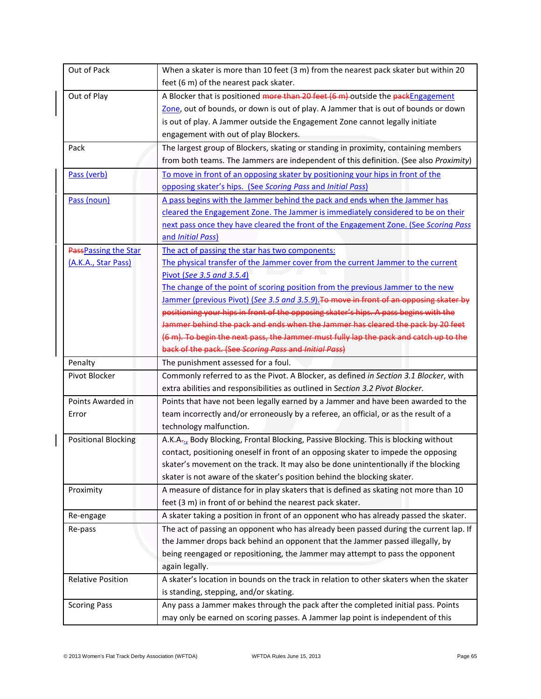| Out of Pack                | When a skater is more than 10 feet (3 m) from the nearest pack skater but within 20     |
|----------------------------|-----------------------------------------------------------------------------------------|
|                            | feet (6 m) of the nearest pack skater.                                                  |
| Out of Play                | A Blocker that is positioned more than 20 feet (6 m) outside the packEngagement         |
|                            | Zone, out of bounds, or down is out of play. A Jammer that is out of bounds or down     |
|                            | is out of play. A Jammer outside the Engagement Zone cannot legally initiate            |
|                            | engagement with out of play Blockers.                                                   |
| Pack                       | The largest group of Blockers, skating or standing in proximity, containing members     |
|                            | from both teams. The Jammers are independent of this definition. (See also Proximity)   |
| Pass (verb)                | To move in front of an opposing skater by positioning your hips in front of the         |
|                            | opposing skater's hips. (See Scoring Pass and Initial Pass)                             |
| Pass (noun)                | A pass begins with the Jammer behind the pack and ends when the Jammer has              |
|                            | cleared the Engagement Zone. The Jammer is immediately considered to be on their        |
|                            | next pass once they have cleared the front of the Engagement Zone. (See Scoring Pass    |
|                            | and Initial Pass)                                                                       |
| PassPassing the Star       | The act of passing the star has two components:                                         |
| (A.K.A., Star Pass)        | The physical transfer of the Jammer cover from the current Jammer to the current        |
|                            | Pivot (See 3.5 and 3.5.4)                                                               |
|                            | The change of the point of scoring position from the previous Jammer to the new         |
|                            | Jammer (previous Pivot) (See 3.5 and 3.5.9). To move in front of an opposing skater by  |
|                            | positioning your hips in front of the opposing skater's hips. A pass begins with the    |
|                            | Jammer behind the pack and ends when the Jammer has cleared the pack by 20 feet         |
|                            | (6 m). To begin the next pass, the Jammer must fully lap the pack and catch up to the   |
|                            | back of the pack. (See Scoring Pass and Initial Pass)                                   |
| Penalty                    | The punishment assessed for a foul.                                                     |
| Pivot Blocker              | Commonly referred to as the Pivot. A Blocker, as defined in Section 3.1 Blocker, with   |
|                            | extra abilities and responsibilities as outlined in Section 3.2 Pivot Blocker.          |
| Points Awarded in          | Points that have not been legally earned by a Jammer and have been awarded to the       |
| Error                      | team incorrectly and/or erroneously by a referee, an official, or as the result of a    |
|                            | technology malfunction.                                                                 |
| <b>Positional Blocking</b> | A.K.A., Body Blocking, Frontal Blocking, Passive Blocking. This is blocking without     |
|                            | contact, positioning oneself in front of an opposing skater to impede the opposing      |
|                            | skater's movement on the track. It may also be done unintentionally if the blocking     |
|                            | skater is not aware of the skater's position behind the blocking skater.                |
| Proximity                  | A measure of distance for in play skaters that is defined as skating not more than 10   |
|                            | feet (3 m) in front of or behind the nearest pack skater.                               |
| Re-engage                  | A skater taking a position in front of an opponent who has already passed the skater.   |
| Re-pass                    | The act of passing an opponent who has already been passed during the current lap. If   |
|                            | the Jammer drops back behind an opponent that the Jammer passed illegally, by           |
|                            | being reengaged or repositioning, the Jammer may attempt to pass the opponent           |
|                            | again legally.                                                                          |
| <b>Relative Position</b>   | A skater's location in bounds on the track in relation to other skaters when the skater |
|                            | is standing, stepping, and/or skating.                                                  |
| <b>Scoring Pass</b>        | Any pass a Jammer makes through the pack after the completed initial pass. Points       |
|                            | may only be earned on scoring passes. A Jammer lap point is independent of this         |